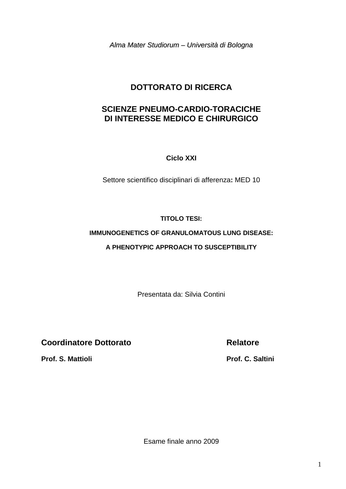Alma Mater Studiorum – Università di Bologna

# **DOTTORATO DI RICERCA**

### **SCIENZE PNEUMO-CARDIO-TORACICHE DI INTERESSE MEDICO E CHIRURGICO**

**Ciclo XXI** 

Settore scientifico disciplinari di afferenza**:** MED 10

**TITOLO TESI:** 

#### **IMMUNOGENETICS OF GRANULOMATOUS LUNG DISEASE:**

### **A PHENOTYPIC APPROACH TO SUSCEPTIBILITY**

Presentata da: Silvia Contini

## **Coordinatore Dottorato Manufacture Relatore**

Prof. S. Mattioli **Prof. C. Saltini** 

Esame finale anno 2009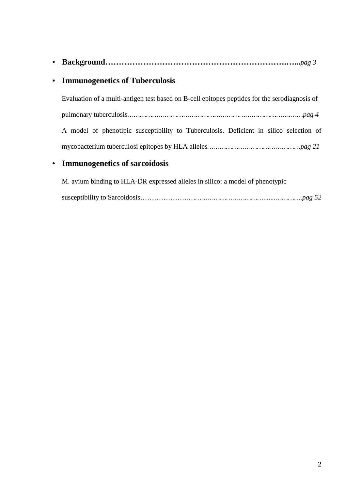|--|--|--|--|

### • **Immunogenetics of Tuberculosis**

Evaluation of a multi-antigen test based on B-cell epitopes peptides for the serodiagnosis of pulmonary tuberculosis*…………………………………………………………………….……pag 4* A model of phenotipic susceptibility to Tuberculosis. Deficient in silico selection of mycobacterium tuberculosi epitopes by HLA alleles*………………………………………pag 21* 

### • **Immunogenetics of sarcoidosis**

M. avium binding to HLA-DR expressed alleles in silico: a model of phenotypic susceptibility to Sarcoidosis…………………*……………………………….......………….pag 52*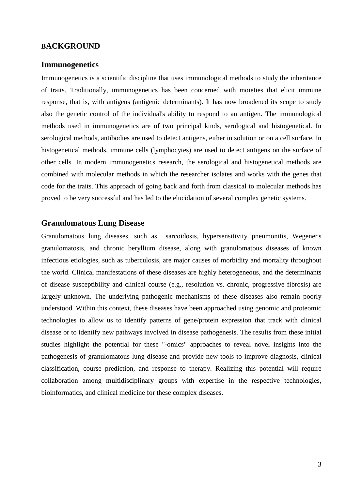#### **BACKGROUND**

#### **Immunogenetics**

Immunogenetics is a scientific discipline that uses immunological methods to study the inheritance of traits. Traditionally, immunogenetics has been concerned with moieties that elicit immune response, that is, with antigens (antigenic determinants). It has now broadened its scope to study also the genetic control of the individual's ability to respond to an antigen. The immunological methods used in immunogenetics are of two principal kinds, serological and histogenetical. In serological methods, antibodies are used to detect antigens, either in solution or on a cell surface. In histogenetical methods, immune cells (lymphocytes) are used to detect antigens on the surface of other cells. In modern immunogenetics research, the serological and histogenetical methods are combined with molecular methods in which the researcher isolates and works with the genes that code for the traits. This approach of going back and forth from classical to molecular methods has proved to be very successful and has led to the elucidation of several complex genetic systems.

#### **Granulomatous Lung Disease**

Granulomatous lung diseases, such as sarcoidosis, hypersensitivity pneumonitis, Wegener's granulomatosis, and chronic beryllium disease, along with granulomatous diseases of known infectious etiologies, such as tuberculosis, are major causes of morbidity and mortality throughout the world. Clinical manifestations of these diseases are highly heterogeneous, and the determinants of disease susceptibility and clinical course (e.g., resolution vs. chronic, progressive fibrosis) are largely unknown. The underlying pathogenic mechanisms of these diseases also remain poorly understood. Within this context, these diseases have been approached using genomic and proteomic technologies to allow us to identify patterns of gene/protein expression that track with clinical disease or to identify new pathways involved in disease pathogenesis. The results from these initial studies highlight the potential for these "-omics" approaches to reveal novel insights into the pathogenesis of granulomatous lung disease and provide new tools to improve diagnosis, clinical classification, course prediction, and response to therapy. Realizing this potential will require collaboration among multidisciplinary groups with expertise in the respective technologies, bioinformatics, and clinical medicine for these complex diseases.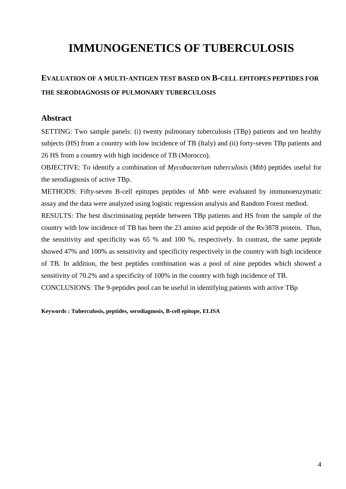# **IMMUNOGENETICS OF TUBERCULOSIS**

# **EVALUATION OF A MULTI-ANTIGEN TEST BASED ON B-CELL EPITOPES PEPTIDES FOR THE SERODIAGNOSIS OF PULMONARY TUBERCULOSIS**

### **Abstract**

SETTING: Two sample panels: (i) twenty pulmonary tuberculosis (TBp) patients and ten healthy subjects (HS) from a country with low incidence of TB (Italy) and (ii) forty-seven TBp patients and 26 HS from a country with high incidence of TB (Morocco).

OBJECTIVE: To identify a combination of *Mycobacterium tuberculosis* (*Mtb*) peptides useful for the serodiagnosis of active TBp.

METHODS: Fifty-seven B-cell epitopes peptides of *Mtb* were evaluated by immunoenzymatic assay and the data were analyzed using logistic regression analysis and Random Forest method.

RESULTS: The best discriminating peptide between TBp patients and HS from the sample of the country with low incidence of TB has been the 23 amino acid peptide of the Rv3878 protein. Thus, the sensitivity and specificity was 65 % and 100 %, respectively. In contrast, the same peptide showed 47% and 100% as sensitivity and specificity respectively in the country with high incidence of TB. In addition, the best peptides combination was a pool of nine peptides which showed a sensitivity of 70.2% and a specificity of 100% in the country with high incidence of TB.

CONCLUSIONS: The 9-peptides pool can be useful in identifying patients with active TBp

**Keywords : Tuberculosis, peptides, serodiagnosis, B-cell epitope, ELISA**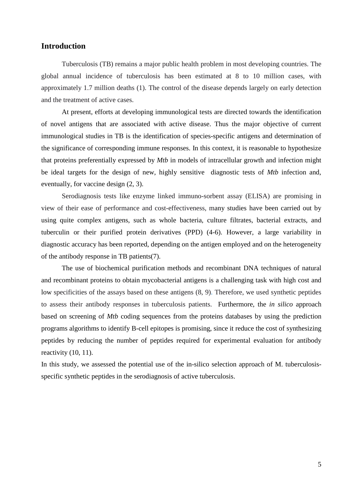#### **Introduction**

Tuberculosis (TB) remains a major public health problem in most developing countries. The global annual incidence of tuberculosis has been estimated at 8 to 10 million cases, with approximately 1.7 million deaths (1). The control of the disease depends largely on early detection and the treatment of active cases.

At present, efforts at developing immunological tests are directed towards the identification of novel antigens that are associated with active disease. Thus the major objective of current immunological studies in TB is the identification of species-specific antigens and determination of the significance of corresponding immune responses. In this context, it is reasonable to hypothesize that proteins preferentially expressed by *Mtb* in models of intracellular growth and infection might be ideal targets for the design of new, highly sensitive diagnostic tests of *Mtb* infection and, eventually, for vaccine design (2, 3).

Serodiagnosis tests like enzyme linked immuno-sorbent assay (ELISA) are promising in view of their ease of performance and cost-effectiveness, many studies have been carried out by using quite complex antigens, such as whole bacteria, culture filtrates, bacterial extracts, and tuberculin or their purified protein derivatives (PPD) (4-6). However, a large variability in diagnostic accuracy has been reported, depending on the antigen employed and on the heterogeneity of the antibody response in TB patients(7).

The use of biochemical purification methods and recombinant DNA techniques of natural and recombinant proteins to obtain mycobacterial antigens is a challenging task with high cost and low specificities of the assays based on these antigens (8, 9). Therefore, we used synthetic peptides to assess their antibody responses in tuberculosis patients. Furthermore, the *in silico* approach based on screening of *Mtb* coding sequences from the proteins databases by using the prediction programs algorithms to identify B-cell epitopes is promising, since it reduce the cost of synthesizing peptides by reducing the number of peptides required for experimental evaluation for antibody reactivity  $(10, 11)$ .

In this study, we assessed the potential use of the in-silico selection approach of M. tuberculosisspecific synthetic peptides in the serodiagnosis of active tuberculosis.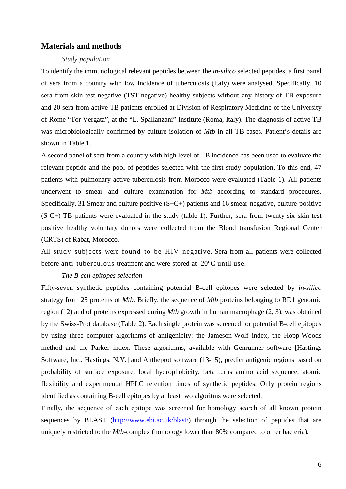#### **Materials and methods**

#### *Study population*

To identify the immunological relevant peptides between the *in-silico* selected peptides, a first panel of sera from a country with low incidence of tuberculosis (Italy) were analysed. Specifically, 10 sera from skin test negative (TST-negative) healthy subjects without any history of TB exposure and 20 sera from active TB patients enrolled at Division of Respiratory Medicine of the University of Rome "Tor Vergata", at the "L. Spallanzani" Institute (Roma, Italy). The diagnosis of active TB was microbiologically confirmed by culture isolation of *Mtb* in all TB cases. Patient's details are shown in Table 1.

A second panel of sera from a country with high level of TB incidence has been used to evaluate the relevant peptide and the pool of peptides selected with the first study population. To this end, 47 patients with pulmonary active tuberculosis from Morocco were evaluated (Table 1). All patients underwent to smear and culture examination for *Mtb* according to standard procedures. Specifically, 31 Smear and culture positive  $(S+C+)$  patients and 16 smear-negative, culture-positive (S-C+) TB patients were evaluated in the study (table 1). Further, sera from twenty-six skin test positive healthy voluntary donors were collected from the Blood transfusion Regional Center (CRTS) of Rabat, Morocco.

All study subjects were found to be HIV negative. Sera from all patients were collected before anti-tuberculous treatment and were stored at -20°C until use.

#### *The B-cell epitopes selection*

Fifty-seven synthetic peptides containing potential B-cell epitopes were selected by *in-silico* strategy from 25 proteins of *Mtb*. Briefly, the sequence of *Mtb* proteins belonging to RD1 genomic region (12) and of proteins expressed during *Mtb* growth in human macrophage (2, 3), was obtained by the Swiss-Prot database (Table 2). Each single protein was screened for potential B-cell epitopes by using three computer algorithms of antigenicity: the Jameson-Wolf index, the Hopp-Woods method and the Parker index. These algorithms, available with Genrunner software [Hastings Software, Inc., Hastings, N.Y.] and Antheprot software (13-15), predict antigenic regions based on probability of surface exposure, local hydrophobicity, beta turns amino acid sequence, atomic flexibility and experimental HPLC retention times of synthetic peptides. Only protein regions identified as containing B-cell epitopes by at least two algoritms were selected.

Finally, the sequence of each epitope was screened for homology search of all known protein sequences by BLAST (http://www.ebi.ac.uk/blast/) through the selection of peptides that are uniquely restricted to the *Mtb*-complex (homology lower than 80% compared to other bacteria).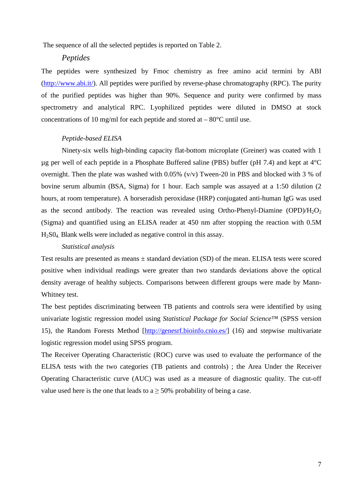The sequence of all the selected peptides is reported on Table 2.

#### *Peptides*

The peptides were synthesized by Fmoc chemistry as free amino acid termini by ABI (http://www.abi.it/). All peptides were purified by reverse-phase chromatography (RPC). The purity of the purified peptides was higher than 90%. Sequence and purity were confirmed by mass spectrometry and analytical RPC. Lyophilized peptides were diluted in DMSO at stock concentrations of 10 mg/ml for each peptide and stored at  $-80^{\circ}$ C until use.

#### *Peptide-based ELISA*

Ninety-six wells high-binding capacity flat-bottom microplate (Greiner) was coated with 1  $\mu$ g per well of each peptide in a Phosphate Buffered saline (PBS) buffer (pH 7.4) and kept at 4<sup>°</sup>C overnight. Then the plate was washed with 0.05% (v/v) Tween-20 in PBS and blocked with 3 % of bovine serum albumin (BSA, Sigma) for 1 hour. Each sample was assayed at a 1:50 dilution (2 hours, at room temperature). A horseradish peroxidase (HRP) conjugated anti-human IgG was used as the second antibody. The reaction was revealed using Ortho-Phenyl-Diamine (OPD)/ $H_2O_2$ (Sigma) and quantified using an ELISA reader at 450 nm after stopping the reaction with 0.5M H2S04. Blank wells were included as negative control in this assay.

#### *Statistical analysis*

Test results are presented as means ± standard deviation (SD) of the mean. ELISA tests were scored positive when individual readings were greater than two standards deviations above the optical density average of healthy subjects. Comparisons between different groups were made by Mann-Whitney test.

The best peptides discriminating between TB patients and controls sera were identified by using univariate logistic regression model using *Statistical Package for Social Science*™ (SPSS version 15), the Random Forests Method [http://genesrf.bioinfo.cnio.es/] (16) and stepwise multivariate logistic regression model using SPSS program.

The Receiver Operating Characteristic (ROC) curve was used to evaluate the performance of the ELISA tests with the two categories (TB patients and controls) ; the Area Under the Receiver Operating Characteristic curve (AUC) was used as a measure of diagnostic quality. The cut-off value used here is the one that leads to  $a \geq 50\%$  probability of being a case.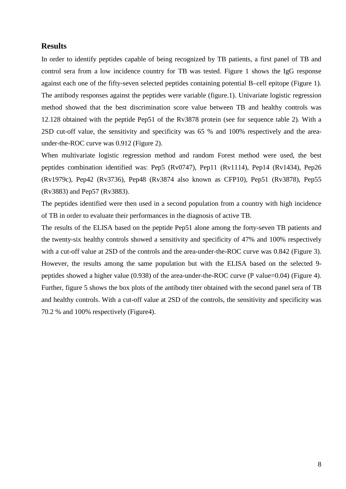#### **Results**

In order to identify peptides capable of being recognized by TB patients, a first panel of TB and control sera from a low incidence country for TB was tested. Figure 1 shows the IgG response against each one of the fifty-seven selected peptides containing potential B–cell epitope (Figure 1). The antibody responses against the peptides were variable (figure.1). Univariate logistic regression method showed that the best discrimination score value between TB and healthy controls was 12.128 obtained with the peptide Pep51 of the Rv3878 protein (see for sequence table 2). With a 2SD cut-off value, the sensitivity and specificity was 65 % and 100% respectively and the areaunder-the-ROC curve was 0.912 (Figure 2).

When multivariate logistic regression method and random Forest method were used, the best peptides combination identified was: Pep5 (Rv0747), Pep11 (Rv1114), Pep14 (Rv1434), Pep26 (Rv1979c), Pep42 (Rv3736), Pep48 (Rv3874 also known as CFP10), Pep51 (Rv3878), Pep55 (Rv3883) and Pep57 (Rv3883).

The peptides identified were then used in a second population from a country with high incidence of TB in order to evaluate their performances in the diagnosis of active TB.

The results of the ELISA based on the peptide Pep51 alone among the forty-seven TB patients and the twenty-six healthy controls showed a sensitivity and specificity of 47% and 100% respectively with a cut-off value at 2SD of the controls and the area-under-the-ROC curve was 0.842 (Figure 3). However, the results among the same population but with the ELISA based on the selected 9 peptides showed a higher value (0.938) of the area-under-the-ROC curve (P value=0.04) (Figure 4). Further, figure 5 shows the box plots of the antibody titer obtained with the second panel sera of TB and healthy controls. With a cut-off value at 2SD of the controls, the sensitivity and specificity was 70.2 % and 100% respectively (Figure4).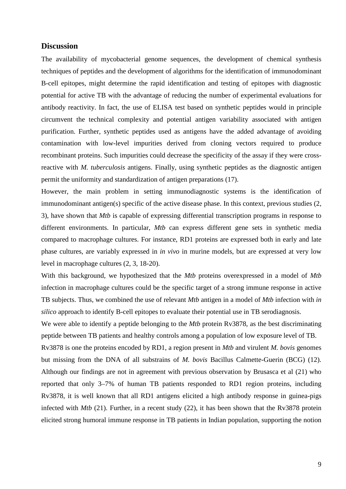#### **Discussion**

The availability of mycobacterial genome sequences, the development of chemical synthesis techniques of peptides and the development of algorithms for the identification of immunodominant B-cell epitopes, might determine the rapid identification and testing of epitopes with diagnostic potential for active TB with the advantage of reducing the number of experimental evaluations for antibody reactivity. In fact, the use of ELISA test based on synthetic peptides would in principle circumvent the technical complexity and potential antigen variability associated with antigen purification. Further, synthetic peptides used as antigens have the added advantage of avoiding contamination with low-level impurities derived from cloning vectors required to produce recombinant proteins. Such impurities could decrease the specificity of the assay if they were crossreactive with *M. tuberculosis* antigens. Finally, using synthetic peptides as the diagnostic antigen permit the uniformity and standardization of antigen preparations (17).

However, the main problem in setting immunodiagnostic systems is the identification of immunodominant antigen(s) specific of the active disease phase. In this context, previous studies (2, 3), have shown that *Mtb* is capable of expressing differential transcription programs in response to different environments. In particular, *Mtb* can express different gene sets in synthetic media compared to macrophage cultures. For instance, RD1 proteins are expressed both in early and late phase cultures, are variably expressed in *in vivo* in murine models, but are expressed at very low level in macrophage cultures (2, 3, 18-20).

With this background, we hypothesized that the *Mtb* proteins overexpressed in a model of *Mtb* infection in macrophage cultures could be the specific target of a strong immune response in active TB subjects. Thus, we combined the use of relevant *Mtb* antigen in a model of *Mtb* infection with *in silico* approach to identify B-cell epitopes to evaluate their potential use in TB serodiagnosis.

We were able to identify a peptide belonging to the *Mtb* protein Rv3878, as the best discriminating peptide between TB patients and healthy controls among a population of low exposure level of TB.

Rv3878 is one the proteins encoded by RD1, a region present in *Mtb* and virulent *M. bovis* genomes but missing from the DNA of all substrains of *M. bovis* Bacillus Calmette-Guerin (BCG) (12). Although our findings are not in agreement with previous observation by Brusasca et al (21) who reported that only 3–7% of human TB patients responded to RD1 region proteins, including Rv3878, it is well known that all RD1 antigens elicited a high antibody response in guinea-pigs infected with *Mtb* (21). Further, in a recent study (22), it has been shown that the Rv3878 protein elicited strong humoral immune response in TB patients in Indian population, supporting the notion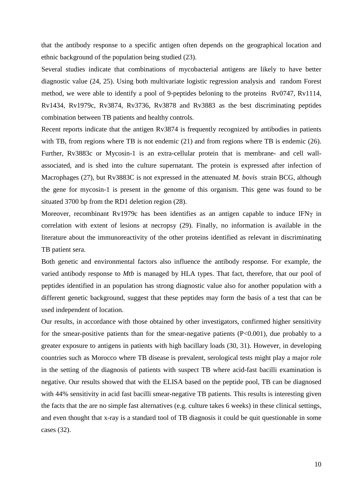that the antibody response to a specific antigen often depends on the geographical location and ethnic background of the population being studied (23).

Several studies indicate that combinations of mycobacterial antigens are likely to have better diagnostic value (24, 25). Using both multivariate logistic regression analysis and random Forest method, we were able to identify a pool of 9-peptides beloning to the proteins Rv0747, Rv1114, Rv1434, Rv1979c, Rv3874, Rv3736, Rv3878 and Rv3883 as the best discriminating peptides combination between TB patients and healthy controls.

Recent reports indicate that the antigen Rv3874 is frequently recognized by antibodies in patients with TB, from regions where TB is not endemic (21) and from regions where TB is endemic (26). Further, Rv3883c or Mycosin-1 is an extra-cellular protein that is membrane- and cell wallassociated, and is shed into the culture supernatant. The protein is expressed after infection of Macrophages (27), but Rv3883C is not expressed in the attenuated *M. bovis* strain BCG, although the gene for mycosin-1 is present in the genome of this organism. This gene was found to be situated 3700 bp from the RD1 deletion region (28).

Moreover, recombinant Rv1979c has been identifies as an antigen capable to induce IFN $\gamma$  in correlation with extent of lesions at necropsy (29). Finally, no information is available in the literature about the immunoreactivity of the other proteins identified as relevant in discriminating TB patient sera.

Both genetic and environmental factors also influence the antibody response. For example, the varied antibody response to *Mtb* is managed by HLA types. That fact, therefore, that our pool of peptides identified in an population has strong diagnostic value also for another population with a different genetic background, suggest that these peptides may form the basis of a test that can be used independent of location.

Our results, in accordance with those obtained by other investigators, confirmed higher sensitivity for the smear-positive patients than for the smear-negative patients  $(P<0.001)$ , due probably to a greater exposure to antigens in patients with high bacillary loads (30, 31). However, in developing countries such as Morocco where TB disease is prevalent, serological tests might play a major role in the setting of the diagnosis of patients with suspect TB where acid-fast bacilli examination is negative. Our results showed that with the ELISA based on the peptide pool, TB can be diagnosed with 44% sensitivity in acid fast bacilli smear-negative TB patients. This results is interesting given the facts that the are no simple fast alternatives (e.g. culture takes 6 weeks) in these clinical settings, and even thought that x-ray is a standard tool of TB diagnosis it could be quit questionable in some cases (32).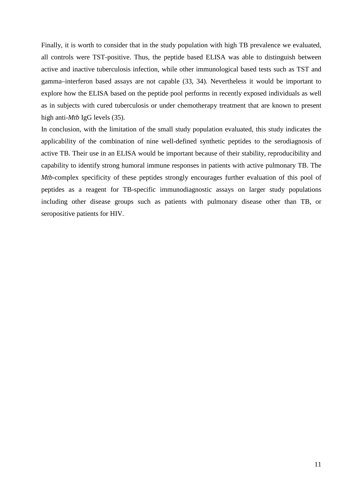Finally, it is worth to consider that in the study population with high TB prevalence we evaluated, all controls were TST-positive. Thus, the peptide based ELISA was able to distinguish between active and inactive tuberculosis infection, while other immunological based tests such as TST and gamma–interferon based assays are not capable (33, 34). Nevertheless it would be important to explore how the ELISA based on the peptide pool performs in recently exposed individuals as well as in subjects with cured tuberculosis or under chemotherapy treatment that are known to present high anti-*Mtb* IgG levels (35).

In conclusion, with the limitation of the small study population evaluated, this study indicates the applicability of the combination of nine well-defined synthetic peptides to the serodiagnosis of active TB. Their use in an ELISA would be important because of their stability, reproducibility and capability to identify strong humoral immune responses in patients with active pulmonary TB. The *Mtb*-complex specificity of these peptides strongly encourages further evaluation of this pool of peptides as a reagent for TB-specific immunodiagnostic assays on larger study populations including other disease groups such as patients with pulmonary disease other than TB, or seropositive patients for HIV.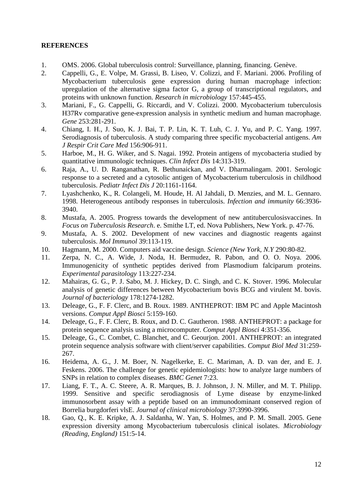#### **REFERENCES**

- 1. OMS. 2006. Global tuberculosis control: Surveillance, planning, financing. Genève.
- 2. Cappelli, G., E. Volpe, M. Grassi, B. Liseo, V. Colizzi, and F. Mariani. 2006. Profiling of Mycobacterium tuberculosis gene expression during human macrophage infection: upregulation of the alternative sigma factor G, a group of transcriptional regulators, and proteins with unknown function. *Research in microbiology* 157:445-455.
- 3. Mariani, F., G. Cappelli, G. Riccardi, and V. Colizzi. 2000. Mycobacterium tuberculosis H37Rv comparative gene-expression analysis in synthetic medium and human macrophage. *Gene* 253:281-291.
- 4. Chiang, I. H., J. Suo, K. J. Bai, T. P. Lin, K. T. Luh, C. J. Yu, and P. C. Yang. 1997. Serodiagnosis of tuberculosis. A study comparing three specific mycobacterial antigens. *Am J Respir Crit Care Med* 156:906-911.
- 5. Harboe, M., H. G. Wiker, and S. Nagai. 1992. Protein antigens of mycobacteria studied by quantitative immunologic techniques. *Clin Infect Dis* 14:313-319.
- 6. Raja, A., U. D. Ranganathan, R. Bethunaickan, and V. Dharmalingam. 2001. Serologic response to a secreted and a cytosolic antigen of Mycobacterium tuberculosis in childhood tuberculosis. *Pediatr Infect Dis J* 20:1161-1164.
- 7. Lyashchenko, K., R. Colangeli, M. Houde, H. Al Jahdali, D. Menzies, and M. L. Gennaro. 1998. Heterogeneous antibody responses in tuberculosis. *Infection and immunity* 66:3936- 3940.
- 8. Mustafa, A. 2005. Progress towards the development of new antituberculosisvaccines. In *Focus on Tuberculosis Research*. e. Smithe LT, ed. Nova Publishers, New York. p. 47-76.
- 9. Mustafa, A. S. 2002. Development of new vaccines and diagnostic reagents against tuberculosis. *Mol Immunol* 39:113-119.
- 10. Hagmann, M. 2000. Computers aid vaccine design. *Science (New York, N.Y* 290:80-82.
- 11. Zerpa, N. C., A. Wide, J. Noda, H. Bermudez, R. Pabon, and O. O. Noya. 2006. Immunogenicity of synthetic peptides derived from Plasmodium falciparum proteins. *Experimental parasitology* 113:227-234.
- 12. Mahairas, G. G., P. J. Sabo, M. J. Hickey, D. C. Singh, and C. K. Stover. 1996. Molecular analysis of genetic differences between Mycobacterium bovis BCG and virulent M. bovis. *Journal of bacteriology* 178:1274-1282.
- 13. Deleage, G., F. F. Clerc, and B. Roux. 1989. ANTHEPROT: IBM PC and Apple Macintosh versions. *Comput Appl Biosci* 5:159-160.
- 14. Deleage, G., F. F. Clerc, B. Roux, and D. C. Gautheron. 1988. ANTHEPROT: a package for protein sequence analysis using a microcomputer. *Comput Appl Biosci* 4:351-356.
- 15. Deleage, G., C. Combet, C. Blanchet, and C. Geourjon. 2001. ANTHEPROT: an integrated protein sequence analysis software with client/server capabilities. *Comput Biol Med* 31:259- 267.
- 16. Heidema, A. G., J. M. Boer, N. Nagelkerke, E. C. Mariman, A. D. van der, and E. J. Feskens. 2006. The challenge for genetic epidemiologists: how to analyze large numbers of SNPs in relation to complex diseases. *BMC Genet* 7:23.
- 17. Liang, F. T., A. C. Steere, A. R. Marques, B. J. Johnson, J. N. Miller, and M. T. Philipp. 1999. Sensitive and specific serodiagnosis of Lyme disease by enzyme-linked immunosorbent assay with a peptide based on an immunodominant conserved region of Borrelia burgdorferi vlsE. *Journal of clinical microbiology* 37:3990-3996.
- 18. Gao, Q., K. E. Kripke, A. J. Saldanha, W. Yan, S. Holmes, and P. M. Small. 2005. Gene expression diversity among Mycobacterium tuberculosis clinical isolates. *Microbiology (Reading, England)* 151:5-14.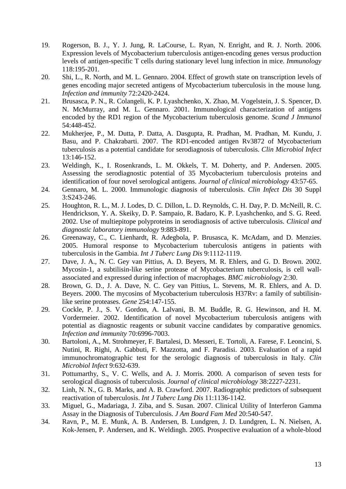- 19. Rogerson, B. J., Y. J. Jung, R. LaCourse, L. Ryan, N. Enright, and R. J. North. 2006. Expression levels of Mycobacterium tuberculosis antigen-encoding genes versus production levels of antigen-specific T cells during stationary level lung infection in mice. *Immunology*  118:195-201.
- 20. Shi, L., R. North, and M. L. Gennaro. 2004. Effect of growth state on transcription levels of genes encoding major secreted antigens of Mycobacterium tuberculosis in the mouse lung. *Infection and immunity* 72:2420-2424.
- 21. Brusasca, P. N., R. Colangeli, K. P. Lyashchenko, X. Zhao, M. Vogelstein, J. S. Spencer, D. N. McMurray, and M. L. Gennaro. 2001. Immunological characterization of antigens encoded by the RD1 region of the Mycobacterium tuberculosis genome. *Scand J Immunol*  54:448-452.
- 22. Mukherjee, P., M. Dutta, P. Datta, A. Dasgupta, R. Pradhan, M. Pradhan, M. Kundu, J. Basu, and P. Chakrabarti. 2007. The RD1-encoded antigen Rv3872 of Mycobacterium tuberculosis as a potential candidate for serodiagnosis of tuberculosis. *Clin Microbiol Infect*  13:146-152.
- 23. Weldingh, K., I. Rosenkrands, L. M. Okkels, T. M. Doherty, and P. Andersen. 2005. Assessing the serodiagnostic potential of 35 Mycobacterium tuberculosis proteins and identification of four novel serological antigens. *Journal of clinical microbiology* 43:57-65.
- 24. Gennaro, M. L. 2000. Immunologic diagnosis of tuberculosis. *Clin Infect Dis* 30 Suppl 3:S243-246.
- 25. Houghton, R. L., M. J. Lodes, D. C. Dillon, L. D. Reynolds, C. H. Day, P. D. McNeill, R. C. Hendrickson, Y. A. Skeiky, D. P. Sampaio, R. Badaro, K. P. Lyashchenko, and S. G. Reed. 2002. Use of multiepitope polyproteins in serodiagnosis of active tuberculosis. *Clinical and diagnostic laboratory immunology* 9:883-891.
- 26. Greenaway, C., C. Lienhardt, R. Adegbola, P. Brusasca, K. McAdam, and D. Menzies. 2005. Humoral response to Mycobacterium tuberculosis antigens in patients with tuberculosis in the Gambia. *Int J Tuberc Lung Dis* 9:1112-1119.
- 27. Dave, J. A., N. C. Gey van Pittius, A. D. Beyers, M. R. Ehlers, and G. D. Brown. 2002. Mycosin-1, a subtilisin-like serine protease of Mycobacterium tuberculosis, is cell wallassociated and expressed during infection of macrophages. *BMC microbiology* 2:30.
- 28. Brown, G. D., J. A. Dave, N. C. Gey van Pittius, L. Stevens, M. R. Ehlers, and A. D. Beyers. 2000. The mycosins of Mycobacterium tuberculosis H37Rv: a family of subtilisinlike serine proteases. *Gene* 254:147-155.
- 29. Cockle, P. J., S. V. Gordon, A. Lalvani, B. M. Buddle, R. G. Hewinson, and H. M. Vordermeier. 2002. Identification of novel Mycobacterium tuberculosis antigens with potential as diagnostic reagents or subunit vaccine candidates by comparative genomics. *Infection and immunity* 70:6996-7003.
- 30. Bartoloni, A., M. Strohmeyer, F. Bartalesi, D. Messeri, E. Tortoli, A. Farese, F. Leoncini, S. Nutini, R. Righi, A. Gabbuti, F. Mazzotta, and F. Paradisi. 2003. Evaluation of a rapid immunochromatographic test for the serologic diagnosis of tuberculosis in Italy. *Clin Microbiol Infect* 9:632-639.
- 31. Pottumarthy, S., V. C. Wells, and A. J. Morris. 2000. A comparison of seven tests for serological diagnosis of tuberculosis. *Journal of clinical microbiology* 38:2227-2231.
- 32. Linh, N. N., G. B. Marks, and A. B. Crawford. 2007. Radiographic predictors of subsequent reactivation of tuberculosis. *Int J Tuberc Lung Dis* 11:1136-1142.
- 33. Miguel, G., Madariaga, J. Ziba, and S. Susan. 2007. Clinical Utility of Interferon Gamma Assay in the Diagnosis of Tuberculosis. *J Am Board Fam Med* 20:540-547.
- 34. Ravn, P., M. E. Munk, A. B. Andersen, B. Lundgren, J. D. Lundgren, L. N. Nielsen, A. Kok-Jensen, P. Andersen, and K. Weldingh. 2005. Prospective evaluation of a whole-blood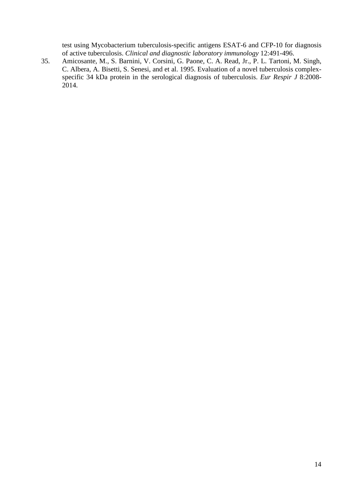test using Mycobacterium tuberculosis-specific antigens ESAT-6 and CFP-10 for diagnosis of active tuberculosis. *Clinical and diagnostic laboratory immunology* 12:491-496.

35. Amicosante, M., S. Barnini, V. Corsini, G. Paone, C. A. Read, Jr., P. L. Tartoni, M. Singh, C. Albera, A. Bisetti, S. Senesi, and et al. 1995. Evaluation of a novel tuberculosis complexspecific 34 kDa protein in the serological diagnosis of tuberculosis. *Eur Respir J* 8:2008- 2014.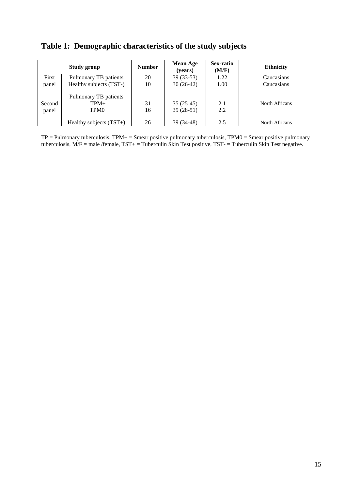|                 | Study group                                         | <b>Number</b> | <b>Mean Age</b><br>(years) | <b>Sex-ratio</b><br>(M/F) | <b>Ethnicity</b> |
|-----------------|-----------------------------------------------------|---------------|----------------------------|---------------------------|------------------|
| First           | Pulmonary TB patients                               | 20            | $39(33-53)$                | 1.22                      | Caucasians       |
| panel           | Healthy subjects (TST-)                             | 10            | $30(26-42)$                | 1.00                      | Caucasians       |
| Second<br>panel | Pulmonary TB patients<br>$TPM+$<br>TPM <sub>0</sub> | 31<br>16      | $35(25-45)$<br>$39(28-51)$ | 2.1<br>2.2                | North Africans   |
|                 | Healthy subjects $(TST+)$                           | 26            | 39 (34-48)                 | 2.5                       | North Africans   |

# **Table 1: Demographic characteristics of the study subjects**

TP = Pulmonary tuberculosis, TPM+ = Smear positive pulmonary tuberculosis, TPM0 = Smear positive pulmonary tuberculosis, M/F = male /female, TST+ = Tuberculin Skin Test positive, TST- = Tuberculin Skin Test negative.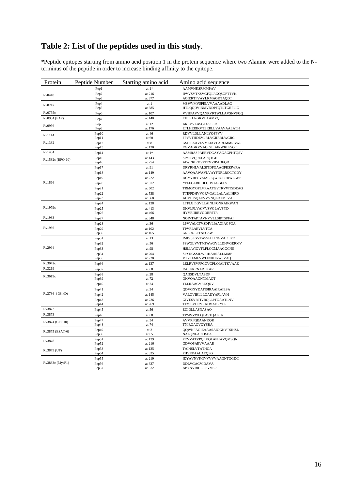# **Table 2: List of the peptides used in this study**.

\*Peptide epitopes starting from amino acid position 1 in the protein sequence where two Alanine were added to the Nterminus of the peptide in order to increase binding affinity to the epitope.

| Protein          | Peptide Number           | Starting amino acid | Amino acid sequence                                      |
|------------------|--------------------------|---------------------|----------------------------------------------------------|
|                  | Pep1                     | at $1*$             | <b>AAMVNKSRMMPAV</b>                                     |
| Rv0418           | Pep2<br>Pep3             | at 216<br>at 377    | <b>IPVVSVTKSVGFQLRGQSGPTTVK</b><br>AGIERTFVAYLKMAGKTAQDT |
| Rv0747           | Pep <sub>4</sub><br>Pep5 | at 1<br>at 385      | MSWVMVSPELVVAAAADLAG<br>HTLQQDVINMVNDPFQTLTGRPLIG        |
| Rv0755c          | Pep <sub>6</sub>         | at 107              | VVHPAVVQANRVRTWLLAVSNVFGQ                                |
| Rv0934 (PAP)     | Pep7                     | at 140              | EHLKLNGKVLAAMYQ                                          |
|                  | Pep8                     | at 12               | ARLVVLASGTGSLLR                                          |
| Rv0956           | Pep9                     | at 176              | ETLHERIKVTERRLLVAAVAALATH                                |
| Rv1114           | Pep10<br>Pep11           | at 46<br>at $60$    | RDVVLDLLANLYQFPVV<br>FPVVTHDEVLRLVGRRRLWGRG              |
| Rv1382           | Pep12                    | at 8                | GSLIFAAVLVMLIAVLARLMMRGWR                                |
| Rv1434           | Pep13                    | at 120              | RGVAGKVVAGIGILAIRWRLPSGT                                 |
|                  | Pep14                    | at $1*$             | AAMRASPAERVDGAYAGAGPHTQSV                                |
| Rv1582c (RFO-10) | Pep15<br>Pep16           | at 143<br>at 254    | SIYPIVORELAROTGF<br><b>AIWRRIRVVPFEVVIPADEOD</b>         |
|                  | Pep17                    | at 91               | <b>DRYRHLVALSITDFGAAGPRSSWRA</b>                         |
|                  | Pep18                    | at 149              | AAVQAAWAVLVAYFNRLRCGTGDY                                 |
|                  | Pep19                    | at 222              | DGYVRFCVMAPROWRGLRRWLGEP                                 |
| Rv1866           | Pep20                    | at 372              | YPFEGLRILDLGIIVAGGELS                                    |
|                  | Pep21                    | at 502              | TRMGYGPLVRAATGVTRVWTSDEAQ                                |
|                  | Pep22                    | at 538              | TTIFPDHVVGRVGALLALAALIHRD                                |
|                  | Pep23                    | at 568              | AHVHISQAEVVVNQLDTMFVAE                                   |
|                  | Pep24                    | at 138              | LTFLGFIGVLLAINLFGNRAIKWAN                                |
| Rv1979c          | Pep25                    | at 413              | DKVLPLVAIVVSVGLAVSYD                                     |
|                  | Pep26                    | at 466              | <b>HYYRIIRRVGDRPSTR</b>                                  |
| Rv1983           | Pep27                    | at 348              | NGIVTAPTAVNVVLLSIPTSPFAI                                 |
|                  | Pep28                    | at 36               | LPVVALCTVSDIVLIAAGIAGFGA                                 |
| <b>Rv1986</b>    | Pep29                    | at 102              | TPVRLAEVLVTCA                                            |
|                  | Pep30                    | at 165              | GRLRGLFTNPGSW                                            |
|                  | Pep31                    | at 13               | <b>IMIVSLGVTASSFLFINGVAFLIPR</b>                         |
|                  | Pep32                    | at 56               | PSWGLVVTMFAWGYLLDHVGERMV                                 |
| Rv2994           | Pep33                    | at 98               | HSLLWIGVFLFLGGMAAGGCNS                                   |
|                  | Pep34                    | at 204              | SPYRGSSILWRIHAASALLMMP                                   |
| Rv3042c          | Pep35                    | at 228              | VTVTFMLVWLINHHGWSVAQ                                     |
|                  | Pep36                    | at 137              | LELRVSVPPGCVGPLQIALTKVAAE                                |
| Rv3219           | Pep37                    | at 68               | <b>RALKRRNARTKAR</b>                                     |
| Rv3619c          | Pep38                    | at 28<br>at 72      | <b>QAIISDVLTASDF</b>                                     |
|                  | Pep39<br>Pep40           | at $24$             | QKVQAAGNNMAQT<br>TLLRAAGVRDQDV                           |
|                  | Pep41                    | at 34               | <b>ODVGNYDAFISIRAAIRAIESA</b>                            |
| Rv3736 (38 kD)   | Pep42                    | at 145              | VALGVIRLLLGADYAPLAVH                                     |
|                  | Pep43                    | at 226              | <b>GIVESVRTIVROLLPTGAATLNV</b>                           |
|                  | Pep44                    | at 269              | TFVILVDRVRKDVADRYLR                                      |
| Rv3872           | Pep45                    | at 56               | EGIQLLASNASAQ                                            |
| Rv3873           | Pep46                    | at 68               | TPMVVWLQTASTQAKTR                                        |
|                  | Pep47                    | at 54               | AVVRFQEAANKQK                                            |
| Rv3874 (CFP 10)  | Pep48                    | at 74               | TNIRQAGVQYSRA                                            |
| Rv3875 (ESAT-6)  | Pep49<br>Pep50           | at 2<br>at 65       | QQWNFAGIEAAASAIQGNVTSIHSL<br>NALQNLARTISEA               |
| Rv3878           | Pep51                    | at 139              | PRVVATVPQLVQLAPHAVQMSQN                                  |
|                  | Pep52                    | at 216              | <b>GDVQPAEVVAAAR</b>                                     |
| Rv3879 (UF)      | Pep53                    | at 135              | <b>TAINSLVTATHGA</b>                                     |
|                  | Pep54                    | at 325              | PHVKPAALAEQPG                                            |
|                  | Pep55                    | at 219              | IDYAVNVKGVVVVVAAGNTGGDC                                  |
| Rv3883c (MycP1)  | Pep56<br>Pep57           | at 337<br>at 372    | DDLVGAGVIDAVA<br>APYNVRRLPPPVVEP                         |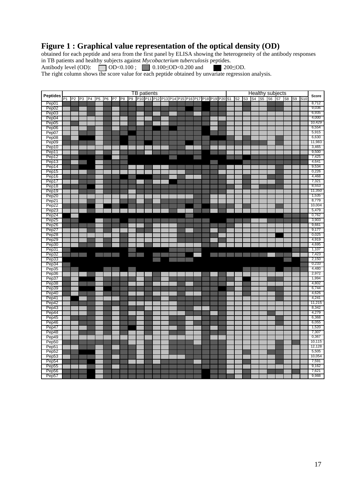### **Figure 1 : Graphical value representation of the optical density (OD)**

obtained for each peptide and sera from the first panel by ELISA showing the heterogeneity of the antibody responses in TB patients and healthy subjects against *Mycobacterium tuberculosis* peptides. Antibody level (OD):  $\Box$  OD<0.100;  $\Box$  0.100≤OD<0.200 and 0.100≤OD.

The right column shows the score value for each peptide obtained by unvariate regression analysis.

|                   |    | <b>TB</b> patients |  |  |  |  |  |  |  |  |  |  |  | Healthy subjects |  |                                                                                                           |  |  |  |  |  |  |  |  |  |        |
|-------------------|----|--------------------|--|--|--|--|--|--|--|--|--|--|--|------------------|--|-----------------------------------------------------------------------------------------------------------|--|--|--|--|--|--|--|--|--|--------|
| Peptides          | P1 |                    |  |  |  |  |  |  |  |  |  |  |  |                  |  | <u>P2 P3 P4 P5 P6 P7 P8 P9 P10 P11 P12 P13 P14 P15 P16 P17 P18 P19 P20 S1 S2 S3 S4 S5 S6 S7 S8 S9 S10</u> |  |  |  |  |  |  |  |  |  | Score  |
| Pep01             |    |                    |  |  |  |  |  |  |  |  |  |  |  |                  |  |                                                                                                           |  |  |  |  |  |  |  |  |  | 8,712  |
| Pep02             |    |                    |  |  |  |  |  |  |  |  |  |  |  |                  |  |                                                                                                           |  |  |  |  |  |  |  |  |  | 9,036  |
| Pep03             |    |                    |  |  |  |  |  |  |  |  |  |  |  |                  |  |                                                                                                           |  |  |  |  |  |  |  |  |  | 6,935  |
| Pep04             |    |                    |  |  |  |  |  |  |  |  |  |  |  |                  |  |                                                                                                           |  |  |  |  |  |  |  |  |  | 4,000  |
| Pep05             |    |                    |  |  |  |  |  |  |  |  |  |  |  |                  |  |                                                                                                           |  |  |  |  |  |  |  |  |  | 10,429 |
| Pep06             |    |                    |  |  |  |  |  |  |  |  |  |  |  |                  |  |                                                                                                           |  |  |  |  |  |  |  |  |  | 6,554  |
| Pep07             |    |                    |  |  |  |  |  |  |  |  |  |  |  |                  |  |                                                                                                           |  |  |  |  |  |  |  |  |  | 5,915  |
| Pep08             |    |                    |  |  |  |  |  |  |  |  |  |  |  |                  |  |                                                                                                           |  |  |  |  |  |  |  |  |  | 6,630  |
| Pep09             |    |                    |  |  |  |  |  |  |  |  |  |  |  |                  |  |                                                                                                           |  |  |  |  |  |  |  |  |  | 11,983 |
| Pep10             |    |                    |  |  |  |  |  |  |  |  |  |  |  |                  |  |                                                                                                           |  |  |  |  |  |  |  |  |  | 3,465  |
| Pep11             |    |                    |  |  |  |  |  |  |  |  |  |  |  |                  |  |                                                                                                           |  |  |  |  |  |  |  |  |  | 9,500  |
| Pep12             |    |                    |  |  |  |  |  |  |  |  |  |  |  |                  |  |                                                                                                           |  |  |  |  |  |  |  |  |  | 7,425  |
| Pep13             |    |                    |  |  |  |  |  |  |  |  |  |  |  |                  |  |                                                                                                           |  |  |  |  |  |  |  |  |  | 4,641  |
| Pep14             |    |                    |  |  |  |  |  |  |  |  |  |  |  |                  |  |                                                                                                           |  |  |  |  |  |  |  |  |  | 9,534  |
| Pep15             |    |                    |  |  |  |  |  |  |  |  |  |  |  |                  |  |                                                                                                           |  |  |  |  |  |  |  |  |  | 0,226  |
| Pep16             |    |                    |  |  |  |  |  |  |  |  |  |  |  |                  |  |                                                                                                           |  |  |  |  |  |  |  |  |  | 4,468  |
|                   |    |                    |  |  |  |  |  |  |  |  |  |  |  |                  |  |                                                                                                           |  |  |  |  |  |  |  |  |  | 7,321  |
| Pep17             |    |                    |  |  |  |  |  |  |  |  |  |  |  |                  |  |                                                                                                           |  |  |  |  |  |  |  |  |  | 8,553  |
| Pep18             |    |                    |  |  |  |  |  |  |  |  |  |  |  |                  |  |                                                                                                           |  |  |  |  |  |  |  |  |  |        |
| Pep19             |    |                    |  |  |  |  |  |  |  |  |  |  |  |                  |  |                                                                                                           |  |  |  |  |  |  |  |  |  | 11,350 |
| Pep20             |    |                    |  |  |  |  |  |  |  |  |  |  |  |                  |  |                                                                                                           |  |  |  |  |  |  |  |  |  | 1,535  |
| Pep21             |    |                    |  |  |  |  |  |  |  |  |  |  |  |                  |  |                                                                                                           |  |  |  |  |  |  |  |  |  | 8,779  |
| Pep22             |    |                    |  |  |  |  |  |  |  |  |  |  |  |                  |  |                                                                                                           |  |  |  |  |  |  |  |  |  | 10,004 |
| Pep <sub>23</sub> |    |                    |  |  |  |  |  |  |  |  |  |  |  |                  |  |                                                                                                           |  |  |  |  |  |  |  |  |  | 5,479  |
| Pep24             |    |                    |  |  |  |  |  |  |  |  |  |  |  |                  |  |                                                                                                           |  |  |  |  |  |  |  |  |  | 0,762  |
| Pep25             |    |                    |  |  |  |  |  |  |  |  |  |  |  |                  |  |                                                                                                           |  |  |  |  |  |  |  |  |  | 3,903  |
| Pep26             |    |                    |  |  |  |  |  |  |  |  |  |  |  |                  |  |                                                                                                           |  |  |  |  |  |  |  |  |  | 9,661  |
| Pep27             |    |                    |  |  |  |  |  |  |  |  |  |  |  |                  |  |                                                                                                           |  |  |  |  |  |  |  |  |  | 9,177  |
| Pep28             |    |                    |  |  |  |  |  |  |  |  |  |  |  |                  |  |                                                                                                           |  |  |  |  |  |  |  |  |  | 0,025  |
| Pep29             |    |                    |  |  |  |  |  |  |  |  |  |  |  |                  |  |                                                                                                           |  |  |  |  |  |  |  |  |  | 4,919  |
| Pep30             |    |                    |  |  |  |  |  |  |  |  |  |  |  |                  |  |                                                                                                           |  |  |  |  |  |  |  |  |  | 4,695  |
| Pep31             |    |                    |  |  |  |  |  |  |  |  |  |  |  |                  |  |                                                                                                           |  |  |  |  |  |  |  |  |  | 1,107  |
| Pep32             |    |                    |  |  |  |  |  |  |  |  |  |  |  |                  |  |                                                                                                           |  |  |  |  |  |  |  |  |  | 7,423  |
| Pep33             |    |                    |  |  |  |  |  |  |  |  |  |  |  |                  |  |                                                                                                           |  |  |  |  |  |  |  |  |  | 2,150  |
| Pep34             |    |                    |  |  |  |  |  |  |  |  |  |  |  |                  |  |                                                                                                           |  |  |  |  |  |  |  |  |  | 0,233  |
| Pep35             |    |                    |  |  |  |  |  |  |  |  |  |  |  |                  |  |                                                                                                           |  |  |  |  |  |  |  |  |  | 4,480  |
| Pep36             |    |                    |  |  |  |  |  |  |  |  |  |  |  |                  |  |                                                                                                           |  |  |  |  |  |  |  |  |  | 2,972  |
| Pep37             |    |                    |  |  |  |  |  |  |  |  |  |  |  |                  |  |                                                                                                           |  |  |  |  |  |  |  |  |  | 1,994  |
| Pep38             |    |                    |  |  |  |  |  |  |  |  |  |  |  |                  |  |                                                                                                           |  |  |  |  |  |  |  |  |  | 4,802  |
| Pep39             |    |                    |  |  |  |  |  |  |  |  |  |  |  |                  |  |                                                                                                           |  |  |  |  |  |  |  |  |  | 6,744  |
| Pep40             |    |                    |  |  |  |  |  |  |  |  |  |  |  |                  |  |                                                                                                           |  |  |  |  |  |  |  |  |  | 4,626  |
| Pep41             |    |                    |  |  |  |  |  |  |  |  |  |  |  |                  |  |                                                                                                           |  |  |  |  |  |  |  |  |  | 4,241  |
| Pep42             |    |                    |  |  |  |  |  |  |  |  |  |  |  |                  |  |                                                                                                           |  |  |  |  |  |  |  |  |  | 11,215 |
| Pep43             |    |                    |  |  |  |  |  |  |  |  |  |  |  |                  |  |                                                                                                           |  |  |  |  |  |  |  |  |  | 8,342  |
| Pep44             |    |                    |  |  |  |  |  |  |  |  |  |  |  |                  |  |                                                                                                           |  |  |  |  |  |  |  |  |  | 4,279  |
| Pep45             |    |                    |  |  |  |  |  |  |  |  |  |  |  |                  |  |                                                                                                           |  |  |  |  |  |  |  |  |  | 6,368  |
| Pep46             |    |                    |  |  |  |  |  |  |  |  |  |  |  |                  |  |                                                                                                           |  |  |  |  |  |  |  |  |  | 6,055  |
| Pep47             |    |                    |  |  |  |  |  |  |  |  |  |  |  |                  |  |                                                                                                           |  |  |  |  |  |  |  |  |  | 1,520  |
| Pep48             |    |                    |  |  |  |  |  |  |  |  |  |  |  |                  |  |                                                                                                           |  |  |  |  |  |  |  |  |  | 7,307  |
| Pep49             |    |                    |  |  |  |  |  |  |  |  |  |  |  |                  |  |                                                                                                           |  |  |  |  |  |  |  |  |  | 0,367  |
| Pep50             |    |                    |  |  |  |  |  |  |  |  |  |  |  |                  |  |                                                                                                           |  |  |  |  |  |  |  |  |  | 10,115 |
| Pep51             |    |                    |  |  |  |  |  |  |  |  |  |  |  |                  |  |                                                                                                           |  |  |  |  |  |  |  |  |  | 12,128 |
| Pep52             |    |                    |  |  |  |  |  |  |  |  |  |  |  |                  |  |                                                                                                           |  |  |  |  |  |  |  |  |  | 5,505  |
| Pep53             |    |                    |  |  |  |  |  |  |  |  |  |  |  |                  |  |                                                                                                           |  |  |  |  |  |  |  |  |  | 10,054 |
| Pep54             |    |                    |  |  |  |  |  |  |  |  |  |  |  |                  |  |                                                                                                           |  |  |  |  |  |  |  |  |  | 7,591  |
| Pep55             |    |                    |  |  |  |  |  |  |  |  |  |  |  |                  |  |                                                                                                           |  |  |  |  |  |  |  |  |  | 9,162  |
| Pep56             |    |                    |  |  |  |  |  |  |  |  |  |  |  |                  |  |                                                                                                           |  |  |  |  |  |  |  |  |  | 7,621  |
| Pep57             |    |                    |  |  |  |  |  |  |  |  |  |  |  |                  |  |                                                                                                           |  |  |  |  |  |  |  |  |  | 9,988  |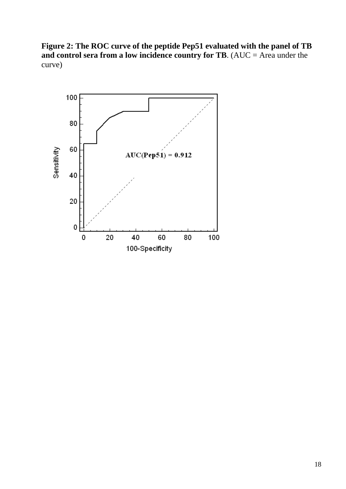**Figure 2: The ROC curve of the peptide Pep51 evaluated with the panel of TB**  and control sera from a low incidence country for TB. (AUC = Area under the curve)

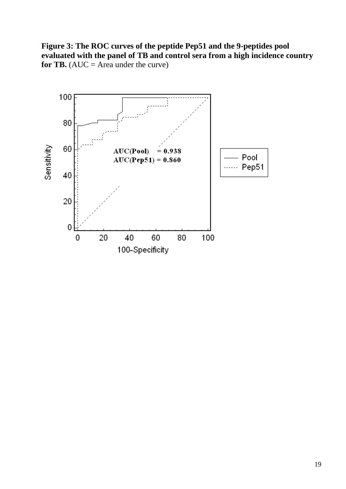**Figure 3: The ROC curves of the peptide Pep51 and the 9-peptides pool evaluated with the panel of TB and control sera from a high incidence country for TB.** ( $AUC = Area$  under the curve)

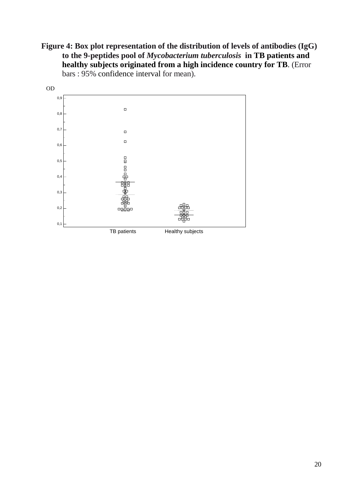**Figure 4: Box plot representation of the distribution of levels of antibodies (IgG) to the 9-peptides pool of** *Mycobacterium tuberculosis* **in TB patients and healthy subjects originated from a high incidence country for TB**. (Error bars : 95% confidence interval for mean).

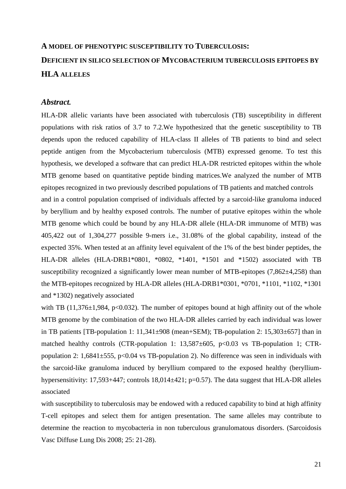# **A MODEL OF PHENOTYPIC SUSCEPTIBILITY TO TUBERCULOSIS: DEFICIENT IN SILICO SELECTION OF MYCOBACTERIUM TUBERCULOSIS EPITOPES BY HLA ALLELES**

#### *Abstract.*

HLA-DR allelic variants have been associated with tuberculosis (TB) susceptibility in different populations with risk ratios of 3.7 to 7.2.We hypothesized that the genetic susceptibility to TB depends upon the reduced capability of HLA-class II alleles of TB patients to bind and select peptide antigen from the Mycobacterium tuberculosis (MTB) expressed genome. To test this hypothesis, we developed a software that can predict HLA-DR restricted epitopes within the whole MTB genome based on quantitative peptide binding matrices.We analyzed the number of MTB epitopes recognized in two previously described populations of TB patients and matched controls

and in a control population comprised of individuals affected by a sarcoid-like granuloma induced by beryllium and by healthy exposed controls. The number of putative epitopes within the whole MTB genome which could be bound by any HLA-DR allele (HLA-DR immunome of MTB) was 405,422 out of 1,304,277 possible 9-mers i.e., 31.08% of the global capability, instead of the expected 35%. When tested at an affinity level equivalent of the 1% of the best binder peptides, the HLA-DR alleles (HLA-DRB1\*0801, \*0802, \*1401, \*1501 and \*1502) associated with TB susceptibility recognized a significantly lower mean number of MTB-epitopes (7,862±4,258) than the MTB-epitopes recognized by HLA-DR alleles (HLA-DRB1\*0301, \*0701, \*1101, \*1102, \*1301 and \*1302) negatively associated

with TB  $(11,376\pm1,984, p<0.032)$ . The number of epitopes bound at high affinity out of the whole MTB genome by the combination of the two HLA-DR alleles carried by each individual was lower in TB patients [TB-population 1: 11,341±908 (mean+SEM); TB-population 2: 15,303±657] than in matched healthy controls (CTR-population 1: 13,587±605, p<0.03 vs TB-population 1; CTRpopulation 2:  $1,6841 \pm 555$ , p<0.04 vs TB-population 2). No difference was seen in individuals with the sarcoid-like granuloma induced by beryllium compared to the exposed healthy (berylliumhypersensitivity: 17,593+447; controls 18,014±421; p=0.57). The data suggest that HLA-DR alleles associated

with susceptibility to tuberculosis may be endowed with a reduced capability to bind at high affinity T-cell epitopes and select them for antigen presentation. The same alleles may contribute to determine the reaction to mycobacteria in non tuberculous granulomatous disorders. (Sarcoidosis Vasc Diffuse Lung Dis 2008; 25: 21-28).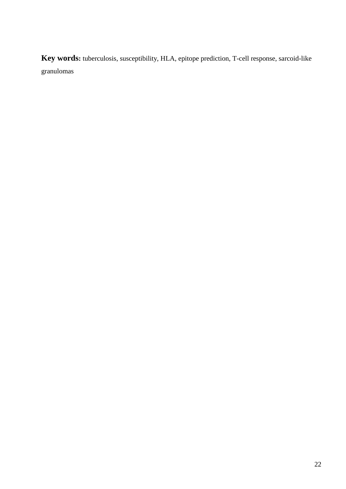**Key words:** tuberculosis, susceptibility, HLA, epitope prediction, T-cell response, sarcoid-like granulomas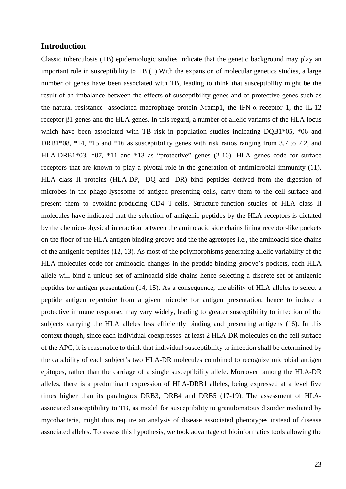#### **Introduction**

Classic tuberculosis (TB) epidemiologic studies indicate that the genetic background may play an important role in susceptibility to TB (1).With the expansion of molecular genetics studies, a large number of genes have been associated with TB, leading to think that susceptibility might be the result of an imbalance between the effects of susceptibility genes and of protective genes such as the natural resistance- associated macrophage protein Nramp1, the IFN-α receptor 1, the IL-12 receptor β1 genes and the HLA genes. In this regard, a number of allelic variants of the HLA locus which have been associated with TB risk in population studies indicating DOB1\*05, \*06 and DRB1\*08, \*14, \*15 and \*16 as susceptibility genes with risk ratios ranging from 3.7 to 7.2, and HLA-DRB1\*03, \*07, \*11 and \*13 as "protective" genes (2-10). HLA genes code for surface receptors that are known to play a pivotal role in the generation of antimicrobial immunity (11). HLA class II proteins (HLA-DP, -DQ and -DR) bind peptides derived from the digestion of microbes in the phago-lysosome of antigen presenting cells, carry them to the cell surface and present them to cytokine-producing CD4 T-cells. Structure-function studies of HLA class II molecules have indicated that the selection of antigenic peptides by the HLA receptors is dictated by the chemico-physical interaction between the amino acid side chains lining receptor-like pockets on the floor of the HLA antigen binding groove and the the agretopes i.e., the aminoacid side chains of the antigenic peptides (12, 13). As most of the polymorphisms generating allelic variability of the HLA molecules code for aminoacid changes in the peptide binding groove's pockets, each HLA allele will bind a unique set of aminoacid side chains hence selecting a discrete set of antigenic peptides for antigen presentation (14, 15). As a consequence, the ability of HLA alleles to select a peptide antigen repertoire from a given microbe for antigen presentation, hence to induce a protective immune response, may vary widely, leading to greater susceptibility to infection of the subjects carrying the HLA alleles less efficiently binding and presenting antigens (16). In this context though, since each individual coexpresses at least 2 HLA-DR molecules on the cell surface of the APC, it is reasonable to think that individual susceptibility to infection shall be determined by the capability of each subject's two HLA-DR molecules combined to recognize microbial antigen epitopes, rather than the carriage of a single susceptibility allele. Moreover, among the HLA-DR alleles, there is a predominant expression of HLA-DRB1 alleles, being expressed at a level five times higher than its paralogues DRB3, DRB4 and DRB5 (17-19). The assessment of HLAassociated susceptibility to TB, as model for susceptibility to granulomatous disorder mediated by mycobacteria, might thus require an analysis of disease associated phenotypes instead of disease associated alleles. To assess this hypothesis, we took advantage of bioinformatics tools allowing the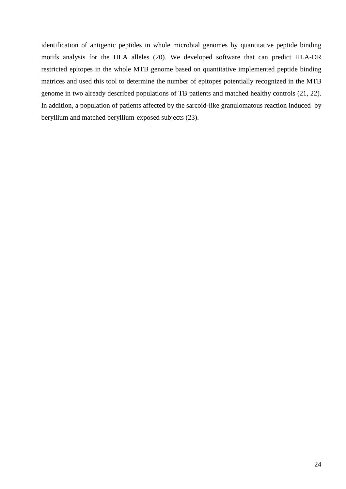identification of antigenic peptides in whole microbial genomes by quantitative peptide binding motifs analysis for the HLA alleles (20). We developed software that can predict HLA-DR restricted epitopes in the whole MTB genome based on quantitative implemented peptide binding matrices and used this tool to determine the number of epitopes potentially recognized in the MTB genome in two already described populations of TB patients and matched healthy controls (21, 22). In addition, a population of patients affected by the sarcoid-like granulomatous reaction induced by beryllium and matched beryllium-exposed subjects (23).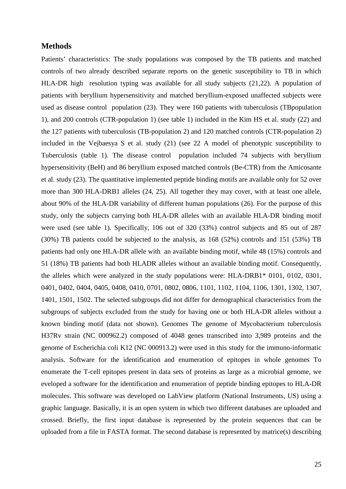#### **Methods**

Patients' characteristics: The study populations was composed by the TB patients and matched controls of two already described separate reports on the genetic susceptibility to TB in which HLA-DR high resolution typing was available for all study subjects (21,22). A population of patients with beryllium hypersensitivity and matched beryllium-exposed unaffected subjects were used as disease control population (23). They were 160 patients with tuberculosis (TBpopulation 1), and 200 controls (CTR-population 1) (see table 1) included in the Kim HS et al. study (22) and the 127 patients with tuberculosis (TB-population 2) and 120 matched controls (CTR-population 2) included in the Vejbaesya S et al. study (21) (see 22 A model of phenotypic susceptibility to Tuberculosis (table 1). The disease control population included 74 subjects with beryllium hypersensitivity (BeH) and 86 beryllium exposed matched controls (Be-CTR) from the Amicosante et al. study (23). The quantitative implemented peptide binding motifs are available only for 52 over more than 300 HLA-DRB1 alleles (24, 25). All together they may cover, with at least one allele, about 90% of the HLA-DR variability of different human populations (26). For the purpose of this study, only the subjects carrying both HLA-DR alleles with an available HLA-DR binding motif were used (see table 1). Specifically, 106 out of 320 (33%) control subjects and 85 out of 287 (30%) TB patients could be subjected to the analysis, as 168 (52%) controls and 151 (53%) TB patients had only one HLA-DR allele with an available binding motif, while 48 (15%) controls and 51 (18%) TB patients had both HLADR alleles without an available binding motif. Consequently, the alleles which were analyzed in the study populations were: HLA-DRB1\* 0101, 0102, 0301, 0401, 0402, 0404, 0405, 0408, 0410, 0701, 0802, 0806, 1101, 1102, 1104, 1106, 1301, 1302, 1307, 1401, 1501, 1502. The selected subgroups did not differ for demographical characteristics from the subgroups of subjects excluded from the study for having one or both HLA-DR alleles without a known binding motif (data not shown). Genomes The genome of Mycobacterium tuberculosis H37Rv strain (NC 000962.2) composed of 4048 genes transcribed into 3,989 proteins and the genome of Escherichia coli K12 (NC 000913.2) were used in this study for the immuno-informatic analysis. Software for the identification and enumeration of epitopes in whole genomes To enumerate the T-cell epitopes present in data sets of proteins as large as a microbial genome, we eveloped a software for the identification and enumeration of peptide binding epitopes to HLA-DR molecules. This software was developed on LabView platform (National Instruments, US) using a graphic language. Basically, it is an open system in which two different databases are uploaded and crossed. Briefly, the first input database is represented by the protein sequences that can be uploaded from a file in FASTA format. The second database is represented by matrice(s) describing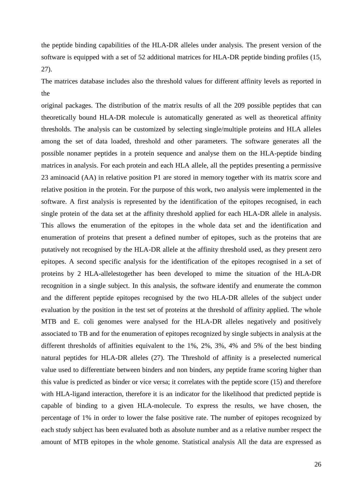the peptide binding capabilities of the HLA-DR alleles under analysis. The present version of the software is equipped with a set of 52 additional matrices for HLA-DR peptide binding profiles (15, 27).

The matrices database includes also the threshold values for different affinity levels as reported in the

original packages. The distribution of the matrix results of all the 209 possible peptides that can theoretically bound HLA-DR molecule is automatically generated as well as theoretical affinity thresholds. The analysis can be customized by selecting single/multiple proteins and HLA alleles among the set of data loaded, threshold and other parameters. The software generates all the possible nonamer peptides in a protein sequence and analyse them on the HLA-peptide binding matrices in analysis. For each protein and each HLA allele, all the peptides presenting a permissive 23 aminoacid (AA) in relative position P1 are stored in memory together with its matrix score and relative position in the protein. For the purpose of this work, two analysis were implemented in the software. A first analysis is represented by the identification of the epitopes recognised, in each single protein of the data set at the affinity threshold applied for each HLA-DR allele in analysis. This allows the enumeration of the epitopes in the whole data set and the identification and enumeration of proteins that present a defined number of epitopes, such as the proteins that are putatively not recognised by the HLA-DR allele at the affinity threshold used, as they present zero epitopes. A second specific analysis for the identification of the epitopes recognised in a set of proteins by 2 HLA-allelestogether has been developed to mime the situation of the HLA-DR recognition in a single subject. In this analysis, the software identify and enumerate the common and the different peptide epitopes recognised by the two HLA-DR alleles of the subject under evaluation by the position in the test set of proteins at the threshold of affinity applied. The whole MTB and E. coli genomes were analysed for the HLA-DR alleles negatively and positively associated to TB and for the enumeration of epitopes recognized by single subjects in analysis at the different thresholds of affinities equivalent to the 1%, 2%, 3%, 4% and 5% of the best binding natural peptides for HLA-DR alleles (27). The Threshold of affinity is a preselected numerical value used to differentiate between binders and non binders, any peptide frame scoring higher than this value is predicted as binder or vice versa; it correlates with the peptide score (15) and therefore with HLA-ligand interaction, therefore it is an indicator for the likelihood that predicted peptide is capable of binding to a given HLA-molecule. To express the results, we have chosen, the percentage of 1% in order to lower the false positive rate. The number of epitopes recognized by each study subject has been evaluated both as absolute number and as a relative number respect the amount of MTB epitopes in the whole genome. Statistical analysis All the data are expressed as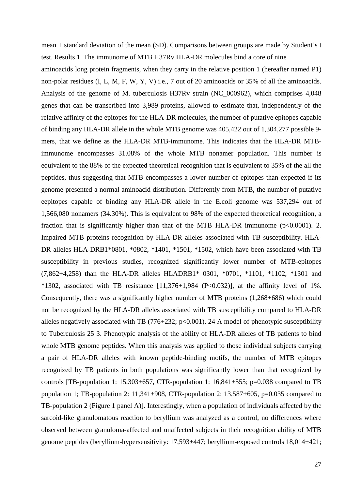mean + standard deviation of the mean (SD). Comparisons between groups are made by Student's t test. Results 1. The immunome of MTB H37Rv HLA-DR molecules bind a core of nine

aminoacids long protein fragments, when they carry in the relative position 1 (hereafter named P1) non-polar residues (I, L, M, F, W, Y, V) i.e., 7 out of 20 aminoacids or 35% of all the aminoacids. Analysis of the genome of M. tuberculosis H37Rv strain (NC\_000962), which comprises 4,048 genes that can be transcribed into 3,989 proteins, allowed to estimate that, independently of the relative affinity of the epitopes for the HLA-DR molecules, the number of putative epitopes capable of binding any HLA-DR allele in the whole MTB genome was 405,422 out of 1,304,277 possible 9 mers, that we define as the HLA-DR MTB-immunome. This indicates that the HLA-DR MTBimmunome encompasses 31.08% of the whole MTB nonamer population. This number is equivalent to the 88% of the expected theoretical recognition that is equivalent to 35% of the all the peptides, thus suggesting that MTB encompasses a lower number of epitopes than expected if its genome presented a normal aminoacid distribution. Differently from MTB, the number of putative eepitopes capable of binding any HLA-DR allele in the E.coli genome was 537,294 out of 1,566,080 nonamers (34.30%). This is equivalent to 98% of the expected theoretical recognition, a fraction that is significantly higher than that of the MTB HLA-DR immunome  $(p<0.0001)$ . 2. Impaired MTB proteins recognition by HLA-DR alleles associated with TB susceptibility. HLA-DR alleles HLA-DRB1\*0801, \*0802, \*1401, \*1501, \*1502, which have been associated with TB susceptibility in previous studies, recognized significantly lower number of MTB-epitopes (7,862+4,258) than the HLA-DR alleles HLADRB1\* 0301, \*0701, \*1101, \*1102, \*1301 and  $*1302$ , associated with TB resistance  $[11,376+1,984 \ (P<0.032)]$ , at the affinity level of 1%. Consequently, there was a significantly higher number of MTB proteins (1,268+686) which could not be recognized by the HLA-DR alleles associated with TB susceptibility compared to HLA-DR alleles negatively associated with TB (776+232;  $p<0.001$ ). 24 A model of phenotypic susceptibility to Tuberculosis 25 3. Phenotypic analysis of the ability of HLA-DR alleles of TB patients to bind whole MTB genome peptides. When this analysis was applied to those individual subjects carrying a pair of HLA-DR alleles with known peptide-binding motifs, the number of MTB epitopes recognized by TB patients in both populations was significantly lower than that recognized by controls [TB-population 1: 15,303 $\pm$ 657, CTR-population 1: 16,841 $\pm$ 555; p=0.038 compared to TB population 1; TB-population 2: 11,341±908, CTR-population 2: 13,587±605, p=0.035 compared to TB-population 2 (Figure 1 panel A)]. Interestingly, when a population of individuals affected by the sarcoid-like granulomatous reaction to beryllium was analyzed as a control, no differences where observed between granuloma-affected and unaffected subjects in their recognition ability of MTB genome peptides (beryllium-hypersensitivity: 17,593±447; beryllium-exposed controls 18,014±421;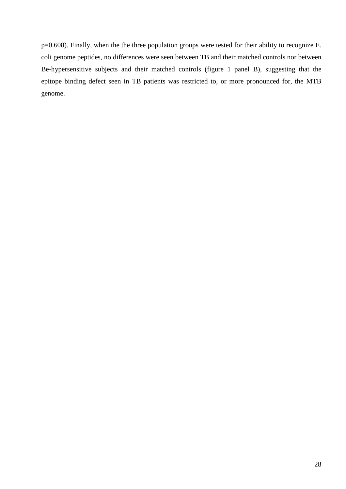p=0.608). Finally, when the the three population groups were tested for their ability to recognize E. coli genome peptides, no differences were seen between TB and their matched controls nor between Be-hypersensitive subjects and their matched controls (figure 1 panel B), suggesting that the epitope binding defect seen in TB patients was restricted to, or more pronounced for, the MTB genome.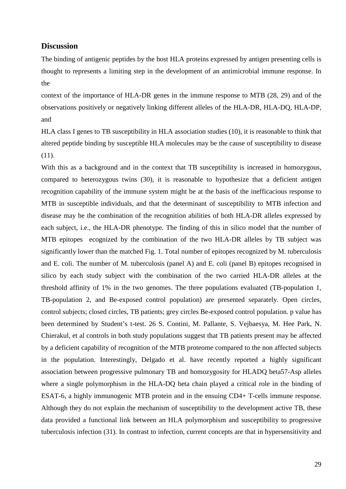#### **Discussion**

The binding of antigenic peptides by the host HLA proteins expressed by antigen presenting cells is thought to represents a limiting step in the development of an antimicrobial immune response. In the

context of the importance of HLA-DR genes in the immune response to MTB (28, 29) and of the observations positively or negatively linking different alleles of the HLA-DR, HLA-DQ, HLA-DP, and

HLA class I genes to TB susceptibility in HLA association studies (10), it is reasonable to think that altered peptide binding by susceptible HLA molecules may be the cause of susceptibility to disease (11).

With this as a background and in the context that TB susceptibility is increased in homozygous, compared to heterozygous twins (30), it is reasonable to hypothesize that a deficient antigen recognition capability of the immune system might be at the basis of the inefficacious response to MTB in susceptible individuals, and that the determinant of susceptibility to MTB infection and disease may be the combination of the recognition abilities of both HLA-DR alleles expressed by each subject, i.e., the HLA-DR phenotype. The finding of this in silico model that the number of MTB epitopes ecognized by the combination of the two HLA-DR alleles by TB subject was significantly lower than the matched Fig. 1. Total number of epitopes recognized by M. tuberculosis and E. coli. The number of M. tuberculosis (panel A) and E. coli (panel B) epitopes recognised in silico by each study subject with the combination of the two carried HLA-DR alleles at the threshold affinity of 1% in the two genomes. The three populations evaluated (TB-population 1, TB-population 2, and Be-exposed control population) are presented separately. Open circles, control subjects; closed circles, TB patients; grey circles Be-exposed control population. p value has been determined by Student's t-test. 26 S. Contini, M. Pallante, S. Vejbaesya, M. Hee Park, N. Chierakul, et al controls in both study populations suggest that TB patients present may be affected by a deficient capability of recognition of the MTB proteome compared to the non affected subjects in the population. Interestingly, Delgado et al. have recently reported a highly significant association between progressive pulmonary TB and homozygosity for HLADQ beta57-Asp alleles where a single polymorphism in the HLA-DQ beta chain played a critical role in the binding of ESAT-6, a highly immunogenic MTB protein and in the ensuing CD4+ T-cells immune response. Although they do not explain the mechanism of susceptibility to the development active TB, these data provided a functional link between an HLA polymorphism and susceptibility to progressive tuberculosis infection (31). In contrast to infection, current concepts are that in hypersensitivity and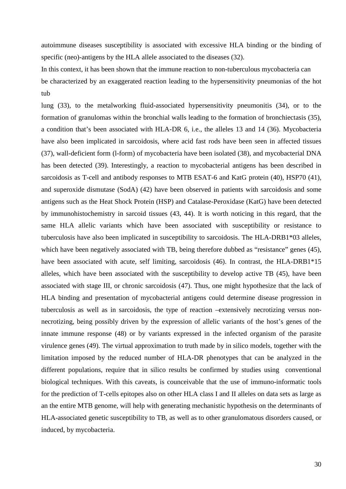autoimmune diseases susceptibility is associated with excessive HLA binding or the binding of specific (neo)-antigens by the HLA allele associated to the diseases (32).

In this context, it has been shown that the immune reaction to non-tuberculous mycobacteria can be characterized by an exaggerated reaction leading to the hypersensitivity pneumonias of the hot tub

lung (33), to the metalworking fluid-associated hypersensitivity pneumonitis (34), or to the formation of granulomas within the bronchial walls leading to the formation of bronchiectasis (35), a condition that's been associated with HLA-DR 6, i.e., the alleles 13 and 14 (36). Mycobacteria have also been implicated in sarcoidosis, where acid fast rods have been seen in affected tissues (37), wall-deficient form (l-form) of mycobacteria have been isolated (38), and mycobacterial DNA has been detected (39). Interestingly, a reaction to mycobacterial antigens has been described in sarcoidosis as T-cell and antibody responses to MTB ESAT-6 and KatG protein (40), HSP70 (41), and superoxide dismutase (SodA) (42) have been observed in patients with sarcoidosis and some antigens such as the Heat Shock Protein (HSP) and Catalase-Peroxidase (KatG) have been detected by immunohistochemistry in sarcoid tissues (43, 44). It is worth noticing in this regard, that the same HLA allelic variants which have been associated with susceptibility or resistance to tuberculosis have also been implicated in susceptibility to sarcoidosis. The HLA-DRB1\*03 alleles, which have been negatively associated with TB, being therefore dubbed as "resistance" genes (45), have been associated with acute, self limiting, sarcoidosis (46). In contrast, the HLA-DRB1\*15 alleles, which have been associated with the susceptibility to develop active TB (45), have been associated with stage III, or chronic sarcoidosis (47). Thus, one might hypothesize that the lack of HLA binding and presentation of mycobacterial antigens could determine disease progression in tuberculosis as well as in sarcoidosis, the type of reaction –extensively necrotizing versus nonnecrotizing, being possibly driven by the expression of allelic variants of the host's genes of the innate immune response (48) or by variants expressed in the infected organism of the parasite virulence genes (49). The virtual approximation to truth made by in silico models, together with the limitation imposed by the reduced number of HLA-DR phenotypes that can be analyzed in the different populations, require that in silico results be confirmed by studies using conventional biological techniques. With this caveats, is counceivable that the use of immuno-informatic tools for the prediction of T-cells epitopes also on other HLA class I and II alleles on data sets as large as an the entire MTB genome, will help with generating mechanistic hypothesis on the determinants of HLA-associated genetic susceptibility to TB, as well as to other granulomatous disorders caused, or induced, by mycobacteria.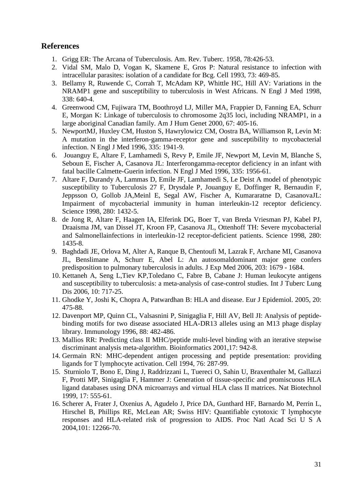### **References**

- 1. Grigg ER: The Arcana of Tuberculosis. Am. Rev. Tuberc. 1958, 78:426-53.
- 2. Vidal SM, Malo D, Vogan K, Skamene E, Gros P: Natural resistance to infection with intracellular parasites: isolation of a candidate for Bcg. Cell 1993, 73: 469-85.
- 3. Bellamy R, Ruwende C, Corrah T, McAdam KP, Whittle HC, Hill AV: Variations in the NRAMP1 gene and susceptibility to tuberculosis in West Africans. N Engl J Med 1998, 338: 640-4.
- 4. Greenwood CM, Fujiwara TM, Boothroyd LJ, Miller MA, Frappier D, Fanning EA, Schurr E, Morgan K: Linkage of tuberculosis to chromosome 2q35 loci, including NRAMP1, in a large aboriginal Canadian family. Am J Hum Genet 2000, 67: 405-16.
- 5. NewportMJ, Huxley CM, Huston S, Hawrylowicz CM, Oostra BA, Williamson R, Levin M: A mutation in the interferon-gamma-receptor gene and susceptibility to mycobacterial infection. N Engl J Med 1996, 335: 1941-9.
- 6. Jouanguy E, Altare F, Lamhamedi S, Revy P, Emile JF, Newport M, Levin M, Blanche S, Seboun E, Fischer A, Casanova JL: Interferongamma-receptor deficiency in an infant with fatal bacille Calmette-Guerin infection. N Engl J Med 1996, 335: 1956-61.
- 7. Altare F, Durandy A, Lammas D, Emile JF, Lamhamedi S, Le Deist A model of phenotypic susceptibility to Tuberculosis 27 F, Drysdale P, Jouanguy E, Doffinger R, Bernaudin F, Jeppsson O, Gollob JA,Meinl E, Segal AW, Fischer A, Kumararatne D, CasanovaJL: Impairment of mycobacterial immunity in human interleukin-12 receptor deficiency. Science 1998, 280: 1432-5.
- 8. de Jong R, Altare F, Haagen IA, Elferink DG, Boer T, van Breda Vriesman PJ, Kabel PJ, Draaisma JM, van Dissel JT, Kroon FP, Casanova JL, Ottenhoff TH: Severe mycobacterial and Salmonellainfections in interleukin-12 receptor-deficient patients. Science 1998, 280: 1435-8.
- 9. Baghdadi JE, Orlova M, Alter A, Ranque B, Chentoufi M, Lazrak F, Archane MI, Casanova JL, Benslimane A, Schurr E, Abel L: An autosomaldominant major gene confers predisposition to pulmonary tuberculosis in adults. J Exp Med 2006, 203: 1679 - 1684.
- 10. Kettaneh A, Seng L,Tiev KP,Toledano C, Fabre B, Cabane J: Human leukocyte antigens and susceptibility to tuberculosis: a meta-analysis of case-control studies. Int J Tuberc Lung Dis 2006, 10: 717-25.
- 11. Ghodke Y, Joshi K, Chopra A, Patwardhan B: HLA and disease. Eur J Epidemiol. 2005, 20: 475-88.
- 12. Davenport MP, Quinn CL, Valsasnini P, Sinigaglia F, Hill AV, Bell JI: Analysis of peptidebinding motifs for two disease associated HLA-DR13 alleles using an M13 phage display library. Immunology 1996, 88: 482-486.
- 13. Mallios RR: Predicting class II MHC/peptide multi-level binding with an iterative stepwise discriminant analysis meta-algorithm. Bioinformatics 2001,17: 942-8.
- 14. Germain RN: MHC-dependent antigen processing and peptide presentation: providing ligands for T lymphocyte activation. Cell 1994, 76: 287-99.
- 15. Sturniolo T, Bono E, Ding J, Raddrizzani L, Tuereci O, Sahin U, Braxenthaler M, Gallazzi F, Protti MP, Sinigaglia F, Hammer J: Generation of tissue-specific and promiscuous HLA ligand databases using DNA microarrays and virtual HLA class II matrices. Nat Biotechnol 1999, 17: 555-61.
- 16. Scherer A, Frater J, Oxenius A, Agudelo J, Price DA, Gunthard HF, Barnardo M, Perrin L, Hirschel B, Phillips RE, McLean AR; Swiss HIV: Quantifiable cytotoxic T lymphocyte responses and HLA-related risk of progression to AIDS. Proc Natl Acad Sci U S A 2004,101: 12266-70.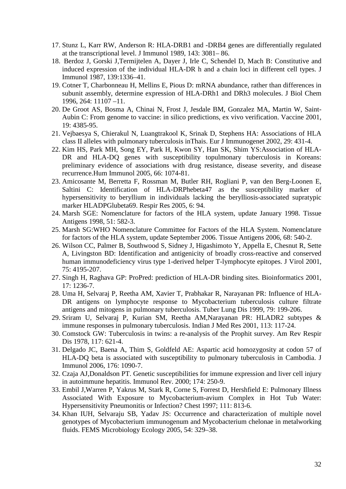- 17. Stunz L, Karr RW, Anderson R: HLA-DRB1 and -DRB4 genes are differentially regulated at the transcriptional level. J Immunol 1989, 143: 3081– 86.
- 18. Berdoz J, Gorski J,Termijtelen A, Dayer J, Irle C, Schendel D, Mach B: Constitutive and induced expression of the individual HLA-DR h and a chain loci in different cell types. J Immunol 1987, 139:1336–41.
- 19. Cotner T, Charbonneau H, Mellins E, Pious D: mRNA abundance, rather than differences in subunit assembly, determine expression of HLA-DRh1 and DRh3 molecules. J Biol Chem 1996, 264: 11107 –11.
- 20. De Groot AS, Bosma A, Chinai N, Frost J, Jesdale BM, Gonzalez MA, Martin W, Saint-Aubin C: From genome to vaccine: in silico predictions, ex vivo verification. Vaccine 2001, 19: 4385-95.
- 21. Vejbaesya S, Chierakul N, Luangtrakool K, Srinak D, Stephens HA: Associations of HLA class II alleles with pulmonary tuberculosis inThais. Eur J Immunogenet 2002, 29: 431-4.
- 22. Kim HS, Park MH, Song EY, Park H, Kwon SY, Han SK, Shim YS:Association of HLA-DR and HLA-DQ genes with susceptibility topulmonary tuberculosis in Koreans: preliminary evidence of associations with drug resistance, disease severity, and disease recurrence.Hum Immunol 2005, 66: 1074-81.
- 23. Amicosante M, Berretta F, Rossman M, Butler RH, Rogliani P, van den Berg-Loonen E, Saltini C: Identification of HLA-DRPhebeta47 as the susceptibility marker of hypersensitivity to beryllium in individuals lacking the berylliosis-associated supratypic marker HLADPGlubeta69. Respir Res 2005, 6: 94.
- 24. Marsh SGE: Nomenclature for factors of the HLA system, update January 1998. Tissue Antigens 1998, 51: 582-3.
- 25. Marsh SG:WHO Nomenclature Committee for Factors of the HLA System. Nomenclature for factors of the HLA system, update September 2006. Tissue Antigens 2006, 68: 540-2.
- 26. Wilson CC, Palmer B, Southwood S, Sidney J, Higashimoto Y, Appella E, Chesnut R, Sette A, Livingston BD: Identification and antigenicity of broadly cross-reactive and conserved human immunodeficiency virus type 1-derived helper T-lymphocyte epitopes. J Virol 2001, 75: 4195-207.
- 27. Singh H, Raghava GP: ProPred: prediction of HLA-DR binding sites. Bioinformatics 2001, 17: 1236-7.
- 28. Uma H, Selvaraj P, Reetha AM, Xavier T, Prabhakar R, Narayanan PR: Influence of HLA-DR antigens on lymphocyte response to Mycobacterium tuberculosis culture filtrate antigens and mitogens in pulmonary tuberculosis. Tuber Lung Dis 1999, 79: 199-206.
- 29. Sriram U, Selvaraj P, Kurian SM, Reetha AM,Narayanan PR: HLADR2 subtypes & immune responses in pulmonary tuberculosis. Indian J Med Res 2001, 113: 117-24.
- 30. Comstock GW: Tuberculosis in twins: a re-analysis of the Prophit survey. Am Rev Respir Dis 1978, 117: 621-4.
- 31. Delgado JC, Baena A, Thim S, Goldfeld AE: Aspartic acid homozygosity at codon 57 of HLA-DQ beta is associated with susceptibility to pulmonary tuberculosis in Cambodia. J Immunol 2006, 176: 1090-7.
- 32. Czaja AJ,Donaldson PT. Genetic susceptibilities for immune expression and liver cell injury in autoimmune hepatitis. Immunol Rev. 2000; 174: 250-9.
- 33. Embil J,Warren P, Yakrus M, Stark R, Corne S, Forrest D, Hershfield E: Pulmonary Illness Associated With Exposure to Mycobacterium-avium Complex in Hot Tub Water: Hypersensitivity Pneumonitis or Infection? Chest 1997; 111: 813-6.
- 34. Khan IUH, Selvaraju SB, Yadav JS: Occurrence and characterization of multiple novel genotypes of Mycobacterium immunogenum and Mycobacterium chelonae in metalworking fluids. FEMS Microbiology Ecology 2005, 54: 329–38.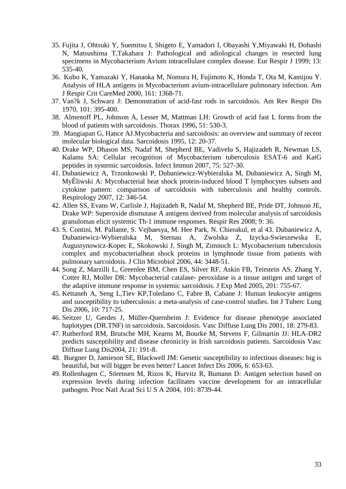- 35. Fujita J, Ohtsuki Y, Suemitsu I, Shigeto E, Yamadori I, Obayashi Y,Miyawaki H, Dobashi N, Matsushima T,Takahara J: Pathological and adiological changes in resected lung specimens in Mycobacterium Avium intracellulare complex disease. Eur Respir J 1999; 13: 535-40.
- 36. Kubo K, Yamazaki Y, Hanaoka M, Nomura H, Fujimoto K, Honda T, Ota M, Kamijou Y. Analysis of HLA antigens in Mycobacterium avium-intracellulare pulmonary infection. Am J Respir Crit CareMed 2000, 161: 1368-71.
- 37. Van?k J, Schwarz J: Demonstration of acid-fast rods in sarcoidosis. Am Rev Respir Dis 1970, 101: 395-400.
- 38. Almenoff PL, Johnson A, Lesser M, Mattman LH: Growth of acid fast L forms from the blood of patients with sarcoidosis. Thorax 1996, 51: 530-3.
- 39. Mangiapan G, Hance AJ.Mycobacteria and sarcoidosis: an overview and summary of recent molecular biological data. Sarcoidosis 1995, 12: 20-37.
- 40. Drake WP, Dhason MS, Nadaf M, Shepherd BE, Vadivelu S, Hajizadeh R, Newman LS, Kalams SA: Cellular recognition of Mycobacterium tuberculosis ESAT-6 and KatG peptides in systemic sarcoidosis. Infect Immun 2007, 75: 527-30.
- 41. Dubaniewicz A, Trzonkowski P, Dubaniewicz-Wybieralska M, Dubaniewicz A, Singh M, MyÊliwski A: Mycobacterial heat shock protein-induced blood T lymphocytes subsets and cytokine pattern: comparison of sarcoidosis with tuberculosis and healthy controls. Respirology 2007, 12: 346-54.
- 42. Allen SS, Evans W, Carlisle J, Hajizadeh R, Nadaf M, Shepherd BE, Pride DT, Johnson JE, Drake WP: Superoxide dismutase A antigens derived from molecular analysis of sarcoidosis granulomas elicit systemic Th-1 immune responses. Respir Res 2008; 9: 36.
- 43. S. Contini, M. Pallante, S. Vejbaesya, M. Hee Park, N. Chierakul, et al 43. Dubaniewicz A, Dubaniewicz-Wybieralska M, Sternau A, Zwolska Z, Izycka-Swieszewska E, Augustynowicz-Kopec E, Skokowski J, Singh M, Zimnoch L: Mycobacterium tuberculosis complex and mycobacterialheat shock proteins in lymphnode tissue from patients with pulmonary sarcoidosis. J Clin Microbiol 2006, 44: 3448-51.
- 44. Song Z, Marzilli L, Greenlee BM, Chen ES, Silver RF, Askin FB, Teirstein AS, Zhang Y, Cotter RJ, Moller DR: Mycobacterial catalase- peroxidase is a tissue antigen and target of the adaptive immune response in systemic sarcoidosis. J Exp Med 2005, 201: 755-67.
- 45. Kettaneh A, Seng L,Tiev KP,Toledano C, Fabre B, Cabane J: Human leukocyte antigens and susceptibility to tuberculosis: a meta-analysis of case-control studies. Int J Tuberc Lung Dis 2006, 10: 717-25.
- 46. Seitzer U, Gerdes J, Müller-Quernheim J: Evidence for disease phenotype associated haplotypes (DR.TNF) in sarcoidosis. Sarcoidosis. Vasc Diffuse Lung Dis 2001, 18: 279-83.
- 47. Rutherford RM, Brutsche MH, Kearns M, Bourke M, Stevens F, Gilmartin JJ: HLA-DR2 predicts susceptibility and disease chronicity in Irish sarcoidosis patients. Sarcoidosis Vasc Diffuse Lung Dis2004, 21: 191-8.
- 48. Burgner D, Jamieson SE, Blackwell JM: Genetic susceptibility to infectious diseases: big is beautiful, but will bigger be even better? Lancet Infect Dis 2006, 6: 653-63.
- 49. Rollenhagen C, Sörensen M, Rizos K, Hurvitz R, Bumann D: Antigen selection based on expression levels during infection facilitates vaccine development for an intracellular pathogen. Proc Natl Acad Sci U S A 2004, 101: 8739-44.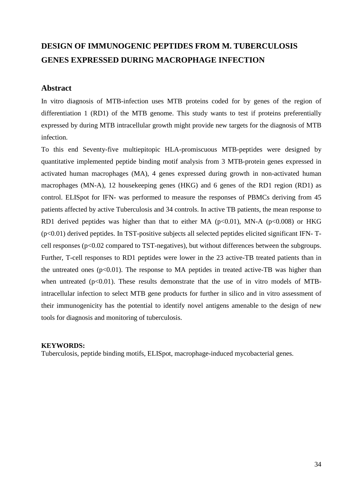# **DESIGN OF IMMUNOGENIC PEPTIDES FROM M. TUBERCULOSIS GENES EXPRESSED DURING MACROPHAGE INFECTION**

#### **Abstract**

In vitro diagnosis of MTB-infection uses MTB proteins coded for by genes of the region of differentiation 1 (RD1) of the MTB genome. This study wants to test if proteins preferentially expressed by during MTB intracellular growth might provide new targets for the diagnosis of MTB infection.

To this end Seventy-five multiepitopic HLA-promiscuous MTB-peptides were designed by quantitative implemented peptide binding motif analysis from 3 MTB-protein genes expressed in activated human macrophages (MA), 4 genes expressed during growth in non-activated human macrophages (MN-A), 12 housekeeping genes (HKG) and 6 genes of the RD1 region (RD1) as control. ELISpot for IFN- was performed to measure the responses of PBMCs deriving from 45 patients affected by active Tuberculosis and 34 controls. In active TB patients, the mean response to RD1 derived peptides was higher than that to either MA ( $p<0.01$ ), MN-A ( $p<0.008$ ) or HKG (p<0.01) derived peptides. In TST-positive subjects all selected peptides elicited significant IFN- Tcell responses (p<0.02 compared to TST-negatives), but without differences between the subgroups. Further, T-cell responses to RD1 peptides were lower in the 23 active-TB treated patients than in the untreated ones  $(p<0.01)$ . The response to MA peptides in treated active-TB was higher than when untreated  $(p<0.01)$ . These results demonstrate that the use of in vitro models of MTBintracellular infection to select MTB gene products for further in silico and in vitro assessment of their immunogenicity has the potential to identify novel antigens amenable to the design of new tools for diagnosis and monitoring of tuberculosis.

#### **KEYWORDS:**

Tuberculosis, peptide binding motifs, ELISpot, macrophage-induced mycobacterial genes.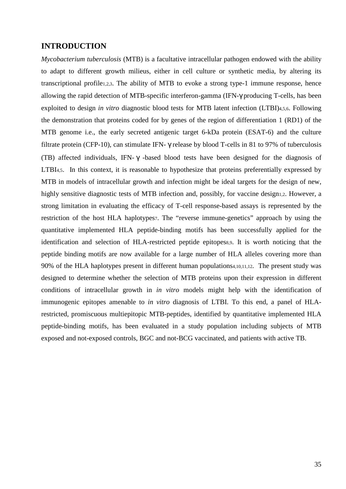#### **INTRODUCTION**

*Mycobacterium tuberculosis* (MTB) is a facultative intracellular pathogen endowed with the ability to adapt to different growth milieus, either in cell culture or synthetic media, by altering its transcriptional profile1,2,3. The ability of MTB to evoke a strong type-1 immune response, hence allowing the rapid detection of MTB-specific interferon-gamma (IFN-γ producing T-cells, has been exploited to design *in vitro* diagnostic blood tests for MTB latent infection (LTBI)4,5,6. Following the demonstration that proteins coded for by genes of the region of differentiation 1 (RD1) of the MTB genome i.e., the early secreted antigenic target 6-kDa protein (ESAT-6) and the culture filtrate protein (CFP-10), can stimulate IFN- γ release by blood T-cells in 81 to 97% of tuberculosis (TB) affected individuals, IFN- γ -based blood tests have been designed for the diagnosis of LTBI<sub>4,5</sub>. In this context, it is reasonable to hypothesize that proteins preferentially expressed by MTB in models of intracellular growth and infection might be ideal targets for the design of new, highly sensitive diagnostic tests of MTB infection and, possibly, for vaccine design1,2. However, a strong limitation in evaluating the efficacy of T-cell response-based assays is represented by the restriction of the host HLA haplotypes7. The "reverse immune-genetics" approach by using the quantitative implemented HLA peptide-binding motifs has been successfully applied for the identification and selection of HLA-restricted peptide epitopes8,9. It is worth noticing that the peptide binding motifs are now available for a large number of HLA alleles covering more than 90% of the HLA haplotypes present in different human populations4,10,11,12. The present study was designed to determine whether the selection of MTB proteins upon their expression in different conditions of intracellular growth in *in vitro* models might help with the identification of immunogenic epitopes amenable to *in vitro* diagnosis of LTBI. To this end, a panel of HLArestricted, promiscuous multiepitopic MTB-peptides, identified by quantitative implemented HLA peptide-binding motifs, has been evaluated in a study population including subjects of MTB exposed and not-exposed controls, BGC and not-BCG vaccinated, and patients with active TB.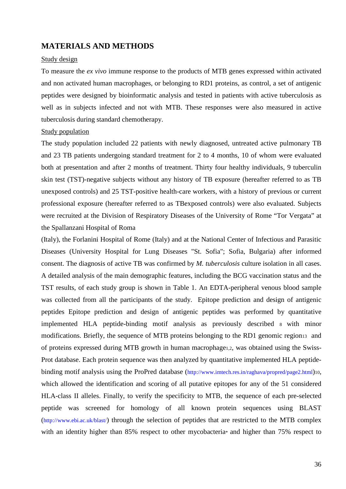### **MATERIALS AND METHODS**

#### Study design

To measure the *ex vivo* immune response to the products of MTB genes expressed within activated and non activated human macrophages, or belonging to RD1 proteins, as control, a set of antigenic peptides were designed by bioinformatic analysis and tested in patients with active tuberculosis as well as in subjects infected and not with MTB. These responses were also measured in active tuberculosis during standard chemotherapy.

#### Study population

The study population included 22 patients with newly diagnosed, untreated active pulmonary TB and 23 TB patients undergoing standard treatment for 2 to 4 months, 10 of whom were evaluated both at presentation and after 2 months of treatment. Thirty four healthy individuals, 9 tuberculin skin test (TST)-negative subjects without any history of TB exposure (hereafter referred to as TB unexposed controls) and 25 TST-positive health-care workers, with a history of previous or current professional exposure (hereafter referred to as TBexposed controls) were also evaluated. Subjects were recruited at the Division of Respiratory Diseases of the University of Rome "Tor Vergata" at the Spallanzani Hospital of Roma

(Italy), the Forlanini Hospital of Rome (Italy) and at the National Center of Infectious and Parasitic Diseases (University Hospital for Lung Diseases "St. Sofia"; Sofia, Bulgaria) after informed consent. The diagnosis of active TB was confirmed by *M. tuberculosis* culture isolation in all cases. A detailed analysis of the main demographic features, including the BCG vaccination status and the TST results, of each study group is shown in Table 1. An EDTA-peripheral venous blood sample was collected from all the participants of the study. Epitope prediction and design of antigenic peptides Epitope prediction and design of antigenic peptides was performed by quantitative implemented HLA peptide-binding motif analysis as previously described 8 with minor modifications. Briefly, the sequence of MTB proteins belonging to the RD1 genomic region13 and of proteins expressed during MTB growth in human macrophage1,2, was obtained using the Swiss-Prot database. Each protein sequence was then analyzed by quantitative implemented HLA peptidebinding motif analysis using the ProPred database (http://www.imtech.res.in/raghava/propred/page2.html)10, which allowed the identification and scoring of all putative epitopes for any of the 51 considered HLA-class II alleles. Finally, to verify the specificity to MTB, the sequence of each pre-selected peptide was screened for homology of all known protein sequences using BLAST (http://www.ebi.ac.uk/blast/) through the selection of peptides that are restricted to the MTB complex with an identity higher than 85% respect to other mycobacteria\* and higher than 75% respect to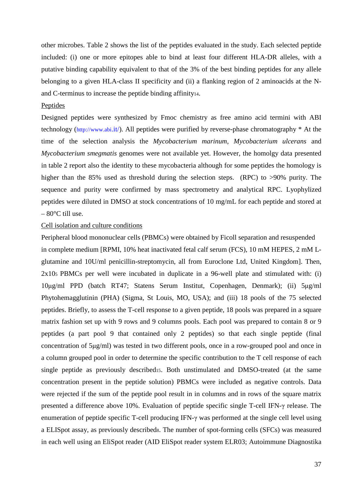other microbes. Table 2 shows the list of the peptides evaluated in the study. Each selected peptide included: (i) one or more epitopes able to bind at least four different HLA-DR alleles, with a putative binding capability equivalent to that of the 3% of the best binding peptides for any allele belonging to a given HLA-class II specificity and (ii) a flanking region of 2 aminoacids at the Nand C-terminus to increase the peptide binding affinity14.

#### Peptides

Designed peptides were synthesized by Fmoc chemistry as free amino acid termini with ABI technology (http://www.abi.it/). All peptides were purified by reverse-phase chromatography \* At the time of the selection analysis the *Mycobacterium marinum, Mycobacterium ulcerans* and *Mycobacterium smegmatis* genomes were not available yet. However, the homolgy data presented in table 2 report also the identity to these mycobacteria although for some peptides the homology is higher than the 85% used as threshold during the selection steps. (RPC) to >90% purity. The sequence and purity were confirmed by mass spectrometry and analytical RPC. Lyophylized peptides were diluted in DMSO at stock concentrations of 10 mg/mL for each peptide and stored at  $-80^{\circ}$ C till use.

#### Cell isolation and culture conditions

Peripheral blood mononuclear cells (PBMCs) were obtained by Ficoll separation and resuspended in complete medium [RPMI, 10% heat inactivated fetal calf serum (FCS), 10 mM HEPES, 2 mM Lglutamine and 10U/ml penicillin-streptomycin, all from Euroclone Ltd, United Kingdom]. Then, 2x105 PBMCs per well were incubated in duplicate in a 96-well plate and stimulated with: (i) 10µg/ml PPD (batch RT47; Statens Serum Institut, Copenhagen, Denmark); (ii) 5µg/ml Phytohemagglutinin (PHA) (Sigma, St Louis, MO, USA); and (iii) 18 pools of the 75 selected peptides. Briefly, to assess the T-cell response to a given peptide, 18 pools was prepared in a square matrix fashion set up with 9 rows and 9 columns pools. Each pool was prepared to contain 8 or 9 peptides (a part pool 9 that contained only 2 peptides) so that each single peptide (final concentration of 5µg/ml) was tested in two different pools, once in a row-grouped pool and once in a column grouped pool in order to determine the specific contribution to the T cell response of each single peptide as previously described is. Both unstimulated and DMSO-treated (at the same concentration present in the peptide solution) PBMCs were included as negative controls. Data were rejected if the sum of the peptide pool result in in columns and in rows of the square matrix presented a difference above 10%. Evaluation of peptide specific single T-cell IFN-γ release. The enumeration of peptide specific T-cell producing IFN-γ was performed at the single cell level using a ELISpot assay, as previously described8. The number of spot-forming cells (SFCs) was measured in each well using an EliSpot reader (AID EliSpot reader system ELR03; Autoimmune Diagnostika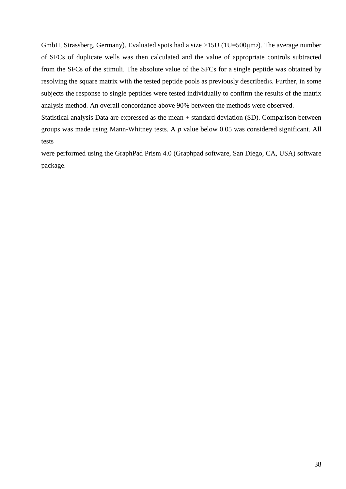GmbH, Strassberg, Germany). Evaluated spots had a size >15U (1U=500µm2). The average number of SFCs of duplicate wells was then calculated and the value of appropriate controls subtracted from the SFCs of the stimuli. The absolute value of the SFCs for a single peptide was obtained by resolving the square matrix with the tested peptide pools as previously described16. Further, in some subjects the response to single peptides were tested individually to confirm the results of the matrix analysis method. An overall concordance above 90% between the methods were observed.

Statistical analysis Data are expressed as the mean + standard deviation (SD). Comparison between groups was made using Mann-Whitney tests. A *p* value below 0.05 was considered significant. All tests

were performed using the GraphPad Prism 4.0 (Graphpad software, San Diego, CA, USA) software package.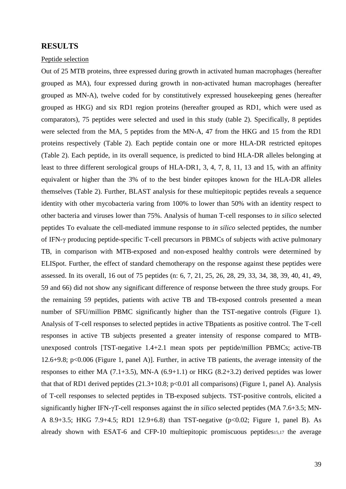#### **RESULTS**

#### Peptide selection

Out of 25 MTB proteins, three expressed during growth in activated human macrophages (hereafter grouped as MA), four expressed during growth in non-activated human macrophages (hereafter grouped as MN-A), twelve coded for by constitutively expressed housekeeping genes (hereafter grouped as HKG) and six RD1 region proteins (hereafter grouped as RD1, which were used as comparators), 75 peptides were selected and used in this study (table 2). Specifically, 8 peptides were selected from the MA, 5 peptides from the MN-A, 47 from the HKG and 15 from the RD1 proteins respectively (Table 2). Each peptide contain one or more HLA-DR restricted epitopes (Table 2). Each peptide, in its overall sequence, is predicted to bind HLA-DR alleles belonging at least to three different serological groups of HLA-DR1, 3, 4, 7, 8, 11, 13 and 15, with an affinity equivalent or higher than the 3% of to the best binder epitopes known for the HLA-DR alleles themselves (Table 2). Further, BLAST analysis for these multiepitopic peptides reveals a sequence identity with other mycobacteria varing from 100% to lower than 50% with an identity respect to other bacteria and viruses lower than 75%. Analysis of human T-cell responses to *in silico* selected peptides To evaluate the cell-mediated immune response to *in silico* selected peptides, the number of IFN-γ producing peptide-specific T-cell precursors in PBMCs of subjects with active pulmonary TB, in comparison with MTB-exposed and non-exposed healthy controls were determined by ELISpot. Further, the effect of standard chemotherapy on the response against these peptides were assessed. In its overall, 16 out of 75 peptides (n: 6, 7, 21, 25, 26, 28, 29, 33, 34, 38, 39, 40, 41, 49, 59 and 66) did not show any significant difference of response between the three study groups. For the remaining 59 peptides, patients with active TB and TB-exposed controls presented a mean number of SFU/million PBMC significantly higher than the TST-negative controls (Figure 1). Analysis of T-cell responses to selected peptides in active TBpatients as positive control. The T-cell responses in active TB subjects presented a greater intensity of response compared to MTBunexposed controls [TST-negative 1.4+2.1 mean spots per peptide/million PBMCs; active-TB 12.6+9.8; p<0.006 (Figure 1, panel A)]. Further, in active TB patients, the average intensity of the responses to either MA  $(7.1+3.5)$ , MN-A  $(6.9+1.1)$  or HKG  $(8.2+3.2)$  derived peptides was lower that that of RD1 derived peptides  $(21.3+10.8; p<0.01$  all comparisons) (Figure 1, panel A). Analysis of T-cell responses to selected peptides in TB-exposed subjects. TST-positive controls, elicited a significantly higher IFN-γT-cell responses against the *in silico* selected peptides (MA 7.6+3.5; MN-A 8.9+3.5; HKG 7.9+4.5; RD1 12.9+6.8) than TST-negative (p<0.02; Figure 1, panel B). As already shown with ESAT-6 and CFP-10 multiepitopic promiscuous peptides15,17 the average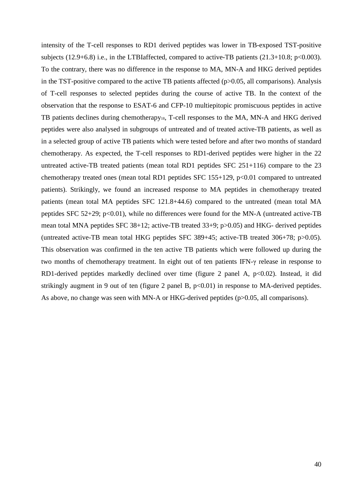intensity of the T-cell responses to RD1 derived peptides was lower in TB-exposed TST-positive subjects (12.9+6.8) i.e., in the LTBIaffected, compared to active-TB patients (21.3+10.8; p<0.003). To the contrary, there was no difference in the response to MA, MN-A and HKG derived peptides in the TST-positive compared to the active TB patients affected (p>0.05, all comparisons). Analysis of T-cell responses to selected peptides during the course of active TB. In the context of the observation that the response to ESAT-6 and CFP-10 multiepitopic promiscuous peptides in active TB patients declines during chemotherapy<sub>18</sub>, T-cell responses to the MA, MN-A and HKG derived peptides were also analysed in subgroups of untreated and of treated active-TB patients, as well as in a selected group of active TB patients which were tested before and after two months of standard chemotherapy. As expected, the T-cell responses to RD1-derived peptides were higher in the 22 untreated active-TB treated patients (mean total RD1 peptides SFC 251+116) compare to the 23 chemotherapy treated ones (mean total RD1 peptides SFC 155+129, p<0.01 compared to untreated patients). Strikingly, we found an increased response to MA peptides in chemotherapy treated patients (mean total MA peptides SFC 121.8+44.6) compared to the untreated (mean total MA peptides SFC 52+29;  $p<0.01$ ), while no differences were found for the MN-A (untreated active-TB mean total MNA peptides SFC 38+12; active-TB treated 33+9; p>0.05) and HKG- derived peptides (untreated active-TB mean total HKG peptides SFC 389+45; active-TB treated 306+78; p>0.05). This observation was confirmed in the ten active TB patients which were followed up during the two months of chemotherapy treatment. In eight out of ten patients IFN-γ release in response to RD1-derived peptides markedly declined over time (figure 2 panel A,  $p<0.02$ ). Instead, it did strikingly augment in 9 out of ten (figure 2 panel B,  $p<0.01$ ) in response to MA-derived peptides. As above, no change was seen with MN-A or HKG-derived peptides (p>0.05, all comparisons).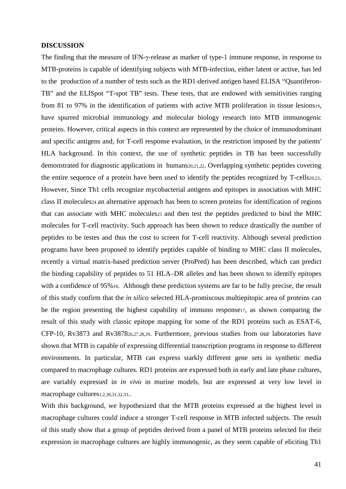#### **DISCUSSION**

The finding that the measure of IFN-γ-release as marker of type-1 immune response, in response to MTB-proteins is capable of identifying subjects with MTB-infection, either latent or active, has led to the production of a number of tests such as the RD1-derived antigen based ELISA "Quantiferon-TB" and the ELISpot "T-spot TB" tests. These tests, that are endowed with sensitivities ranging from 81 to 97% in the identification of patients with active MTB proliferation in tissue lesions19, have spurred microbial immunology and molecular biology research into MTB immunogenic proteins. However, critical aspects in this context are represented by the choice of immunodominant and specific antigens and, for T-cell response evaluation, in the restriction imposed by the patients' HLA background. In this context, the use of synthetic peptides in TB has been successfully demonstrated for diagnostic applications in humans20,21,22. Overlapping synthetic peptides covering the entire sequence of a protein have been used to identify the peptides recognized by T-cells20,23. However, Since Th1 cells recognize mycobacterial antigens and epitopes in association with MHC class II molecules24 an alternative approach has been to screen proteins for identification of regions that can associate with MHC molecules25 and then test the peptides predicted to bind the MHC molecules for T-cell reactivity. Such approach has been shown to reduce drastically the number of peptides to be testes and thus the cost to screen for T-cell reactivity. Although several prediction programs have been proposed to identify peptides capable of binding to MHC class II molecules, recently a virtual matrix-based prediction server (ProPred) has been described, which can predict the binding capability of peptides to 51 HLA–DR alleles and has been shown to identify epitopes with a confidence of 95%10. Although these prediction systems are far to be fully precise, the result of this study confirm that the *in silico* selected HLA-promiscous multiepitopic area of proteins can be the region presenting the highest capability of immuno response<sub>17</sub>, as shown comparing the result of this study with classic epitope mapping for some of the RD1 proteins such as ESAT-6, CFP-10, Rv3873 and Rv387826,27,28,29. Furthermore, previous studies from our laboratories have shown that MTB is capable of expressing differential transcription programs in response to different environments. In particular, MTB can express starkly different gene sets in synthetic media compared to macrophage cultures. RD1 proteins are expressed both in early and late phase cultures, are variably expressed in *in vivo* in murine models, but are expressed at very low level in macrophage cultures1,2,30,31,32,33..

With this background, we hypothesized that the MTB proteins expressed at the highest level in macrophage cultures could induce a stronger T-cell response in MTB infected subjects. The result of this study show that a group of peptides derived from a panel of MTB proteins selected for their expression in macrophage cultures are highly immunogenic, as they seem capable of eliciting Th1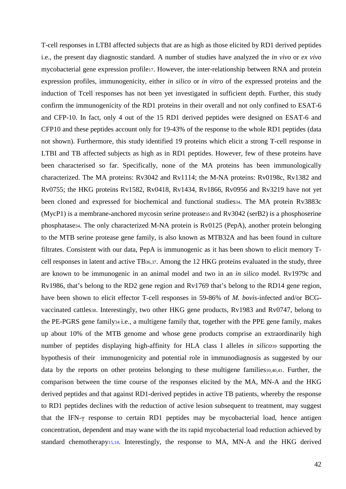T-cell responses in LTBI affected subjects that are as high as those elicited by RD1 derived peptides i.e., the present day diagnostic standard. A number of studies have analyzed the *in vivo* or *ex vivo*  mycobacterial gene expression profile17. However, the inter-relationship between RNA and protein expression profiles, immunogenicity, either *in silico* or *in vitro* of the expressed proteins and the induction of Tcell responses has not been yet investigated in sufficient depth. Further, this study confirm the immunogenicity of the RD1 proteins in their overall and not only confined to ESAT-6 and CFP-10. In fact, only 4 out of the 15 RD1 derived peptides were designed on ESAT-6 and CFP10 and these peptides account only for 19-43% of the response to the whole RD1 peptides (data not shown). Furthermore, this study identified 19 proteins which elicit a strong T-cell response in LTBI and TB affected subjects as high as in RD1 peptides. However, few of these proteins have been characterised so far. Specifically, none of the MA proteins has been immunologically characterized. The MA proteins: Rv3042 and Rv1114; the M-NA proteins: Rv0198c, Rv1382 and Rv0755; the HKG proteins Rv1582, Rv0418, Rv1434, Rv1866, Rv0956 and Rv3219 have not yet been cloned and expressed for biochemical and functional studies34. The MA protein Rv3883c  $(MycP1)$  is a membrane-anchored mycosin serine proteases and Rv3042 (serB2) is a phosphoserine phosphatase34. The only characterized M-NA protein is Rv0125 (PepA), another protein belonging to the MTB serine protease gene family, is also known as MTB32A and has been found in culture filtrates. Consistent with our data, PepA is immunogenic as it has been shown to elicit memory Tcell responses in latent and active TB36,37. Among the 12 HKG proteins evaluated in the study, three are known to be immunogenic in an animal model and two in an *in silico* model. Rv1979c and Rv1986, that's belong to the RD2 gene region and Rv1769 that's belong to the RD14 gene region, have been shown to elicit effector T-cell responses in 59-86% of *M. bovis*-infected and/or BCGvaccinated cattles38. Interestingly, two other HKG gene products, Rv1983 and Rv0747, belong to the PE-PGRS gene family34 i.e., a multigene family that, together with the PPE gene family, makes up about 10% of the MTB genome and whose gene products comprise an extraordinarily high number of peptides displaying high-affinity for HLA class I alleles *in silico*39 supporting the hypothesis of their immunogenicity and potential role in immunodiagnosis as suggested by our data by the reports on other proteins belonging to these multigene families10,40,41. Further, the comparison between the time course of the responses elicited by the MA, MN-A and the HKG derived peptides and that against RD1-derived peptides in active TB patients, whereby the response to RD1 peptides declines with the reduction of active lesion subsequent to treatment, may suggest that the IFN-γ response to certain RD1 peptides may be mycobacterial load, hence antigen concentration, dependent and may wane with the its rapid mycobacterial load reduction achieved by standard chemotherapy<sub>15,18</sub>. Interestingly, the response to MA, MN-A and the HKG derived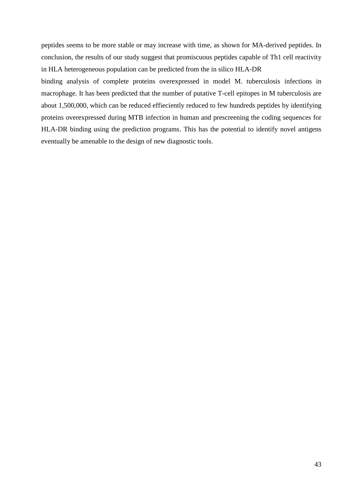peptides seems to be more stable or may increase with time, as shown for MA-derived peptides. In conclusion, the results of our study suggest that promiscuous peptides capable of Th1 cell reactivity in HLA heterogeneous population can be predicted from the in silico HLA-DR

binding analysis of complete proteins overexpressed in model M. tuberculosis infections in macrophage. It has been predicted that the number of putative T-cell epitopes in M tuberculosis are about 1,500,000, which can be reduced effieciently reduced to few hundreds peptides by identifying proteins overexpressed during MTB infection in human and prescreening the coding sequences for HLA-DR binding using the prediction programs. This has the potential to identify novel antigens eventually be amenable to the design of new diagnostic tools.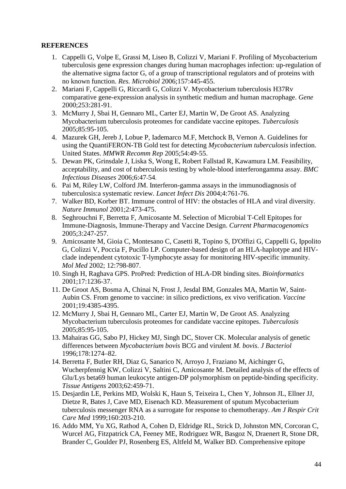#### **REFERENCES**

- 1. Cappelli G, Volpe E, Grassi M, Liseo B, Colizzi V, Mariani F. Profiling of Mycobacterium tuberculosis gene expression changes during human macrophages infection: up-regulation of the alternative sigma factor G, of a group of transcriptional regulators and of proteins with no known function. *Res. Microbiol* 2006;157:445-455.
- 2. Mariani F, Cappelli G, Riccardi G, Colizzi V. Mycobacterium tuberculosis H37Rv comparative gene-expression analysis in synthetic medium and human macrophage. *Gene*  2000;253:281-91.
- 3. McMurry J, Sbai H, Gennaro ML, Carter EJ, Martin W, De Groot AS. Analyzing Mycobacterium tuberculosis proteomes for candidate vaccine epitopes. *Tuberculosis*  2005;85:95-105.
- 4. Mazurek GH, Jereb J, Lobue P, Iademarco M.F, Metchock B, Vernon A. Guidelines for using the QuantiFERON-TB Gold test for detecting *Mycobacterium tuberculosis* infection. United States. *MMWR Recomm Rep* 2005;54:49-55.
- 5. Dewan PK, Grinsdale J, Liska S, Wong E, Robert Fallstad R, Kawamura LM. Feasibility, acceptability, and cost of tuberculosis testing by whole-blood interferongamma assay. *BMC Infectious Diseases* 2006;6:47-54.
- 6. Pai M, Riley LW, Colford JM. Interferon-gamma assays in the immunodiagnosis of tuberculosis:a systematic review. *Lancet Infect Dis* 2004;4:761-76.
- 7. Walker BD, Korber BT. Immune control of HIV: the obstacles of HLA and viral diversity. *Nature Immunol* 2001;2:473-475.
- 8. Seghrouchni F, Berretta F, Amicosante M. Selection of Microbial T-Cell Epitopes for Immune-Diagnosis, Immune-Therapy and Vaccine Design. *Current Pharmacogenomics*  2005;3:247-257.
- 9. Amicosante M, Gioia C, Montesano C, Casetti R, Topino S, D'Offizi G, Cappelli G, Ippolito G, Colizzi V, Poccia F, Pucillo LP. Computer-based design of an HLA-haplotype and HIVclade independent cytotoxic T-lymphocyte assay for monitoring HIV-specific immunity. *Mol Med* 2002; 12:798-807.
- 10. Singh H, Raghava GPS. ProPred: Prediction of HLA-DR binding sites. *Bioinformatics*  2001;17:1236-37.
- 11. De Groot AS, Bosma A, Chinai N, Frost J, Jesdal BM, Gonzales MA, Martin W, Saint-Aubin CS. From genome to vaccine: in silico predictions, ex vivo verification. *Vaccine*  2001;19:4385-4395.
- 12. McMurry J, Sbai H, Gennaro ML, Carter EJ, Martin W, De Groot AS. Analyzing Mycobacterium tuberculosis proteomes for candidate vaccine epitopes. *Tuberculosis*  2005;85:95-105.
- 13. Mahairas GG, Sabo PJ, Hickey MJ, Singh DC, Stover CK. Molecular analysis of genetic differences between *Mycobacterium bovis* BCG and virulent *M. bovis*. *J Bacteriol*  1996;178:1274–82.
- 14. Berretta F, Butler RH, Diaz G, Sanarico N, Arroyo J, Fraziano M, Aichinger G, Wucherpfennig KW, Colizzi V, Saltini C, Amicosante M. Detailed analysis of the effects of Glu/Lys beta69 human leukocyte antigen-DP polymorphism on peptide-binding specificity. *Tissue Antigens* 2003;62:459-71.
- 15. Desjardin LE, Perkins MD, Wolski K, Haun S, Teixeira L, Chen Y, Johnson JL, Ellner JJ, Dietze R, Bates J, Cave MD, Eisenach KD. Measurement of sputum Mycobacterium tuberculosis messenger RNA as a surrogate for response to chemotherapy. *Am J Respir Crit Care Med* 1999;160:203-210.
- 16. Addo MM, Yu XG, Rathod A, Cohen D, Eldridge RL, Strick D, Johnston MN, Corcoran C, Wurcel AG, Fitzpatrick CA, Feeney ME, Rodriguez WR, Basgoz N, Draenert R, Stone DR, Brander C, Goulder PJ, Rosenberg ES, Altfeld M, Walker BD. Comprehensive epitope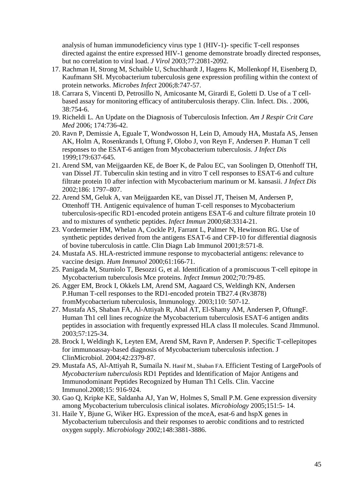analysis of human immunodeficiency virus type 1 (HIV-1)- specific T-cell responses directed against the entire expressed HIV-1 genome demonstrate broadly directed responses, but no correlation to viral load. *J Virol* 2003;77:2081-2092.

- 17. Rachman H, Strong M, Schaible U, Schuchhardt J, Hagens K, Mollenkopf H, Eisenberg D, Kaufmann SH. Mycobacterium tuberculosis gene expression profiling within the context of protein networks. *Microbes Infect* 2006;8:747-57.
- 18. Carrara S, Vincenti D, Petrosillo N, Amicosante M, Girardi E, Goletti D. Use of a T cellbased assay for monitoring efficacy of antituberculosis therapy. Clin. Infect. Dis. . 2006, 38:754-6.
- 19. Richeldi L. An Update on the Diagnosis of Tuberculosis Infection. *Am J Respir Crit Care Med* 2006; 174:736-42.
- 20. Ravn P, Demissie A, Eguale T, Wondwosson H, Lein D, Amoudy HA, Mustafa AS, Jensen AK, Holm A, Rosenkrands I, Oftung F, Olobo J, von Reyn F, Andersen P. Human T cell responses to the ESAT-6 antigen from Mycobacterium tuberculosis. *J Infect Dis*  1999;179:637-645.
- 21. Arend SM, van Meijgaarden KE, de Boer K, de Palou EC, van Soolingen D, Ottenhoff TH, van Dissel JT. Tuberculin skin testing and in vitro T cell responses to ESAT-6 and culture filtrate protein 10 after infection with Mycobacterium marinum or M. kansasii. *J Infect Dis*  2002;186: 1797–807.
- 22. Arend SM, Geluk A, van Meijgaarden KE, van Dissel JT, Theisen M, Andersen P, Ottenhoff TH. Antigenic equivalence of human T-cell responses to Mycobacterium tuberculosis-specific RD1-encoded protein antigens ESAT-6 and culture filtrate protein 10 and to mixtures of synthetic peptides. *Infect Immun* 2000;68:3314-21.
- 23. Vordermeier HM, Whelan A, Cockle PJ, Farrant L, Palmer N, Hewinson RG. Use of synthetic peptides derived from the antigens ESAT-6 and CFP-10 for differential diagnosis of bovine tuberculosis in cattle. Clin Diagn Lab Immunol 2001;8:571-8.
- 24. Mustafa AS. HLA-restricted immune response to mycobacterial antigens: relevance to vaccine design. *Hum Immunol* 2000;61:166-71.
- 25. Panigada M, Sturniolo T, Besozzi G, et al. Identification of a promiscuous T-cell epitope in Mycobacterium tuberculosis Mce proteins. *Infect Immun* 2002;70:79-85.
- 26. Agger EM, Brock I, Okkels LM, Arend SM, Aagaard CS, Weldingh KN, Andersen P.Human T-cell responses to the RD1-encoded protein TB27.4 (Rv3878) fromMycobacterium tuberculosis, Immunology. 2003;110: 507-12.
- 27. Mustafa AS, Shaban FA, Al-Attiyah R, Abal AT, El-Shamy AM, Andersen P, OftungF. Human Th1 cell lines recognize the Mycobacterium tuberculosis ESAT-6 antigen andits peptides in association with frequently expressed HLA class II molecules. Scand JImmunol. 2003;57:125-34.
- 28. Brock I, Weldingh K, Leyten EM, Arend SM, Ravn P, Andersen P. Specific T-cellepitopes for immunoassay-based diagnosis of Mycobacterium tuberculosis infection. J ClinMicrobiol. 2004;42:2379-87.
- 29. Mustafa AS, Al-Attiyah R, Sumaila N. Hanif M., Shaban FA. Efficient Testing of LargePools of *Mycobacterium tuberculosis* RD1 Peptides and Identification of Major Antigens and Immunodominant Peptides Recognized by Human Th1 Cells. Clin. Vaccine Immunol.2008;15: 916-924.
- 30. Gao Q, Kripke KE, Saldanha AJ, Yan W, Holmes S, Small P.M. Gene expression diversity among Mycobacterium tuberculosis clinical isolates. *Microbiology* 2005;151:5- 14.
- 31. Haile Y, Bjune G, Wiker HG. Expression of the mceA, esat-6 and hspX genes in Mycobacterium tuberculosis and their responses to aerobic conditions and to restricted oxygen supply. *Microbiology* 2002;148:3881-3886.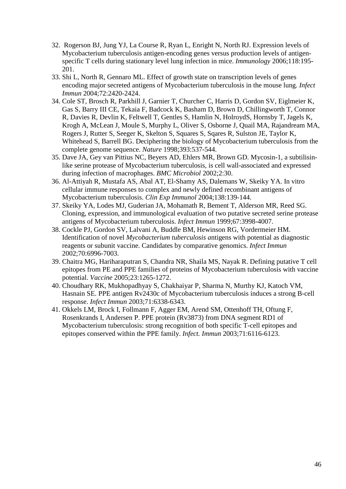- 32. Rogerson BJ, Jung YJ, La Course R, Ryan L, Enright N, North RJ. Expression levels of Mycobacterium tuberculosis antigen-encoding genes versus production levels of antigenspecific T cells during stationary level lung infection in mice. *Immunology* 2006;118:195- 201.
- 33. Shi L, North R, Gennaro ML. Effect of growth state on transcription levels of genes encoding major secreted antigens of Mycobacterium tuberculosis in the mouse lung. *Infect Immun* 2004;72:2420-2424.
- 34. Cole ST, Brosch R, Parkhill J, Garnier T, Churcher C, Harris D, Gordon SV, Eiglmeier K, Gas S, Barry III CE, Tekaia F, Badcock K, Basham D, Brown D, Chillingworth T, Connor R, Davies R, Devlin K, Feltwell T, Gentles S, Hamlin N, HolroydS, Hornsby T, Jagels K, Krogh A, McLean J, Moule S, Murphy L, Oliver S, Osborne J, Quail MA, Rajandream MA, Rogers J, Rutter S, Seeger K, Skelton S, Squares S, Sqares R, Sulston JE, Taylor K, Whitehead S, Barrell BG. Deciphering the biology of Mycobacterium tuberculosis from the complete genome sequence. *Nature* 1998;393:537-544.
- 35. Dave JA, Gey van Pittius NC, Beyers AD, Ehlers MR, Brown GD. Mycosin-1, a subtilisinlike serine protease of Mycobacterium tuberculosis, is cell wall-associated and expressed during infection of macrophages. *BMC Microbiol* 2002;2:30.
- 36. Al-Attiyah R, Mustafa AS, Abal AT, El-Shamy AS, Dalemans W, Skeiky YA. In vitro cellular immune responses to complex and newly defined recombinant antigens of Mycobacterium tuberculosis. *Clin Exp Immunol* 2004;138:139-144.
- 37. Skeiky YA, Lodes MJ, Guderian JA, Mohamath R, Bement T, Alderson MR, Reed SG. Cloning, expression, and immunological evaluation of two putative secreted serine protease antigens of Mycobacterium tuberculosis. *Infect Immun* 1999;67:3998-4007.
- 38. Cockle PJ, Gordon SV, Lalvani A, Buddle BM, Hewinson RG, Vordermeier HM. Identification of novel *Mycobacterium tuberculosis a*ntigens with potential as diagnostic reagents or subunit vaccine. Candidates by comparative genomics. *Infect Immun*  2002;70:6996-7003.
- 39. Chaitra MG, Hariharaputran S, Chandra NR, Shaila MS, Nayak R. Defining putative T cell epitopes from PE and PPE families of proteins of Mycobacterium tuberculosis with vaccine potential. *Vaccine* 2005;23:1265-1272.
- 40. Choudhary RK, Mukhopadhyay S, Chakhaiyar P, Sharma N, Murthy KJ, Katoch VM, Hasnain SE. PPE antigen Rv2430c of Mycobacterium tuberculosis induces a strong B-cell response. *Infect Immun* 2003;71:6338-6343.
- 41. Okkels LM, Brock I, Follmann F, Agger EM, Arend SM, Ottenhoff TH, Oftung F, Rosenkrands I, Andersen P. PPE protein (Rv3873) from DNA segment RD1 of Mycobacterium tuberculosis: strong recognition of both specific T-cell epitopes and epitopes conserved within the PPE family. *Infect. Immun* 2003;71:6116-6123.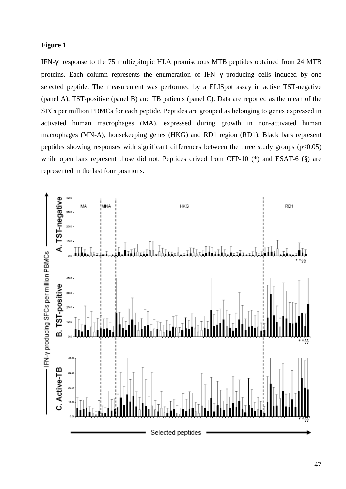#### **Figure 1**.

IFN-γ response to the 75 multiepitopic HLA promiscuous MTB peptides obtained from 24 MTB proteins. Each column represents the enumeration of IFN- $\gamma$  producing cells induced by one selected peptide. The measurement was performed by a ELISpot assay in active TST-negative (panel A), TST-positive (panel B) and TB patients (panel C). Data are reported as the mean of the SFCs per million PBMCs for each peptide. Peptides are grouped as belonging to genes expressed in activated human macrophages (MA), expressed during growth in non-activated human macrophages (MN-A), housekeeping genes (HKG) and RD1 region (RD1). Black bars represent peptides showing responses with significant differences between the three study groups  $(p<0.05)$ while open bars represent those did not. Peptides drived from CFP-10  $(*)$  and ESAT-6  $(*)$  are represented in the last four positions.

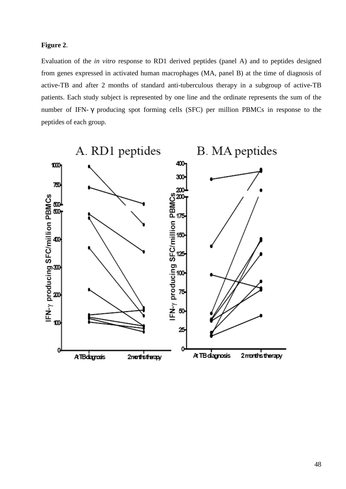#### **Figure 2**.

Evaluation of the *in vitro* response to RD1 derived peptides (panel A) and to peptides designed from genes expressed in activated human macrophages (MA, panel B) at the time of diagnosis of active-TB and after 2 months of standard anti-tuberculous therapy in a subgroup of active-TB patients. Each study subject is represented by one line and the ordinate represents the sum of the number of IFN- γ producing spot forming cells (SFC) per million PBMCs in response to the peptides of each group.

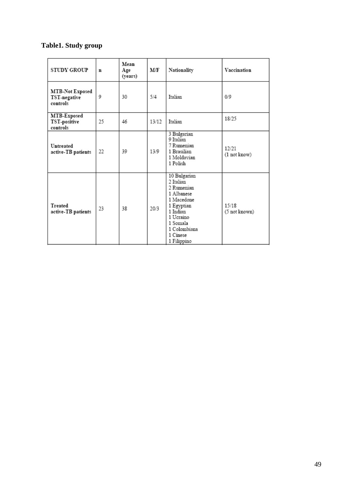### **Table1. Study group**

| <b>STUDY GROUP</b>                          | $\mathbf n$      | Mean<br>Age<br>(years) | МÆ                                                                                                                                                                | Nationality                                                                      | Vaccination           |
|---------------------------------------------|------------------|------------------------|-------------------------------------------------------------------------------------------------------------------------------------------------------------------|----------------------------------------------------------------------------------|-----------------------|
| MTB-Not Exposed<br>TST-negative<br>controls | 9                | 30                     | 5/4                                                                                                                                                               | Italian                                                                          | 0/9                   |
| MTB-Exposed<br>TST-positive<br>controls     | 25               | 46                     | 13/12                                                                                                                                                             | Italian                                                                          | 18/25                 |
| Untreated<br>active-TB patients             | 22               | 39                     | 13/9                                                                                                                                                              | 3 Bulgarian<br>9 Italian<br>7 Rumenian<br>1 Brasilian<br>1 Moldavian<br>1 Polish | 12/21<br>(1 not know) |
| Treated<br>active-TB patients               | 20/3<br>23<br>38 |                        | 10 Bulgarian<br>2 Italian<br>2 Rumenian<br>1 Albanese<br>1 Macedone<br>1 Egyptian<br>1 Indian<br>1 Ucraino<br>1 Somala<br>1 Colombiana<br>1 Cinese<br>1 Filippino | 15/18<br>(5 not known)                                                           |                       |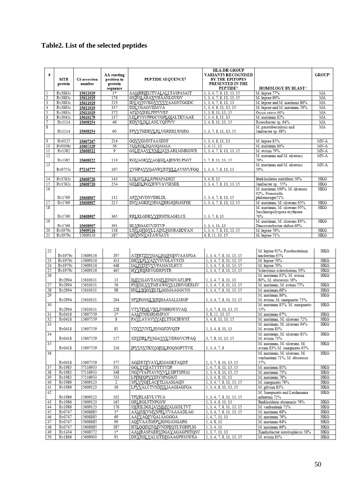#### **Table2. List of the selected peptides**

15609123

15609123

15608885

15608885

15608885

15608572

15609003

Rv1986

Rv1986  $Rv1986$ <br> $Rv0747$ <br> $Rv0747$ 

Rv0747

Rv0747

49 Rv1434

50 Rv1866

42

 $\frac{43}{44}$ 

45

46

47

48

102

 $\frac{165}{176}$ 

 $1*$ 

 $rac{1}{69}$ 

99

387

 $1*$ 

91

TPVRLAEVLVTCA

TEXECRETIVES<br>
SWEILDGLIAVMMVALGISLTVT<br>
AMSWVMVSPELVVAAAADLAG<br>
AAEYAQEVQALSAGGGA<br>
AQEVAATGRPLIGNGANGAPG<br>
AQEVAATGRPLIGNGANGAPG

HTLQQDVINMVNDPEQTLTGRPLIG

DRYRHLVALSITDFGAAGPRSSWRA

AAMRASPAERVDGAYAGAGPHTQSV

| #               | <b>MTB</b><br>protein | <b>Gi</b> accession<br>number | AA starting<br>position in<br>protein<br>sequence | PEPTIDE SEQUENCE <sup>§</sup>                         | <b>HLA-DR GROUP</b><br><b>VARIANTS RECOGNISED</b><br><b>BY THE EPITOPES</b><br>PRESENTED IN THE<br><b>PEPTIDE°</b> | HOMOLOGY BY BLAST^                                                            | <b>GROUP</b>             |
|-----------------|-----------------------|-------------------------------|---------------------------------------------------|-------------------------------------------------------|--------------------------------------------------------------------------------------------------------------------|-------------------------------------------------------------------------------|--------------------------|
| 1               | Rv3883c               | 15611019                      | $1*$                                              | AAMHRIFLITVALALLTASPASAIT                             | 1, 3, 4, 7, 8, 11, 13, 15                                                                                          | M. leprae 77%                                                                 | MA                       |
| $\overline{2}$  | Rv3883c               | 15611019                      | 176                                               | GSIRSLARAVVHAANLGVGV                                  | 1, 3, 4, 7, 8, 11, 13, 15                                                                                          | M. leprae 80%                                                                 | MA                       |
|                 | Rv3883c               | 15611019                      | 219                                               | IDYAVNVKGVVVVVAAGNTGGDC                               | 1, 3, 4, 7, 8, 11, 13                                                                                              | M. leprae and M. marinum 86%                                                  | ΜA                       |
| $\overline{4}$  | Rv3883c               | 15611019                      | 337                                               | DDLVGAGVIDAVA                                         | 1, 3, 4, 8, 11, 13, 15                                                                                             | M. leprae and M. marinum 76%                                                  | MA                       |
| 5               | Rv3883c               | 15611019                      | 372                                               | APYNVRRLPPPVVEP                                       | 1, 3, 8, 11, 13, 15                                                                                                | Orvza sativa 66%                                                              | MA                       |
| $6\overline{6}$ | Rv3042c               | 15610179                      | 137                                               | LELRVSVPPGCVGPLQIALTKVAAE                             | 1, 3, 4, 8, 11, 13                                                                                                 | M. marinum 82%                                                                | ΜA                       |
| $\overline{7}$  | Rv1114                | 15608254                      | 46                                                | RDVVLDLLANLYQFPVV                                     | 3, 4, 8, 11, 13, 15                                                                                                | Roseobacter sp. 64%                                                           | ΜA                       |
| 8               | Rv1114                | 15608254                      | 60                                                | FPVVTHDEVLRLVGRRRLWGRG                                | 1, 3, 7, 8, 11, 13, 15                                                                                             | M. paratuberculosis and<br>Janibacter sp. 68%                                 | МA                       |
| 9               | Rv0125                | 15607267                      | 216                                               | GOVVGMNTAASDNF                                        | 1, 3, 4, 8, 11, 13                                                                                                 | M. leprae 85%                                                                 | MN-A                     |
| 10              | Rv0198c               | 15607339                      | 56                                                | TOVRDLIIQASQAGAA                                      | 1, 4, 11, 13                                                                                                       | M. marinum 80%                                                                | MN-A                     |
| 11              | Rv1382                | 15608522                      | 9                                                 | GSLIFAAVLVMLIAVLARLMMRGWR                             | 1, 3, 4, 7, 8, 11, 13, 15                                                                                          | M. avium 79%                                                                  | MN-A                     |
| 12              | Rv1382                | 15608522                      | 119                                               | RGVAGKVVAGIGILAIRWRLPSGT                              | 1, 7, 8, 11, 13, 15                                                                                                | M. marinum and M. ulcerans<br>79%                                             | MN-A                     |
| 13              | Rv0755c               | 57116777                      | 107                                               | VVHPAVVQANRVRTWLLAVSNVFGQ                             | 1, 3, 4, 7, 8, 11, 13                                                                                              | M. marinum and M. ulcerans<br>59%                                             | MN-A                     |
|                 |                       |                               |                                                   |                                                       |                                                                                                                    |                                                                               |                          |
| 14              | Rv1582c               | 15608720                      | 143                                               | LDLHTLKLRPHAPADRIT                                    | 3, 4, 8, 13                                                                                                        | Burkholderia ambifaria 50%                                                    | <b>HKG</b>               |
| 15              | Rv1582c               | 15608720                      | 254                                               | GEMDLRGVRWVAVSESEK                                    | 1, 3, 4, 7, 8, 11, 13, 15                                                                                          | Janibacter sp. 55%                                                            | HKG                      |
| 16              | Rv1769                | 15608907                      | 131                                               | APIVMVDSVEHLDL                                        | 1, 3, 4, 7, 8, 11, 15                                                                                              | M. marinum 100%, M. ulcerans<br>92%, Francisella<br>philomiragia71%           | <b>HKG</b>               |
| 17              | Rv1769                | 15608907                      | 215                                               | DNVAGKRVHNAIIRRMQRMSFEE                               | 1, 3, 4, 7, 8, 11, 13, 15                                                                                          | M. marinum. M. ulcerans 65%                                                   | <b>HKG</b>               |
| 18              | Rv1769                | 15608907                      | 365                                               | RRLKLGDKVYFRHTKAGELCE                                 | 1, 3, 7, 8, 13                                                                                                     | M. marinum, M. ulcerans 95%,<br>Saccharopolyspora erythraea<br>76%            | <b>HKG</b>               |
| 19              | Rv1769                | 15608907                      | 391                                               | HLVRGAEVVDTVP                                         | 1, 3, 4, 11, 13                                                                                                    | M. marinum. M. ulcerans 83%.<br>Dinoroseobacter shibae 69%                    | <b>HKG</b>               |
| 20<br>21        | Rv1979c<br>Rv1979c    | 15609116<br>15609116          | 138<br>187                                        | LTFLGFIGVLLAINLFGNRAIKWAN<br><b>OHVNNYATAWSAYS</b>    | 1, 3, 4, 7, 8, 11, 13, 15<br>4, 8, 11, 13, 15                                                                      | M. leprae 76%<br>M. leprae 71%                                                | <b>HKG</b><br>HKG        |
| 22              | Rv1979c               | 15609116                      | 297                                               | ATFRTIIVVGALISMFGINVAASFGA                            | 1, 3, 4, 7, 8, 11, 13, 15                                                                                          | M. leprae 92%, Fusobacterium<br>nucleatum 65%                                 | HKG                      |
| 23              | Rv1979c               | 15609116                      | 413                                               | DKVLPLVAIVVSVGLAVSYD                                  | 1, 3, 4, 7, 8, 11, 13, 15                                                                                          | M. leprae 70%                                                                 | HKG                      |
| 24              | Rv1979c               | 15609116                      | 448                                               | IALIVITFVVVPAMAYLHYY                                  | 1, 3, 4, 7, 8, 11, 13, 15                                                                                          | M. leprae 70%                                                                 | HKG                      |
| 25              | Rv1979c               | 15609116                      | 465                                               | HYYRIIRRVGDRPSTR                                      | 1, 3, 4, 7, 8, 11, 13, 15                                                                                          | Sclerotinia sclerotiorum 50%                                                  | HKG                      |
| 26<br>27        | Rv2994<br>Rv2994      | 15610131<br>15610131          | 13<br>56                                          | IMIVSLGVTASSFLFINGVAFLIPR<br>PSWGLVVTMFAWGYLLDHVGERMV | 1, 3, 4, 7, 8, 11, 13<br>1, 3, 4, 7, 8, 11, 13, 15                                                                 | M. marinum 92%. M. avium<br>80%, M. abscessus 56%<br>M. marinum. M. avium 75% | <b>HKG</b><br><b>HKG</b> |
| 28              | Rv2994                | 15610131                      | 98                                                | HSLLWIGVELFLGGMAAGGCNS                                | 1.3.4.7.8.11.13.15                                                                                                 | M. marinum 68%                                                                | <b>HKG</b>               |
| 29              | Rv2994                | 15610131                      | 204                                               | SPYRGSSILWRIHAASALLMMP                                | 1, 3, 4, 7, 8, 11, 13, 15                                                                                          | M. marinum 86%.<br>M. avium, M. smegmatis 73%                                 | <b>HKG</b>               |
| 30              | Rv2994                | 15610131                      | 228                                               | VTVTFMLVWLINHHGWSVAO                                  | 1, 4, 7, 8, 11, 13, 15                                                                                             | M. marinum 85%, M. smegmatis<br>55%                                           | <b>HKG</b>               |
| 31              | Rv0418                | 15607559                      | $1*$                                              | AAMVNKSRMMPAV                                         | 3, 8, 11, 13, 15                                                                                                   | M. marinum 67%                                                                | HKG                      |
| 32              | Rv0418                | 15607559                      | 8                                                 | PAVLAVAVVVAFLTTGCIRWST                                | 3, 4, 8, 11, 13, 15                                                                                                | M. marinum, M. ulcerans 72%                                                   | HKG                      |
| 33              | Rv0418                | 15607559                      | 85                                                | VDYVVNTLRNSGFDVQTP                                    | 1, 3, 4, 8, 11, 13                                                                                                 | M. marinum. M. ulcerans 94%<br>M. avium 83%                                   | <b>HKG</b>               |
| 34<br>35        | Rv0418                | 15607559                      | 157                                               | SDYDRLPVSGAVVLVDRGVCPFAQ                              | 3, 7, 8, 11, 13, 15                                                                                                | M. marinum. M. ulcerans 83%<br>M. avium 73%<br>M. marinum, M. ulcerans, M.    | HKG<br>HKG               |
|                 | Rv0418                | 15607559                      | 216                                               | <u>IPVVSVTKSVGFQLRGQSGPTTVK</u>                       | 1, 3, 4, 7, 8                                                                                                      | avium 83% M. smegmatis 65%                                                    |                          |
| 36              | Rv0418                | 15607559                      | 377                                               | AGIERTEVAYLKMAGKTAQDT                                 | 1, 3, 7, 8, 11, 13, 15                                                                                             | M. marinum, M. ulcerans, M.<br>vanbaalenii 71%, M. abscessus<br>57%           | HKG                      |
| 37              | Rv1983                | 57116933                      | 331                                               | GGLYYIFATYTTTVDF                                      | 1, 4, 7, 8, 11, 13, 15                                                                                             | M. marinum 81%                                                                | HKG                      |
| 38              | Rv1983                | 57116933                      | 348                                               | NGIVTAPTAVNVVLLSIPTSPFAI                              | 1, 3, 4, 8, 11, 13, 15                                                                                             | M. marinum 73%                                                                | HKG                      |
| 39              | Rv1983                | 57116933                      | 533                                               | LPFRFQPVYIDYSPSGIGT                                   | 1, 3, 4, 8, 11, 13                                                                                                 | M. marinum 78%                                                                | HKG                      |
| 40              | Rv1986                | 15609123                      | 2                                                 | SPLVVGFLACFTLIAAIGAQN                                 | 1, 3, 4, 7, 8, 11, 13, 15                                                                                          | M. smegmatis 76%                                                              | HKG                      |
| 41              | Rv1986                | 15609123                      | 36                                                | LPVVALCTVSDIVLIAAGIAGFGA                              | 1, 3, 4, 8, 11, 13, 15                                                                                             | M. gilvum 83%                                                                 | HKG                      |

| I<br>ī<br>٠<br>v | ۰.<br>×<br>۰.<br>× |
|------------------|--------------------|

**HKG** 

**HKG** 

 $\rm{HKG}$  $\frac{\text{HKG}}{\text{HKG}}$ 

 $HKG$ 

**HKG** 

**HKG** 

**HKG** 

infantum 72%

M. marinum 68%

M. marinum 76%

M. marinum 64%

M. marinum 66%

M. avium 83%

1, 3, 4, 7, 8, 11, 13, 15

 $1, 3, 4, 8, 11, 13$ <br>1, 3, 4, 8, 11, 13<br>1, 3, 4, 7, 8, 11, 13, 15<br>1, 3, 4, 7, 8, 11, 13, 15<br>1, 4, 7, 11, 13

 $1, 3, 4, 7, 8, 11, 13, 15$ 

 $1, 4, 8, 11$ 

 $1, 3, 4, 11$ 

 $1, 3, 7, 11, 13$ 

M. Smegmatis and Leishmania

Burkholderia ubonensis 76%<br>M. vanbaalenii 71%

Xanthobacter autotrophicus 58%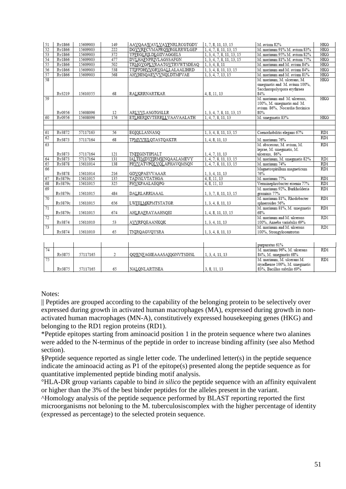| 51 | Rv1866  | 15609003 | 149            | AAVQAAWAVLVAYFNRLRCGTGDY         | 1, 7, 8, 11, 13, 15       | M. avium 82%                                                                                      | HKG        |
|----|---------|----------|----------------|----------------------------------|---------------------------|---------------------------------------------------------------------------------------------------|------------|
| 52 | Rv1866  | 15609003 | 222            | DGYVRFCVMAPRQWRGLRRWLGEP         | 1, 4, 7, 8, 11, 13, 15    | M. marinum 91% M. avium 83%                                                                       | <b>HKG</b> |
| 53 | Rv1866  | 15609003 | 372            | YPFEGLRILDLGIIVAGGELS            | 1, 3, 4, 7, 8, 11, 13, 15 | M. marinum 95% M. avium 82%                                                                       | HKG        |
| 54 | Rv1866  | 15609003 | 477            | DVLHAFNPRIVLAGSSAFGN             | 1, 3, 4, 7, 8, 11, 13, 15 | M. marinum 81% M. avium 77%                                                                       | HKG        |
| 55 | Rv1866  | 15609003 | 502            | TRMGYGPLVRAATGVTRVWTSDEAQ        | 1, 3, 4, 8, 11            | M. marinum and M. avium 84%                                                                       | <b>HKG</b> |
| 56 | Rv1866  | 15609003 | 538            | TTIFPDHVVGRVGALLALAALIHRD        | 1, 3, 4, 8, 11, 13, 15    | M. marinum and M. avium 84%                                                                       | HKG        |
| 57 | Rv1866  | 15609003 | 568            | AHVHISOAEVVVNOLDTMFVAE           | 1, 3, 4, 7, 13, 15        | M. marinum and M. avium 81%                                                                       | <b>HKG</b> |
| 58 | Rv3219  | 15610355 | 68             | RALKRRNARTKAR                    | 4, 8, 11, 13              | M. marinum, M. ulcerans, M.<br>smegmatis and M. avium 100%,<br>Saccharopolyspora erythraea<br>84% | <b>HKG</b> |
| 59 | Rv0956  | 15608096 | 12             | ARLVVLASGTGSLLR                  | 1, 3, 4, 7, 8, 11, 13, 15 | M. marinum and M. ulcerans.<br>100%, M. smegmatis and M.<br>avium 86%, Nocardia farcinica<br>80%  | HKG        |
| 60 | Rv0956  | 15608096 | 176            | <b>ETLHERIKVTERRLLVAAVAALATH</b> | 1, 4, 7, 8, 11, 13        | M. smegmatis 83%                                                                                  | <b>HKG</b> |
|    |         |          |                |                                  |                           |                                                                                                   |            |
|    |         |          |                |                                  |                           |                                                                                                   |            |
| 61 | Rv3872  | 57117163 | 56             | EGIQLLASNASQ                     | 1, 3, 4, 8, 11, 13, 15    | Caenorhabditis elegans 67%                                                                        | RD1        |
| 62 | Rv3873  | 57117164 | 68             | TPMVVWLQTASTQAKTR                | 1, 4, 8, 11, 13           | M. marinum 76%                                                                                    | RD1        |
| 63 |         |          |                |                                  |                           | M. abscessus, M. avium, M.                                                                        | RD1        |
|    |         |          |                |                                  |                           | leprae, M. smegmatis, M.                                                                          |            |
|    | Rv3873  | 57117164 | 121            | TNFFGINTIPIALT                   | 1, 4, 7, 11, 13           | ulcerans, 86%                                                                                     |            |
| 64 | Rv3873  | 57117164 | 131            | IALTEMDYFIRMWNQAALAMEVY          | 1, 4, 7, 8, 11, 13, 15    | M. marinum, M. smegmatis 82%                                                                      | RD1        |
| 65 | Rv3878  | 15611014 | 138            | PRVVATVPOLVOLAPHAVOMSON          | 1, 4, 7, 8, 11, 13, 15    | M. marinum 74%                                                                                    | RD1        |
| 66 |         |          |                |                                  |                           | Magnetospirillum magneticum                                                                       | RD1        |
|    | Rv3878  | 15611014 | 216            | GDVOPAEVVAAAR                    | 1, 3, 4, 11, 13           | 76%                                                                                               |            |
| 67 | Rv3879c | 15611015 | 135            | TAINSLVTATHGA                    | 4, 8, 11, 13              | M. marinum 77%                                                                                    | RD1        |
| 68 | Rv3879c | 15611015 | 325            | PHVKPAALAEOPG                    | 4.8.11.13                 | Verminephrobacter eisenia 77%                                                                     | RD1        |
| 69 | Rv3879c | 15611015 | 484            | DALRLARRIAAAL                    | 1, 3, 7, 8, 11, 13, 15    | M. marinum 92%, Burkholderia<br>graminis 77%                                                      | RD1        |
| 70 |         |          |                |                                  |                           | M. marinum 81%. Rhodobacter                                                                       | RD1        |
|    | Rv3879c | 15611015 | 656            | LWFELMKPMTSTATGR                 | 1, 3, 4, 8, 11, 13        | sphaeroides 56%                                                                                   |            |
| 71 |         |          |                |                                  |                           | M. marinum 81%, M. smegmatis                                                                      | RD1        |
|    | Rv3879c | 15611015 | 674            | AHLRAFRAYAAHSQEI                 | 1, 4, 8, 11, 13, 15       | 68%                                                                                               |            |
| 72 |         |          |                |                                  |                           | M. marinum and M. ulcerans                                                                        | RD1        |
|    | Rv3874  | 15611010 | 53             | AVVRFQEAANKQK                    | 1, 3, 4, 11, 13           | 100%. Anaeba variabilis 69%                                                                       |            |
| 73 |         |          |                |                                  |                           | M. marinum and M. ulcerans                                                                        | RD1        |
|    | Rv3874  | 15611010 | 65             | TNIROAGVOYSRA                    | 1, 3, 4, 8, 11, 13        | 100%. Strongylocentrotus                                                                          |            |
|    |         |          |                |                                  |                           |                                                                                                   |            |
|    |         |          |                |                                  |                           |                                                                                                   |            |
|    |         |          |                |                                  |                           | purpuratus 61%                                                                                    |            |
| 74 | Rv3875  | 57117165 | $\mathfrak{D}$ | OOWNFAGIEAAASAIOGNVTSIHSL        | 1 3 4 11 13               | M. marinum 96%, M. ulcerans<br>84% M smegmatis 68%                                                | RD1        |

#### M. marinum. M. ulcerans M.  $\overline{RD1}$ riyadhense 100%, M. smegmatis Rv3875 57117165 65 NALQNLARTISEA 3, 8, 11, 13 83%. Bacillus subtilis 69%

#### Notes:

|| Peptides are grouped according to the capability of the belonging protein to be selectively over expressed during growth in activated human macrophages (MA), expressed during growth in nonactivated human macrophages (MN-A), constitutively expressed housekeeping genes (HKG) and belonging to the RD1 region proteins (RD1).

\*Peptide epitopes starting from aminoacid position 1 in the protein sequence where two alanines were added to the N-terminus of the peptide in order to increase binding affinity (see also Method section).

§Peptide sequence reported as single letter code. The underlined letter(s) in the peptide sequence indicate the aminoacid acting as P1 of the epitope(s) presented along the peptide sequence as for quantitative implemented peptide binding motif analysis.

°HLA-DR group variants capable to bind *in silico* the peptide sequence with an affinity equivalent or higher than the 3% of the best binder peptides for the alleles present in the variant.

^Homology analysis of the peptide sequence performed by BLAST reporting reported the first microorganisms not beloning to the M. tuberculosiscomplex with the higher percentage of identity (expressed as percentage) to the selected protein sequence.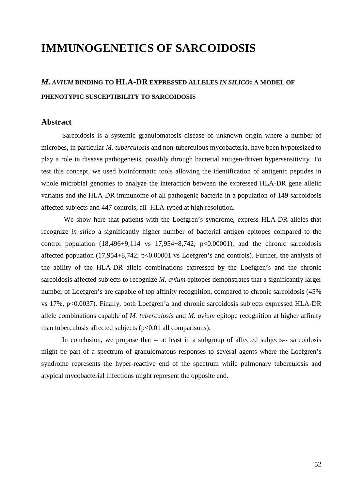# **IMMUNOGENETICS OF SARCOIDOSIS**

## *M. AVIUM* **BINDING TO HLA-DR EXPRESSED ALLELES** *IN SILICO***: A MODEL OF PHENOTYPIC SUSCEPTIBILITY TO SARCOIDOSIS**

#### **Abstract**

Sarcoidosis is a systemic granulomatosis disease of unknown origin where a number of microbes, in particular *M. tuberculosis* and non-tuberculous mycobacteria, have been hypotesized to play a role in disease pathogenesis, possibly through bacterial antigen-driven hypersensitivity. To test this concept, we used bioinformatic tools allowing the identification of antigenic peptides in whole microbial genomes to analyze the interaction between the expressed HLA-DR gene allelic variants and the HLA-DR immunome of all pathogenic bacteria in a population of 149 sarcoidosis affected subjects and 447 controls, all HLA-typed at high resolution.

 We show here that patients with the Loefgren's syndrome, express HLA-DR alleles that recognize *in silico* a significantly higher number of bacterial antigen epitopes compared to the control population  $(18,496+9,114 \text{ vs } 17,954+8,742; \text{ p} < 0.00001)$ , and the chronic sarcoidosis affected popuation (17,954+8,742; p<0.00001 vs Loefgren's and controls). Further, the analysis of the ability of the HLA-DR allele combinations expressed by the Loefgren's and the chronic sarcoidosis affected subjects to recognize *M. avium* epitopes demonstrates that a significantly larger number of Loefgren's are capable of top affinity recognition, compared to chronic sarcoidosis (45% vs 17%, p<0.0037). Finally, both Loefgren'a and chronic sarcoidosis subjects expressed HLA-DR allele combinations capable of *M. tuberculosis* and *M. avium* epitope recognition at higher affinity than tuberculosis affected subjects  $(p<0.01$  all comparisons).

In conclusion, we propose that -- at least in a subgroup of affected subjects-- sarcoidosis might be part of a spectrum of granulomatous responses to several agents where the Loefgren's syndrome represents the hyper-reactive end of the spectrum while pulmonary tuberculosis and atypical mycobacterial infections might represent the opposite end.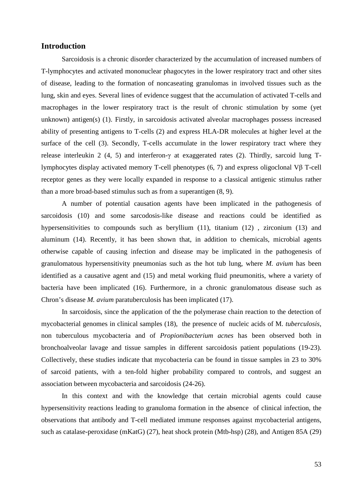#### **Introduction**

Sarcoidosis is a chronic disorder characterized by the accumulation of increased numbers of T-lymphocytes and activated mononuclear phagocytes in the lower respiratory tract and other sites of disease, leading to the formation of noncaseating granulomas in involved tissues such as the lung, skin and eyes. Several lines of evidence suggest that the accumulation of activated T-cells and macrophages in the lower respiratory tract is the result of chronic stimulation by some (yet unknown) antigen(s) (1). Firstly, in sarcoidosis activated alveolar macrophages possess increased ability of presenting antigens to T-cells (2) and express HLA-DR molecules at higher level at the surface of the cell (3). Secondly, T-cells accumulate in the lower respiratory tract where they release interleukin 2 (4, 5) and interferon-γ at exaggerated rates (2). Thirdly, sarcoid lung Tlymphocytes display activated memory T-cell phenotypes (6, 7) and express oligoclonal Vβ T-cell receptor genes as they were locally expanded in response to a classical antigenic stimulus rather than a more broad-based stimulus such as from a superantigen (8, 9).

A number of potential causation agents have been implicated in the pathogenesis of sarcoidosis (10) and some sarcodosis-like disease and reactions could be identified as hypersensitivities to compounds such as beryllium (11), titanium (12), zirconium (13) and aluminum (14). Recently, it has been shown that, in addition to chemicals, microbial agents otherwise capable of causing infection and disease may be implicated in the pathogenesis of granulomatous hypersensitivity pneumonias such as the hot tub lung, where *M. avium* has been identified as a causative agent and (15) and metal working fluid pneumonitis, where a variety of bacteria have been implicated (16). Furthermore, in a chronic granulomatous disease such as Chron's disease *M. avium* paratuberculosis has been implicated (17).

In sarcoidosis, since the application of the the polymerase chain reaction to the detection of mycobacterial genomes in clinical samples (18), the presence of nucleic acids of M*. tuberculosis,* non tuberculous mycobacteria and of *Propionibacterium acnes* has been observed both in bronchoalveolar lavage and tissue samples in different sarcoidosis patient populations (19-23). Collectively, these studies indicate that mycobacteria can be found in tissue samples in 23 to 30% of sarcoid patients, with a ten-fold higher probability compared to controls, and suggest an association between mycobacteria and sarcoidosis (24-26).

In this context and with the knowledge that certain microbial agents could cause hypersensitivity reactions leading to granuloma formation in the absence of clinical infection, the observations that antibody and T-cell mediated immune responses against mycobacterial antigens, such as catalase-peroxidase (mKatG) (27), heat shock protein (Mtb-hsp) (28), and Antigen 85A (29)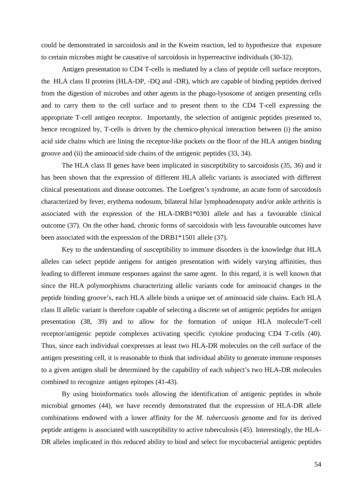could be demonstrated in sarcoidosis and in the Kweim reaction, led to hypothesize that exposure to certain microbes might be causative of sarcoidosis in hyperreactive individuals (30-32).

Antigen presentation to CD4 T-cells is mediated by a class of peptide cell surface receptors, the HLA class II proteins (HLA-DP, -DQ and -DR), which are capable of binding peptides derived from the digestion of microbes and other agents in the phago-lysosome of antigen presenting cells and to carry them to the cell surface and to present them to the CD4 T-cell expressing the appropriate T-cell antigen receptor. Importantly, the selection of antigenic peptides presented to, hence recognized by, T-cells is driven by the chemico-physical interaction between (i) the amino acid side chains which are lining the receptor-like pockets on the floor of the HLA antigen binding groove and (ii) the aminoacid side chains of the antigenic peptides (33, 34).

The HLA class II genes have been implicated in susceptibility to sarcoidosis (35, 36) and it has been shown that the expression of different HLA allelic variants is associated with different clinical presentations and disease outcomes. The Loefgren's syndrome, an acute form of sarcoidosis characterized by fever, erythema nodosum, bilateral hilar lymphoadenopaty and/or ankle arthritis is associated with the expression of the HLA-DRB1\*0301 allele and has a favourable clinical outcome (37). On the other hand, chronic forms of sarcoidosis with less favourable outcomes have been associated with the expression of the DRB1\*1501 allele (37).

Key to the understanding of susceptibility to immune disorders is the knowledge that HLA alleles can select peptide antigens for antigen presentation with widely varying affinities, thus leading to different immune responses against the same agent. In this regard, it is well known that since the HLA polymorphisms characterizing allelic variants code for aminoacid changes in the peptide binding groove's, each HLA allele binds a unique set of aminoacid side chains. Each HLA class II allelic variant is therefore capable of selecting a discrete set of antigenic peptides for antigen presentation (38, 39) and to allow for the formation of unique HLA molecule/T-cell receptor/antigenic peptide complexes activating specific cytokine producing CD4 T-cells (40). Thus, since each individual coexpresses at least two HLA-DR molecules on the cell surface of the antigen presenting cell, it is reasonable to think that individual ability to generate immune responses to a given antigen shall be determined by the capability of each subject's two HLA-DR molecules combined to recognize antigen epitopes (41-43).

By using bioinformatics tools allowing the identification of antigenic peptides in whole microbial genomes (44), we have recently demonstrated that the expression of HLA-DR allele combinations endowed with a lower affinity for the *M. tubercuosis* genome and for its derived peptide antigens is associated with susceptibility to active tuberculosis (45). Interestingly, the HLA-DR alleles implicated in this reduced ability to bind and select for mycobacterial antigenic peptides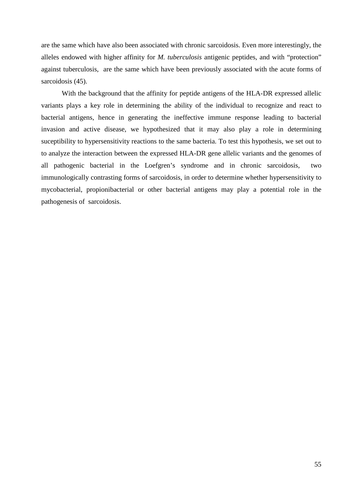are the same which have also been associated with chronic sarcoidosis. Even more interestingly, the alleles endowed with higher affinity for *M. tuberculosis* antigenic peptides, and with "protection" against tuberculosis, are the same which have been previously associated with the acute forms of sarcoidosis  $(45)$ .

With the background that the affinity for peptide antigens of the HLA-DR expressed allelic variants plays a key role in determining the ability of the individual to recognize and react to bacterial antigens, hence in generating the ineffective immune response leading to bacterial invasion and active disease, we hypothesized that it may also play a role in determining suceptibility to hypersensitivity reactions to the same bacteria. To test this hypothesis, we set out to to analyze the interaction between the expressed HLA-DR gene allelic variants and the genomes of all pathogenic bacterial in the Loefgren's syndrome and in chronic sarcoidosis, two immunologically contrasting forms of sarcoidosis, in order to determine whether hypersensitivity to mycobacterial, propionibacterial or other bacterial antigens may play a potential role in the pathogenesis of sarcoidosis.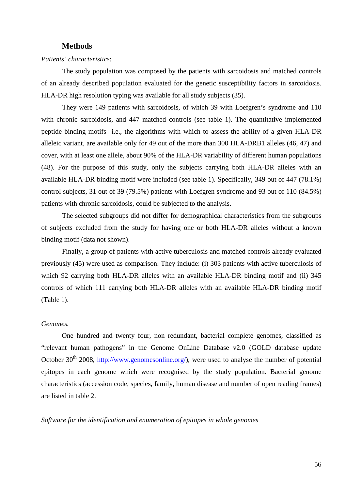#### **Methods**

#### *Patients' characteristics*:

The study population was composed by the patients with sarcoidosis and matched controls of an already described population evaluated for the genetic susceptibility factors in sarcoidosis. HLA-DR high resolution typing was available for all study subjects (35).

They were 149 patients with sarcoidosis, of which 39 with Loefgren's syndrome and 110 with chronic sarcoidosis, and 447 matched controls (see table 1). The quantitative implemented peptide binding motifs i.e., the algorithms with which to assess the ability of a given HLA-DR alleleic variant, are available only for 49 out of the more than 300 HLA-DRB1 alleles (46, 47) and cover, with at least one allele, about 90% of the HLA-DR variability of different human populations (48). For the purpose of this study, only the subjects carrying both HLA-DR alleles with an available HLA-DR binding motif were included (see table 1). Specifically, 349 out of 447 (78.1%) control subjects, 31 out of 39 (79.5%) patients with Loefgren syndrome and 93 out of 110 (84.5%) patients with chronic sarcoidosis, could be subjected to the analysis.

The selected subgroups did not differ for demographical characteristics from the subgroups of subjects excluded from the study for having one or both HLA-DR alleles without a known binding motif (data not shown).

Finally, a group of patients with active tuberculosis and matched controls already evaluated previously (45) were used as comparison. They include: (i) 303 patients with active tuberculosis of which 92 carrying both HLA-DR alleles with an available HLA-DR binding motif and (ii) 345 controls of which 111 carrying both HLA-DR alleles with an available HLA-DR binding motif (Table 1).

#### *Genomes.*

One hundred and twenty four, non redundant, bacterial complete genomes, classified as "relevant human pathogens" in the Genome OnLine Database v2.0 (GOLD database update October 30<sup>th</sup> 2008, http://www.genomesonline.org/), were used to analyse the number of potential epitopes in each genome which were recognised by the study population. Bacterial genome characteristics (accession code, species, family, human disease and number of open reading frames) are listed in table 2.

*Software for the identification and enumeration of epitopes in whole genomes*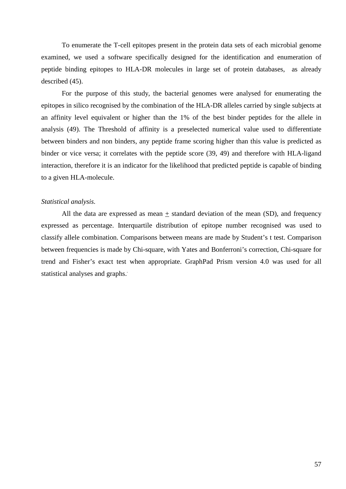To enumerate the T-cell epitopes present in the protein data sets of each microbial genome examined, we used a software specifically designed for the identification and enumeration of peptide binding epitopes to HLA-DR molecules in large set of protein databases, as already described (45).

For the purpose of this study, the bacterial genomes were analysed for enumerating the epitopes in silico recognised by the combination of the HLA-DR alleles carried by single subjects at an affinity level equivalent or higher than the 1% of the best binder peptides for the allele in analysis (49). The Threshold of affinity is a preselected numerical value used to differentiate between binders and non binders, any peptide frame scoring higher than this value is predicted as binder or vice versa; it correlates with the peptide score (39, 49) and therefore with HLA-ligand interaction, therefore it is an indicator for the likelihood that predicted peptide is capable of binding to a given HLA-molecule.

#### *Statistical analysis.*

All the data are expressed as mean  $+$  standard deviation of the mean (SD), and frequency expressed as percentage. Interquartile distribution of epitope number recognised was used to classify allele combination. Comparisons between means are made by Student's t test. Comparison between frequencies is made by Chi-square, with Yates and Bonferroni's correction, Chi-square for trend and Fisher's exact test when appropriate. GraphPad Prism version 4.0 was used for all statistical analyses and graphs.*.*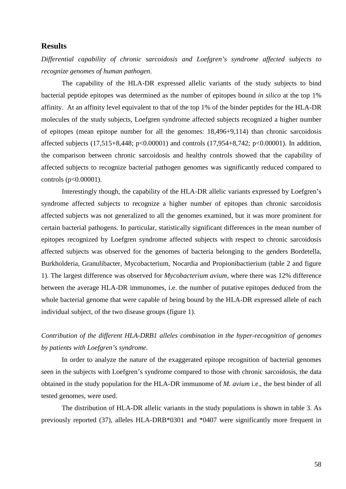#### **Results**

*Differential capability of chronic sarcoidosis and Loefgren's syndrome affected subjects to recognize genomes of human pathogen.* 

The capability of the HLA-DR expressed allelic variants of the study subjects to bind bacterial peptide epitopes was determined as the number of epitopes bound *in silico* at the top 1% affinity. At an affinity level equivalent to that of the top 1% of the binder peptides for the HLA-DR molecules of the study subjects, Loefgren syndrome affected subjects recognized a higher number of epitopes (mean epitope number for all the genomes: 18,496+9,114) than chronic sarcoidosis affected subjects (17,515+8,448; p<0.00001) and controls (17,954+8,742; p<0.00001). In addition, the comparison between chronic sarcoidosis and healthy controls showed that the capability of affected subjects to recognize bacterial pathogen genomes was significantly reduced compared to controls (p<0.00001).

Interestingly though, the capability of the HLA-DR allelic variants expressed by Loefgren's syndrome affected subjects to recognize a higher number of epitopes than chronic sarcoidosis affected subjects was not generalized to all the genomes examined, but it was more prominent for certain bacterial pathogens. In particular, statistically significant differences in the mean number of epitopes recognized by Loefgren syndrome affected subjects with respect to chronic sarcoidosis affected subjects was observed for the genomes of bacteria belonging to the genders Bordetella, Burkholderia, Granulibacter, Mycobacterium, Nocardia and Propionibactierium (table 2 and figure 1). The largest difference was observed for *Mycobacterium avium*, where there was 12% difference between the average HLA-DR immunomes, i.e. the number of putative epitopes deduced from the whole bacterial genome that were capable of being bound by the HLA-DR expressed allele of each individual subject, of the two disease groups (figure 1).

### *Contribution of the different HLA-DRB1 alleles combination in the hyper-recognition of genomes by patients with Loefgren's syndrome.*

In order to analyze the nature of the exaggerated epitope recognition of bacterial genomes seen in the subjects with Loefgren's syndrome compared to those with chronic sarcoidosis, the data obtained in the study population for the HLA-DR immunome of *M. avium* i.e., the best binder of all tested genomes, were used.

The distribution of HLA-DR allelic variants in the study populations is shown in table 3. As previously reported (37), alleles HLA-DRB\*0301 and \*0407 were significantly more frequent in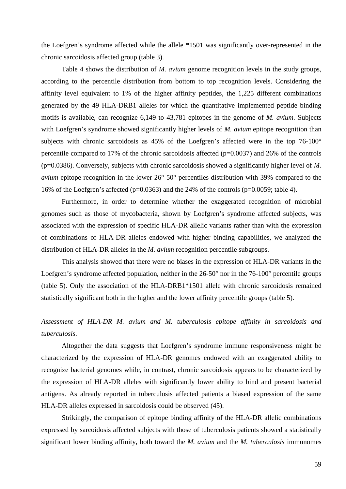the Loefgren's syndrome affected while the allele \*1501 was significantly over-represented in the chronic sarcoidosis affected group (table 3).

Table 4 shows the distribution of *M. avium* genome recognition levels in the study groups, according to the percentile distribution from bottom to top recognition levels. Considering the affinity level equivalent to 1% of the higher affinity peptides, the 1,225 different combinations generated by the 49 HLA-DRB1 alleles for which the quantitative implemented peptide binding motifs is available, can recognize 6,149 to 43,781 epitopes in the genome of *M. avium*. Subjects with Loefgren's syndrome showed significantly higher levels of *M. avium* epitope recognition than subjects with chronic sarcoidosis as 45% of the Loefgren's affected were in the top 76-100° percentile compared to 17% of the chronic sarcoidosis affected (p=0.0037) and 26% of the controls (p=0.0386). Conversely, subjects with chronic sarcoidosis showed a significantly higher level of *M. avium* epitope recognition in the lower 26°-50° percentiles distribution with 39% compared to the 16% of the Loefgren's affected (p=0.0363) and the 24% of the controls (p=0.0059; table 4).

Furthermore, in order to determine whether the exaggerated recognition of microbial genomes such as those of mycobacteria, shown by Loefgren's syndrome affected subjects, was associated with the expression of specific HLA-DR allelic variants rather than with the expression of combinations of HLA-DR alleles endowed with higher binding capabilities, we analyzed the distribution of HLA-DR alleles in the *M. avium* recognition percentile subgroups.

This analysis showed that there were no biases in the expression of HLA-DR variants in the Loefgren's syndrome affected population, neither in the 26-50° nor in the 76-100° percentile groups (table 5). Only the association of the HLA-DRB1\*1501 allele with chronic sarcoidosis remained statistically significant both in the higher and the lower affinity percentile groups (table 5).

### *Assessment of HLA-DR M. avium and M. tuberculosis epitope affinity in sarcoidosis and tuberculosis*.

Altogether the data suggests that Loefgren's syndrome immune responsiveness might be characterized by the expression of HLA-DR genomes endowed with an exaggerated ability to recognize bacterial genomes while, in contrast, chronic sarcoidosis appears to be characterized by the expression of HLA-DR alleles with significantly lower ability to bind and present bacterial antigens. As already reported in tuberculosis affected patients a biased expression of the same HLA-DR alleles expressed in sarcoidosis could be observed (45).

Strikingly, the comparison of epitope binding affinity of the HLA-DR allelic combinations expressed by sarcoidosis affected subjects with those of tuberculosis patients showed a statistically significant lower binding affinity, both toward the *M. avium* and the *M. tuberculosis* immunomes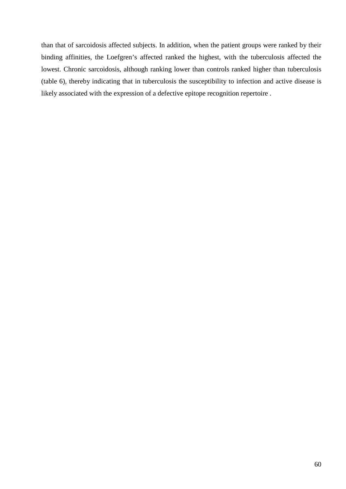than that of sarcoidosis affected subjects. In addition, when the patient groups were ranked by their binding affinities, the Loefgren's affected ranked the highest, with the tuberculosis affected the lowest. Chronic sarcoidosis, although ranking lower than controls ranked higher than tuberculosis (table 6), thereby indicating that in tuberculosis the susceptibility to infection and active disease is likely associated with the expression of a defective epitope recognition repertoire .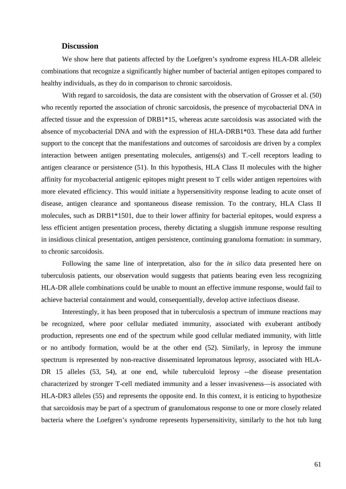#### **Discussion**

We show here that patients affected by the Loefgren's syndrome express HLA-DR alleleic combinations that recognize a significantly higher number of bacterial antigen epitopes compared to healthy individuals, as they do in comparison to chronic sarcoidosis.

With regard to sarcoidosis, the data are consistent with the observation of Grosser et al. (50) who recently reported the association of chronic sarcoidosis, the presence of mycobacterial DNA in affected tissue and the expression of DRB1\*15, whereas acute sarcoidosis was associated with the absence of mycobacterial DNA and with the expression of HLA-DRB1\*03. These data add further support to the concept that the manifestations and outcomes of sarcoidosis are driven by a complex interaction between antigen presentating molecules, antigens(s) and T.-cell receptors leading to antigen clearance or persistence (51). In this hypothesis, HLA Class II molecules with the higher affinity for mycobacterial antigenic epitopes might present to T cells wider antigen repertoires with more elevated efficiency. This would initiate a hypersensitivity response leading to acute onset of disease, antigen clearance and spontaneous disease remission. To the contrary, HLA Class II molecules, such as DRB1\*1501, due to their lower affinity for bacterial epitopes, would express a less efficient antigen presentation process, thereby dictating a sluggish immune response resulting in insidious clinical presentation, antigen persistence, continuing granuloma formation: in summary, to chronic sarcoidosis.

Following the same line of interpretation, also for the *in silico* data presented here on tuberculosis patients, our observation would suggests that patients bearing even less recognizing HLA-DR allele combinations could be unable to mount an effective immune response, would fail to achieve bacterial containment and would, consequentially, develop active infectiuos disease.

Interestingly, it has been proposed that in tuberculosis a spectrum of immune reactions may be recognized, where poor cellular mediated immunity, associated with exuberant antibody production, represents one end of the spectrum while good cellular mediated immunity, with little or no antibody formation, would be at the other end (52). Similarly, in leprosy the immune spectrum is represented by non-reactive disseminated lepromatous leprosy, associated with HLA-DR 15 alleles (53, 54), at one end, while tuberculoid leprosy --the disease presentation characterized by stronger T-cell mediated immunity and a lesser invasiveness—is associated with HLA-DR3 alleles (55) and represents the opposite end. In this context, it is enticing to hypothesize that sarcoidosis may be part of a spectrum of granulomatous response to one or more closely related bacteria where the Loefgren's syndrome represents hypersensitivity, similarly to the hot tub lung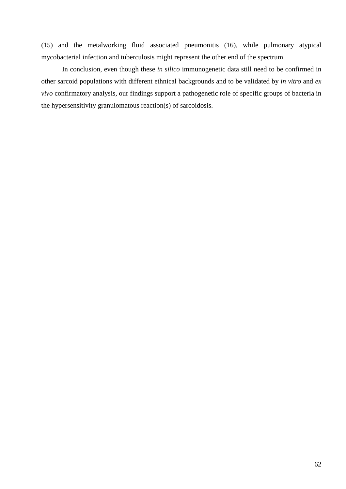(15) and the metalworking fluid associated pneumonitis (16), while pulmonary atypical mycobacterial infection and tuberculosis might represent the other end of the spectrum.

In conclusion, even though these *in silico* immunogenetic data still need to be confirmed in other sarcoid populations with different ethnical backgrounds and to be validated by *in vitro* and *ex vivo* confirmatory analysis*,* our findings support a pathogenetic role of specific groups of bacteria in the hypersensitivity granulomatous reaction(s) of sarcoidosis.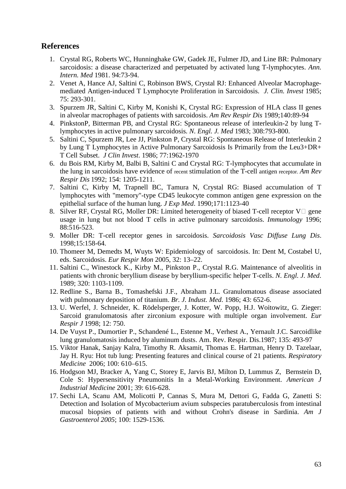### **References**

- 1. Crystal RG, Roberts WC, Hunninghake GW, Gadek JE, Fulmer JD, and Line BR: Pulmonary sarcoidosis: a disease characterized and perpetuated by activated lung T-lymphocytes. *Ann. Intern. Med* 1981. 94:73-94.
- 2. Venet A, Hance AJ, Saltini C, Robinson BWS, Crystal RJ: Enhanced Alveolar Macrophagemediated Antigen-induced T Lymphocyte Proliferation in Sarcoidosis. *J. Clin. Invest* 1985; 75: 293-301.
- 3. Spurzem JR, Saltini C, Kirby M, Konishi K, Crystal RG: Expression of HLA class II genes in alveolar macrophages of patients with sarcoidosis. *Am Rev Respir Dis* 1989;140:89-94
- 4. PinkstonP, Bitterman PB, and Crystal RG: Spontaneous release of interleukin-2 by lung Tlymphocytes in active pulmonary sarcoidosis*. N. Engl. J. Med* 1983; 308:793-800.
- 5. Saltini C, Spurzem JR, Lee JJ, Pinkston P, Crystal RG: Spontaneous Release of Interleukin 2 by Lung T Lymphocytes in Active Pulmonary Sarcoidosis Is Primarily from the Leu3+DR+ T Cell Subset. *J Clin Invest*. 1986; 77:1962-1970
- 6. du Bois RM, Kirby M, Balbi B, Saltini C and Crystal RG: T-lymphocytes that accumulate in the lung in sarcoidosis have evidence of recent stimulation of the T-cell antigen receptor. *Am Rev Respir Dis* 1992; 154: 1205-1211.
- 7. Saltini C, Kirby M, Trapnell BC, Tamura N, Crystal RG: Biased accumulation of T lymphocytes with "memory"-type CD45 leukocyte common antigen gene expression on the epithelial surface of the human lung. *J Exp Med*. 1990;171:1123-40
- 8. Silver RF, Crystal RG, Moller DR: Limited heterogeneity of biased T-cell receptor  $V \Box$  gene usage in lung but not blood T cells in active pulmonary sarcoidosis. *Immunology* 1996; 88:516-523.
- 9. Moller DR: T-cell receptor genes in sarcoidosis. *Sarcoidosis Vasc Diffuse Lung Dis*. 1998;15:158-64.
- 10. Thomeer M, Demedts M, Wuyts W: Epidemiology of sarcoidosis. In: Dent M, Costabel U, eds. Sarcoidosis. *Eur Respir Mon* 2005, 32: 13–22.
- 11. Saltini C., Winestock K., Kirby M., Pinkston P., Crystal R.G. Maintenance of alveolitis in patients with chronic beryllium disease by beryllium-specific helper T-cells. *N. Engl. J. Med*. 1989; 320: 1103-1109.
- 12. Redline S., Barna B., Tomashefski J.F., Abraham J.L. Granulomatous disease associated with pulmonary deposition of titanium. *Br. J. Indust. Med*. 1986; 43: 652-6.
- 13. U. Werfel, J. Schneider, K. Rödelsperger, J. Kotter, W. Popp, H.J. Woitowitz, G. Zieger: Sarcoid granulomatosis after zirconium exposure with multiple organ involvement. *Eur Respir J* 1998; 12: 750.
- 14. De Vuyst P., Dumortier P., Schandené L., Estenne M., Verhest A., Yernault J.C. Sarcoidlike lung granulomatosis induced by aluminum dusts. Am. Rev. Respir. Dis.1987; 135: 493-97
- 15. Viktor Hanak, Sanjay Kalra, Timothy R. Aksamit, Thomas E. Hartman, Henry D. Tazelaar, Jay H. Ryu: Hot tub lung: Presenting features and clinical course of 21 patients. *Respiratory Medicine* 2006; 100: 610–615.
- 16. Hodgson MJ, Bracker A, Yang C, Storey E, Jarvis BJ, Milton D, Lummus Z, Bernstein D, Cole S: Hypersensitivity Pneumonitis In a Metal-Working Environment. *American J Industrial Medicine* 2001; 39: 616-628.
- 17. Sechi LA, Scanu AM, Molicotti P, Cannas S, Mura M, Dettori G, Fadda G, Zanetti S: Detection and Isolation of Mycobacterium avium subspecies paratuberculosis from intestinal mucosal biopsies of patients with and without Crohn's disease in Sardinia. *Am J Gastroenterol 2005*; 100: 1529-1536.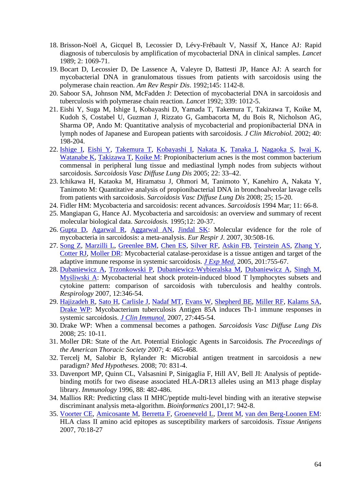- 18. Brisson-Noël A, Gicquel B, Lecossier D, Lévy-Frébault V, Nassif X, Hance AJ: Rapid diagnosis of tuberculosis by amplification of mycobacterial DNA in clinical samples. *Lancet* 1989; 2: 1069-71.
- 19. Bocart D, Lecossier D, De Lassence A, Valeyre D, Battesti JP, Hance AJ: A search for mycobacterial DNA in granulomatous tissues from patients with sarcoidosis using the polymerase chain reaction. *Am Rev Respir Dis*. 1992;145: 1142-8.
- 20. Saboor SA, Johnson NM, McFadden J: Detection of mycobacterial DNA in sarcoidosis and tuberculosis with polymerase chain reaction. *Lancet* 1992; 339: 1012-5.
- 21. Eishi Y, Suga M, Ishige I, Kobayashi D, Yamada T, Takemura T, Takizawa T, Koike M, Kudoh S, Costabel U, Guzman J, Rizzato G, Gambacorta M, du Bois R, Nicholson AG, Sharma OP, Ando M: Quantitative analysis of mycobacterial and propionibacterial DNA in lymph nodes of Japanese and European patients with sarcoidosis. *J Clin Microbiol.* 2002; 40: 198-204.
- 22. Ishige I, Eishi Y, Takemura T, Kobayashi I, Nakata K, Tanaka I, Nagaoka S, Iwai K, Watanabe K, Takizawa T, Koike M: Propionibacterium acnes is the most common bacterium commensal in peripheral lung tissue and mediastinal lymph nodes from subjects without sarcoidosis. *Sarcoidosis Vasc Diffuse Lung Dis* 2005; 22: 33–42.
- 23. Ichikawa H, Kataoka M, Hiramatsu J, Ohmori M, Tanimoto Y, Kanehiro A, Nakata Y, Tanimoto M: Quantitative analysis of propionibacterial DNA in bronchoalveolar lavage cells from patients with sarcoidosis. *Sarcoidosis Vasc Diffuse Lung Dis* 2008; 25; 15-20.
- 24. Fidler HM: Mycobacteria and sarcoidosis: recent advances. *Sarcoidosis* 1994 Mar; 11: 66-8.
- 25. Mangiapan G, Hance AJ. Mycobacteria and sarcoidosis: an overview and summary of recent molecular biological data. *Sarcoidosis.* 1995;12: 20-37.
- 26. Gupta D, Agarwal R, Aggarwal AN, Jindal SK: Molecular evidence for the role of mycobacteria in sarcoidosis: a meta-analysis. *Eur Respir J*. 2007, 30:508-16.
- 27. Song Z, Marzilli L, Greenlee BM, Chen ES, Silver RF, Askin FB, Teirstein AS, Zhang Y, Cotter RJ, Moller DR: Mycobacterial catalase-peroxidase is a tissue antigen and target of the adaptive immune response in systemic sarcoidosis. *J Exp Med.* 2005, 201:755-67.
- 28. Dubaniewicz A, Trzonkowski P, Dubaniewicz-Wybieralska M, Dubaniewicz A, Singh M, Myśliwski A: Mycobacterial heat shock protein-induced blood T lymphocytes subsets and cytokine pattern: comparison of sarcoidosis with tuberculosis and healthy controls. *Respirology* 2007, 12:346-54.
- 29. Hajizadeh R, Sato H, Carlisle J, Nadaf MT, Evans W, Shepherd BE, Miller RF, Kalams SA, Drake WP: Mycobacterium tuberculosis Antigen 85A induces Th-1 immune responses in systemic sarcoidosis. *J Clin Immunol.* 2007, 27:445-54.
- 30. Drake WP: When a commensal becomes a pathogen. *Sarcoidosis Vasc Diffuse Lung Dis* 2008; 25: 10-11.
- 31. Moller DR: State of the Art. Potential Etiologic Agents in Sarcoidosis*. The Proceedings of the American Thoracic Society* 2007; 4: 465-468.
- 32. Tercelj M, Salobir B, Rylander R: Microbial antigen treatment in sarcoidosis a new paradigm? *Med Hypotheses.* 2008; 70: 831-4.
- 33. Davenport MP, Quinn CL, Valsasnini P, Sinigaglia F, Hill AV, Bell JI: Analysis of peptidebinding motifs for two disease associated HLA-DR13 alleles using an M13 phage display library. *Immunology* 1996, 88: 482-486.
- 34. Mallios RR: Predicting class II MHC/peptide multi-level binding with an iterative stepwise discriminant analysis meta-algorithm. *Bioinformatics* 2001,17: 942-8.
- 35. Voorter CE, Amicosante M, Berretta F, Groeneveld L, Drent M, van den Berg-Loonen EM: HLA class II amino acid epitopes as susceptibility markers of sarcoidosis. *Tissue Antigens* 2007, 70:18-27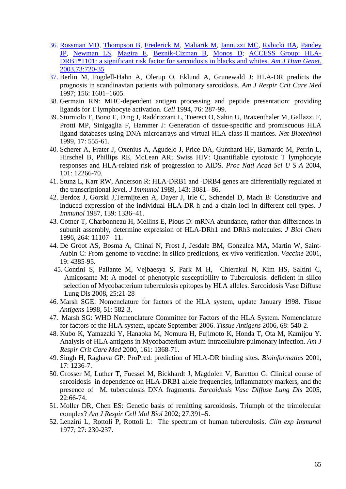- 36. Rossman MD, Thompson B, Frederick M, Maliarik M, Iannuzzi MC, Rybicki BA, Pandey JP, Newman LS, Magira E, Beznik-Cizman B, Monos D; ACCESS Group: HLA-DRB1\*1101: a significant risk factor for sarcoidosis in blacks and whites. *Am J Hum Genet.* 2003,73:720-35
- 37. Berlin M, Fogdell-Hahn A, Olerup O, Eklund A, Grunewald J: HLA-DR predicts the prognosis in scandinavian patients with pulmonary sarcoidosis. *Am J Respir Crit Care Med* 1997; 156: 1601–1605.
- 38. Germain RN: MHC-dependent antigen processing and peptide presentation: providing ligands for T lymphocyte activation. *Cell* 1994, 76: 287-99.
- 39. Sturniolo T, Bono E, Ding J, Raddrizzani L, Tuereci O, Sahin U, Braxenthaler M, Gallazzi F, Protti MP, Sinigaglia F, Hammer J: Generation of tissue-specific and promiscuous HLA ligand databases using DNA microarrays and virtual HLA class II matrices. *Nat Biotechnol* 1999, 17: 555-61.
- 40. Scherer A, Frater J, Oxenius A, Agudelo J, Price DA, Gunthard HF, Barnardo M, Perrin L, Hirschel B, Phillips RE, McLean AR; Swiss HIV: Quantifiable cytotoxic T lymphocyte responses and HLA-related risk of progression to AIDS. *Proc Natl Acad Sci U S A* 2004, 101: 12266-70.
- 41. Stunz L, Karr RW, Anderson R: HLA-DRB1 and -DRB4 genes are differentially regulated at the transcriptional level. *J Immunol* 1989, 143: 3081– 86.
- 42. Berdoz J, Gorski J,Termijtelen A, Dayer J, Irle C, Schendel D, Mach B: Constitutive and induced expression of the individual HLA-DR h and a chain loci in different cell types. *J Immunol* 1987, 139: 1336–41.
- 43. Cotner T, Charbonneau H, Mellins E, Pious D: mRNA abundance, rather than differences in subunit assembly, determine expression of HLA-DRh1 and DRh3 molecules. *J Biol Chem* 1996, 264: 11107 –11.
- 44. De Groot AS, Bosma A, Chinai N, Frost J, Jesdale BM, Gonzalez MA, Martin W, Saint-Aubin C: From genome to vaccine: in silico predictions, ex vivo verification. *Vaccine* 2001, 19: 4385-95.
	- 45. Contini S, Pallante M, Vejbaesya S, Park M H, Chierakul N, Kim HS, Saltini C, Amicosante M: A model of phenotypic susceptibility to Tuberculosis: deficient in silico selection of Mycobacterium tuberculosis epitopes by HLA alleles. Sarcoidosis Vasc Diffuse Lung Dis 2008, 25:21-28
- 46. Marsh SGE: Nomenclature for factors of the HLA system, update January 1998. *Tissue Antigens* 1998, 51: 582-3.
- 47. Marsh SG: WHO Nomenclature Committee for Factors of the HLA System. Nomenclature for factors of the HLA system, update September 2006. *Tissue Antigens* 2006, 68: 540-2.
- 48. Kubo K, Yamazaki Y, Hanaoka M, Nomura H, Fujimoto K, Honda T, Ota M, Kamijou Y. Analysis of HLA antigens in Mycobacterium avium-intracellulare pulmonary infection. *Am J Respir Crit Care Med* 2000, 161: 1368-71.
- 49. Singh H, Raghava GP: ProPred: prediction of HLA-DR binding sites. *Bioinformatics* 2001, 17: 1236-7.
- 50. Grosser M, Luther T, Fuessel M, Bickhardt J, Magdolen V, Baretton G: Clinical course of sarcoidosis in dependence on HLA-DRB1 allele frequencies, inflammatory markers, and the presence of M. tuberculosis DNA fragments. *Sarcoidosis Vasc Diffuse Lung Dis* 2005, 22:66-74.
- 51. Moller DR, Chen ES: Genetic basis of remitting sarcoidosis. Triumph of the trimolecular complex? *Am J Respir Cell Mol Biol* 2002; 27:391–5.
- 52. Lenzini L, Rottoli P, Rottoli L: The spectrum of human tuberculosis. *Clin exp Immunol* 1977; 27: 230-237.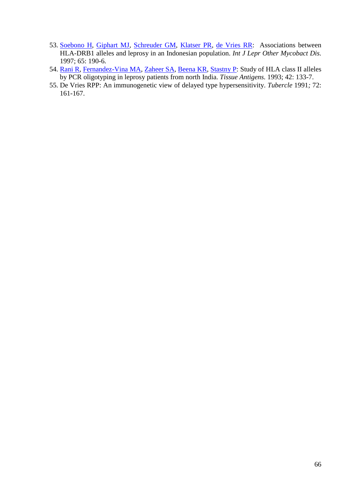- 53. Soebono H, Giphart MJ, Schreuder GM, Klatser PR, de Vries RR: Associations between HLA-DRB1 alleles and leprosy in an Indonesian population. *Int J Lepr Other Mycobact Dis.* 1997; 65: 190-6.
- 54. Rani R, Fernandez-Vina MA, Zaheer SA, Beena KR, Stastny P: Study of HLA class II alleles by PCR oligotyping in leprosy patients from north India. *Tissue Antigens.* 1993; 42: 133-7.
- 55. De Vries RPP: An immunogenetic view of delayed type hypersensitivity. *Tubercle* 1991*;* 72: 161-167.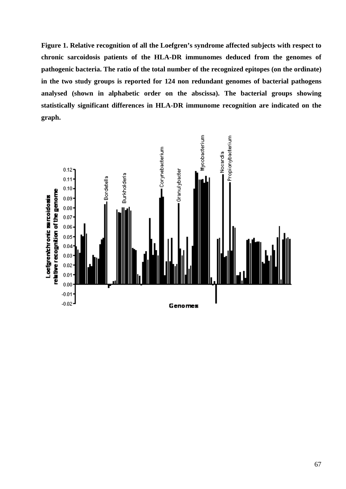**Figure 1. Relative recognition of all the Loefgren's syndrome affected subjects with respect to chronic sarcoidosis patients of the HLA-DR immunomes deduced from the genomes of pathogenic bacteria. The ratio of the total number of the recognized epitopes (on the ordinate) in the two study groups is reported for 124 non redundant genomes of bacterial pathogens analysed (shown in alphabetic order on the abscissa). The bacterial groups showing statistically significant differences in HLA-DR immunome recognition are indicated on the graph.** 

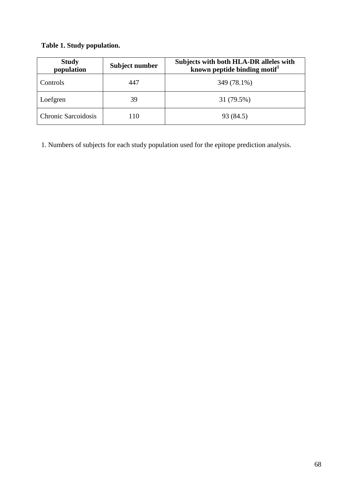### **Table 1. Study population.**

| <b>Study</b><br>population | Subject number | Subjects with both HLA-DR alleles with<br>known peptide binding motif <sup>1</sup> |
|----------------------------|----------------|------------------------------------------------------------------------------------|
| Controls                   | 447            | 349 (78.1%)                                                                        |
| Loefgren                   | 39             | 31 (79.5%)                                                                         |
| <b>Chronic Sarcoidosis</b> | 110            | 93 (84.5)                                                                          |

1. Numbers of subjects for each study population used for the epitope prediction analysis.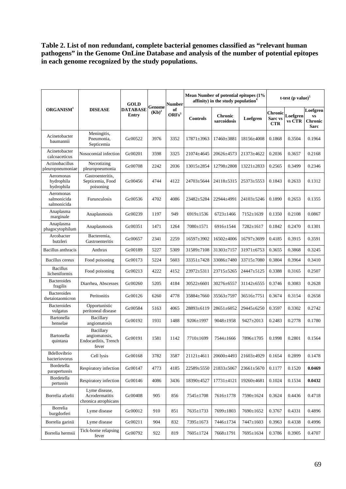#### **Table 2. List of non redundant, complete bacterial genomes classified as "relevant human pathogens" in the Genome OnLine Database and analysis of the number of potential epitopes in each genome recognized by the study populations.**

|                                         |                                                             | <b>GOLD</b>              | Genome<br>$(Kb)^2$ | Number<br>of<br>ORFs <sup>3</sup> | affinity) in the study population <sup>4</sup> | Mean Number of potential epitopes (1% | t-test (p value) $5$ |                                  |                    |                                                        |
|-----------------------------------------|-------------------------------------------------------------|--------------------------|--------------------|-----------------------------------|------------------------------------------------|---------------------------------------|----------------------|----------------------------------|--------------------|--------------------------------------------------------|
| <b>ORGANISM<sup>1</sup></b>             | <b>DISEASE</b>                                              | <b>DATABASE</b><br>Entry |                    |                                   | <b>Controls</b>                                | <b>Chronic</b><br>sarcoidosis         | Loefgren             | Chronic<br>Sarc vs<br><b>CTR</b> | Loefgren<br>vs CTR | Loefgren<br><b>VS</b><br><b>Chronic</b><br><b>Sarc</b> |
| Acinetobacter<br>baumannii              | Meningitis,<br>Pneumonia,<br>Septicemia                     | Gc00522                  | 3976               | 3352                              | $17871 \pm 3963$                               | $17460 \pm 3881$                      | 18156±4008           | 0.1868                           | 0.3504             | 0.1964                                                 |
| Acinetobacter<br>calcoaceticus          | Nosocomial infection                                        | Gc00201                  | 3598               | 3325                              | 21074+4645                                     | 20626±4573                            | 21373±4622           | 0.2036                           | 0.3657             | 0.2168                                                 |
| Actinobacillus<br>pleuropneumoniae      | Necrotizing<br>pleuropneumonia                              | Gc00708                  | 2242               | 2036                              | 13015±2854                                     | 12798±2808                            | $13221 \pm 2833$     | 0.2565                           | 0.3499             | 0.2346                                                 |
| Aeromonas<br>hydrophila<br>hydrophila   | Gastroenteritis,<br>Septicemia, Food<br>poisoning           | Gc00456                  | 4744               | 4122                              | 24703±5644                                     | 24118±5315                            | 25373±5553           | 0.1843                           | 0.2633             | 0.1312                                                 |
| Aeromonas<br>salmonicida<br>salmonicida | Furunculosis                                                | Gc00536                  | 4702               | 4086                              | 23482±5284                                     | 22944±4991                            | 24103±5246           | 0.1890                           | 0.2653             | 0.1355                                                 |
| Anaplasma<br>marginale                  | Anaplasmosis                                                | Gc00239                  | 1197               | 949                               | 6919±1536                                      | $6723 \pm 1466$                       | 7152±1639            | 0.1350                           | 0.2108             | 0.0867                                                 |
| Anaplasma<br>phagocytophilum            | Anaplasmosis                                                | Gc00351                  | 1471               | 1264                              | 7080±1571                                      | 6916±1544                             | 7282±1617            | 0.1842                           | 0.2470             | 0.1301                                                 |
| Arcobacter<br>butzleri                  | Bacteremia,<br>Gastroenteritis                              | Gc00657                  | 2341               | 2259                              | 16597±3902                                     | 16502±4006                            | 16797±3699           | 0.4185                           | 0.3915             | 0.3591                                                 |
| Bacillus anthracis                      | Anthrax                                                     | Gc00189                  | 5227               | 5309                              | 31589±7108                                     | 31303±7157                            | 31971±6753           | 0.3655                           | 0.3868             | 0.3245                                                 |
| <b>Bacillus</b> cereus                  | Food poisoning                                              | Gc00173                  | 5224               | 5603                              | 33351±7428                                     | 33086±7480                            | 33715±7080           | 0.3804                           | 0.3964             | 0.3410                                                 |
| <b>Bacillus</b><br>licheniformis        | Food poisoning                                              | Gc00213                  | 4222               | 4152                              | 23972±5311                                     | 23715±5265                            | 24447±5125           | 0.3388                           | 0.3165             | 0.2507                                                 |
| <b>Bacteroides</b><br>fragilis          | Diarrhea, Abscesses                                         | Gc00260                  | 5205               | 4184                              | 30522±6601                                     | 30276±6557                            | 31142±6555           | 0.3746                           | 0.3083             | 0.2628                                                 |
| <b>Bacteroides</b><br>thetaiotaomicron  | Peritonitis                                                 | Gc00126                  | 6260               | 4778                              | 35884±7660                                     | 35563±7597                            | 36516±7751           | 0.3674                           | 0.3154             | 0.2658                                                 |
| <b>Bacteroides</b><br>vulgatus          | Opportunistic<br>peritoneal disease                         | Gc00584                  | 5163               | 4065                              | 28893±6119                                     | $28651 \pm 6052$                      | 29445±6250           | 0.3597                           | 0.3302             | 0.2742                                                 |
| Bartonella<br>henselae                  | Bacillary<br>angiomatosis                                   | Gc00192                  | 1931               | 1488                              | 9206±1997                                      | 9048±1958                             | 9427±2013            | 0.2483                           | 0.2778             | 0.1780                                                 |
| Bartonella<br>quintana                  | Bacillary<br>angiomatosis,<br>Endocarditis, Trench<br>fever | Gc00191                  | 1581               | 1142                              | $7710+1699$                                    | 7544±1666                             | 7896±1705            | 0.1998                           | 0.2801             | 0.1564                                                 |
| Bdellovibrio<br>bacteriovorus           | Cell lysis                                                  | Gc00168                  | 3782               | 3587                              | 21121±4611                                     | 20600±4493                            | 21603±4929           | 0.1654                           | 0.2899             | 0.1478                                                 |
| Bordetella<br>parapertussis             | Respiratory infection                                       | Gc00147                  | 4773               | 4185                              | 22589±5550                                     | 21833±5067                            | 23661±5670           | 0.1177                           | 0.1520             | 0.0469                                                 |
| Bordetella<br>pertussis                 | Respiratory infection                                       | Gc00146                  | 4086               | 3436                              | 18390±4527                                     | 17731±4121                            | 19260±4681           | 0.1024                           | 0.1534             | 0.0432                                                 |
| Borrelia afzelii                        | Lyme disease,<br>Acrodermatitis<br>chronica atrophicans     | Gc00408                  | 905                | 856                               | 7545±1708                                      | 7616±1778                             | 7590±1624            | 0.3624                           | 0.4436             | 0.4718                                                 |
| Borrelia<br>burgdorferi                 | Lyme disease                                                | Gc00012                  | 910                | 851                               | 7635±1733                                      | 7699±1803                             | 7690±1652            | 0.3767                           | 0.4331             | 0.4896                                                 |
| Borrelia garinii                        | Lyme disease                                                | Gc00211                  | 904                | 832                               | $7395{\pm}1673$                                | 7446±1734                             | 7447±1603            | 0.3963                           | 0.4338             | 0.4996                                                 |
| Borrelia hermsii                        | Tick-borne relapsing<br>fever                               | Gc00792                  | 922                | 819                               | 7605±1724                                      | 7668±1791                             | 7695±1634            | 0.3786                           | 0.3905             | 0.4707                                                 |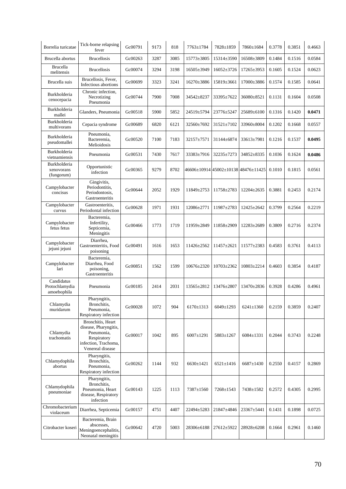| Borrelia turicatae                          | Tick-borne relapsing<br>fever                                                                                       | Gc00791 | 9173 | 818  | 7763±1784       | 7828±1859                           | 7860±1684        | 0.3778 | 0.3851 | 0.4663 |
|---------------------------------------------|---------------------------------------------------------------------------------------------------------------------|---------|------|------|-----------------|-------------------------------------|------------------|--------|--------|--------|
| Brucella abortus                            | <b>Brucellosis</b>                                                                                                  | Gc00263 | 3287 | 3085 | 15773±3805      | 15314±3590                          | 16508±3809       | 0.1484 | 0.1516 | 0.0584 |
| Brucella<br>melitensis                      | <b>Brucellosis</b>                                                                                                  | Gc00074 | 3294 | 3198 | 16505±3949      | $16052 \pm 3726$                    | $17265 \pm 3953$ | 0.1605 | 0.1524 | 0.0623 |
| Brucella suis                               | Brucellosis, Fever,<br>Infectious abortions                                                                         | Gc00699 | 3323 | 3241 | 16270±3886      | 15819±3661                          | 17000±3886       | 0.1574 | 0.1585 | 0.0641 |
| Burkholderia<br>cenocepacia                 | Chronic infection,<br>Necrotizing<br>Pneumonia                                                                      | Gc00744 | 7900 | 7008 | 34542±8237      | 33395±7622                          | 36080±8521       | 0.1131 | 0.1604 | 0.0508 |
| Burkholderia<br>mallei                      | Glanders, Pneumonia                                                                                                 | Gc00518 | 5900 | 5852 | 24519±5794      | 23776±5247                          | 25689±6100       | 0.1316 | 0.1420 | 0.0471 |
| Burkholderia<br>multivorans                 | Cepacia syndrome                                                                                                    | Gc00689 | 6820 | 6121 | 32560±7692      | 31521±7102                          | 33960±8004       | 0.1202 | 0.1668 | 0.0557 |
| Burkholderia<br>pseudomallei                | Pneumonia,<br>Bacteremia,<br>Melioidosis                                                                            | Gc00520 | 7100 | 7183 | 32157±7571      | 31144±6874                          | 33613±7981       | 0.1216 | 0.1537 | 0.0495 |
| Burkholderia<br>vietnamiensis               | Pneumonia                                                                                                           | Gc00531 | 7430 | 7617 | 33383±7916      | 32235±7273                          | 34852±8335       | 0.1036 | 0.1624 | 0.0486 |
| Burkholderia<br>xenovorans<br>(fungorum)    | Opportunistic<br>infection                                                                                          | Gc00365 | 9279 | 8702 |                 | 46606±10914 45002±10138 48476±11425 |                  | 0.1010 | 0.1815 | 0.0561 |
| Campylobacter<br>concisus                   | Gingivitis,<br>Periodontitis,<br>Periodontosis,<br>Gastroenteritis                                                  | Gc00644 | 2052 | 1929 | 11849±2753      | 11758±2783                          | 12204±2635       | 0.3881 | 0.2453 | 0.2174 |
| Campylobacter<br>curvus                     | Gastroenteritis,<br>Periodontal infection                                                                           | Gc00628 | 1971 | 1931 | 12086±2771      | 11987±2783                          | $12425 \pm 2642$ | 0.3799 | 0.2564 | 0.2219 |
| Campylobacter<br>fetus fetus                | Bacteremia,<br>Infertility,<br>Septicemia,<br>Meningitis                                                            | Gc00466 | 1773 | 1719 | 11959±2849      | 11858±2909                          | 12283±2689       | 0.3809 | 0.2716 | 0.2374 |
| Campylobacter<br>jejuni jejuni              | Diarrhea,<br>Gastroenteritis, Food<br>poisoning                                                                     | Gc00491 | 1616 | 1653 | 11426±2562      | $11457 \pm 2621$                    | $11577 \pm 2383$ | 0.4583 | 0.3761 | 0.4113 |
| Campylobacter<br>lari                       | Bacteremia,<br>Diarrhea, Food<br>poisoning,<br>Gastroenteritis                                                      | Gc00851 | 1562 | 1599 | 10676±2320      | $10703 \pm 2362$                    | $10803 \pm 2214$ | 0.4603 | 0.3854 | 0.4187 |
| Candidatus<br>Protochlamydia<br>amoebophila | Pneumonia                                                                                                           | Gc00185 | 2414 | 2031 | 13565±2812      | 13476±2807                          | 13470±2836       | 0.3928 | 0.4286 | 0.4961 |
| Chlamydia<br>muridarum                      | Pharyngitis,<br>Bronchitis,<br>Pneumonia,<br>Respiratory infection                                                  | Gc00028 | 1072 | 904  | $6170 \pm 1313$ | 6049±1293                           | $6241 \pm 1360$  | 0.2159 | 0.3859 | 0.2407 |
| Chlamydia<br>trachomatis                    | Bronchitis, Heart<br>disease, Pharyngitis,<br>Pneumonia,<br>Respiratory<br>infection, Trachoma,<br>Venereal disease | Gc00017 | 1042 | 895  | $6007 \pm 1291$ | 5883±1267                           | $6084 \pm 1331$  | 0.2044 | 0.3743 | 0.2248 |
| Chlamydophila<br>abortus                    | Pharyngitis,<br>Bronchitis,<br>Pneumonia.<br>Respiratory infection                                                  | Gc00262 | 1144 | 932  | 6630±1421       | $6521 \pm 1416$                     | $6687 \pm 1430$  | 0.2550 | 0.4157 | 0.2869 |
| Chlamydophila<br>pneumoniae                 | Pharyngitis,<br>Bronchitis,<br>Pneumonia, Heart<br>disease, Respiratory<br>infection                                | Gc00143 | 1225 | 1113 | 7387±1560       | 7268±1543                           | 7438±1582        | 0.2572 | 0.4305 | 0.2995 |
| Chromobacterium<br>violaceum                | Diarrhea, Septicemia                                                                                                | Gc00157 | 4751 | 4407 | 22494±5283      | 21847±4846                          | 23367±5441       | 0.1431 | 0.1898 | 0.0725 |
| Citrobacter koseri                          | Bacteremia, Brain<br>abscesses,<br>Meningoencephalitis,<br>Neonatal meningitis                                      | Gc00642 | 4720 | 5003 | 28306±6188      | 27612±5922                          | 28928±6208       | 0.1664 | 0.2961 | 0.1460 |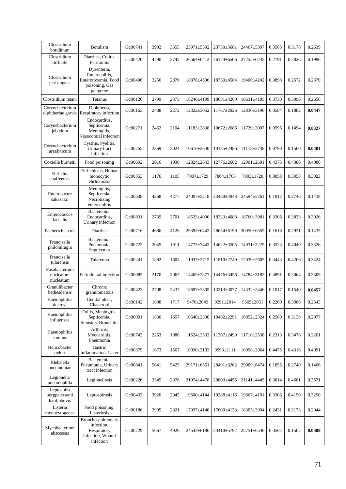| Clostridium<br>botulinum                    | <b>Botulism</b>                                                                    | Gc00741 | 3992 | 3655 | 23971±5592       | 23730±5681       | 24467±5397       | 0.3563 | 0.3178 | 0.2639 |
|---------------------------------------------|------------------------------------------------------------------------------------|---------|------|------|------------------|------------------|------------------|--------|--------|--------|
| Clostridium<br>difficile                    | Diarrhea, Colitis,<br>Peritonitis                                                  | Gc00420 | 4290 | 3742 | 26564±6412       | $26124 \pm 6506$ | 27255±6245       | 0.2791 | 0.2826 | 0.1996 |
| Clostridium<br>perfringens                  | Dysenteria,<br>Enterocolitis,<br>Enterotoxemia, Food<br>poisoning, Gas<br>gangrene | Gc00406 | 3256 | 2876 | 18878±4506       | 18730±4584       | 19400±4242       | 0.3898 | 0.2672 | 0.2370 |
| Clostridium tetani                          | Tetanus                                                                            | Gc00120 | 2799 | 2373 | 18240±4199       | $18081 \pm 4260$ | 18631±4105       | 0.3730 | 0.3096 | 0.2656 |
| Corynebacterium<br>diphtheriae gravis       | Diphtheria,<br>Respiratory infection                                               | Gc00163 | 2488 | 2272 | 12322±3052       | $11767 \pm 2926$ | 12830±3196       | 0.0584 | 0.1882 | 0.0447 |
| Corynebacterium<br>jeikeium                 | Endocarditis,<br>Septicemia,<br>Meningitis,<br>Nosocomial infection                | Gc00271 | 2462 | 2104 | 11183±2838       | $10672 \pm 2686$ | $11739 \pm 3007$ | 0.0595 | 0.1494 | 0.0327 |
| Corynebacterium<br>urealyticum              | Cystitis, Pyelitis,<br>Urinary tract<br>infection                                  | Gc00755 | 2369 | 2024 | $10616 \pm 2640$ | $10185 \pm 2486$ | $11118 \pm 2738$ | 0.0790 | 0.1560 | 0.0401 |
| Coxiella burnetii                           | Food poisoning                                                                     | Gc00692 | 2016 | 1930 | 12824±2643       | 12776±2602       | $12901 \pm 2601$ | 0.4375 | 0.4386 | 0.4086 |
| Ehrlichia<br>chaffeensis                    | Ehrlichiosis, Human<br>monocytic<br>ehrlichiosis                                   | Gc00353 | 1176 | 1105 | 7907±1729        | 7804±1763        | 7993±1720        | 0.3058 | 0.3958 | 0.3023 |
| Enterobacter<br>sakazakii                   | Meningitis,<br>Septicemia,<br>Necrotizing<br>enterocolitis                         | Gc00638 | 4368 | 4277 | 24007±5218       | 23480±4948       | 24594±5261       | 0.1912 | 0.2746 | 0.1438 |
| Enterococcus<br>faecalis                    | Bacteremia,<br>Endocarditis,<br>Urinary infection                                  | Gc00831 | 2739 | 2701 | 18533±4090       | 18323±4088       | 18760±3981       | 0.3306 | 0.3833 | 0.3026 |
| Escherichia coli                            | Diarrhea                                                                           | Gc00716 | 4686 | 4126 | 29392±6442       | 28654±6199       | 30050±6555       | 0.1618 | 0.2931 | 0.1433 |
| Francisella<br>philomiragia                 | Bacteremia,<br>Pneumonia,<br>Septicemia                                            | Gc00722 | 2045 | 1911 | 14775±3443       | $14622 \pm 3505$ | 14931±3225       | 0.3523 | 0.4040 | 0.3326 |
| Francisella<br>tularensis                   | Tularemia                                                                          | Gc00241 | 1892 | 1603 | 11937±2715       | 11810±2749       | $12039 \pm 2605$ | 0.3443 | 0.4206 | 0.3424 |
| Fusobacterium<br>nucleatum<br>nucleatum     | Periodontal infection                                                              | Gc00085 | 2170 | 2067 | 14465±3377       | 14476±3456       | 14784±3182       | 0.4891 | 0.3064 | 0.3309 |
| Granulibacter<br>bethesdensis               | Chronic<br>granulomatous                                                           | Gc00423 | 2708 | 2437 | 13697±3305       | 13213±3077       | 14332±3446       | 0.1017 | 0.1540 | 0.0457 |
| Haemophilus<br>ducrevi                      | Genital ulcer,<br>Chancroid                                                        | Gc00142 | 1698 | 1717 | 9470±2049        | 9291±2014        | 9569±2051        | 0.2260 | 0.3986 | 0.2543 |
| Haemophilus<br>influenzae                   | Otitis, Meningitis,<br>Septicemia,<br>Sinusitis, Bronchitis                        | Gc00001 | 1830 | 1657 | $10640 \pm 2330$ | $10462 \pm 2291$ | 10852±2324       | 0.2560 | 0.3138 | 0.2077 |
| Haemophilus<br>somnus                       | Arthritis,<br>Myocarditis,<br>Pneumonia                                            | Gc00743 | 2263 | 1980 | $11524 \pm 2533$ | 11307±2499       | $11710 \pm 2538$ | 0.2313 | 0.3476 | 0.2201 |
| Helicobacter<br>pylori                      | Gastric<br>inflammation, Ulcer                                                     | Gc00879 | 1673 | 1567 | 10030±2103       | 9998±2111        | $10098 \pm 2064$ | 0.4475 | 0.4316 | 0.4091 |
| Klebsiella<br>pneumoniae                    | Bacteremia,<br>Pneumonia, Urinary<br>tract infection                               | Gc00841 | 5641 | 5425 | 29171±6561       | 28491±6262       | 29909±6474       | 0.1855 | 0.2740 | 0.1406 |
| Legionella<br>pneumophila                   | Legionellosis                                                                      | Gc00226 | 3345 | 2878 | 21074±4478       | 20803±4455       | 21141±4445       | 0.3014 | 0.4681 | 0.3571 |
| Leptospira<br>borgpetersenii<br>hardjobovis | Leptospirosis                                                                      | Gc00433 | 3920 | 2945 | 19500±4144       | 19288±4116       | $19667 \pm 4101$ | 0.3306 | 0.4150 | 0.3290 |
| Listeria<br>monocytogenes                   | Food poisoning,<br>Listeriosis                                                     | Gc00186 | 2905 | 2821 | 17937±4140       | 17600±4133       | 18305±3994       | 0.2431 | 0.3173 | 0.2044 |
| Mycobacterium<br>abscessus                  | Broncho-pulmonary<br>infection,<br>Respiratory<br>infection, Wound<br>infection    | Gc00729 | 5067 | 4920 | 24543±6186       | 23410±5792       | 25751±6546       | 0.0562 | 0.1502 | 0.0309 |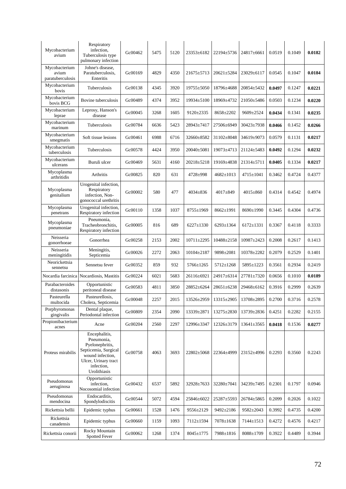| Mycobacterium<br>avium                     | Respiratory<br>infection,<br>Tuberculosis type<br>pulmonary infection                                                                            | Gc00462 | 5475 | 5120 | 23353±6182       | 22194±5736       | 24817±6661       | 0.0519 | 0.1049 | 0.0182 |
|--------------------------------------------|--------------------------------------------------------------------------------------------------------------------------------------------------|---------|------|------|------------------|------------------|------------------|--------|--------|--------|
| Mycobacterium<br>avium<br>paratuberculosis | Johne's disease,<br>Paratuberculosis,<br>Enteritis                                                                                               | Gc00169 | 4829 | 4350 | 21675±5713       | $20621 \pm 5284$ | $23029 \pm 6117$ | 0.0545 | 0.1047 | 0.0184 |
| Mycobacterium<br>bovis                     | Tuberculosis                                                                                                                                     | Gc00138 | 4345 | 3920 | 19755±5050       | 18796±4688       | $20854 \pm 5432$ | 0.0497 | 0.1247 | 0.0221 |
| Mycobacterium<br>bovis BCG                 | Bovine tuberculosis                                                                                                                              | Gc00489 | 4374 | 3952 | 19934±5100       | 18969±4732       | 21050±5486       | 0.0503 | 0.1234 | 0.0220 |
| Mycobacterium<br>leprae                    | Leprosy, Hanson's<br>disease                                                                                                                     | Gc00045 | 3268 | 1605 | 9120±2335        | 8658±2202        | $9609 \pm 2524$  | 0.0434 | 0.1341 | 0.0235 |
| Mycobacterium<br>marinum                   | Tuberculosis                                                                                                                                     | Gc00784 | 6636 | 5423 | 28943±7417       | 27506±6949       | 30423±7938       | 0.0466 | 0.1452 | 0.0266 |
| Mycobacterium<br>smegmatis                 | Soft tissue lesions                                                                                                                              | Gc00461 | 6988 | 6716 | 32660±8582       | 31102±8048       | 34619±9073       | 0.0579 | 0.1131 | 0.0217 |
| Mycobacterium<br>tuberculosis              | Tuberculosis                                                                                                                                     | Gc00578 | 4424 | 3950 | 20040±5081       | 19073±4713       | $21124 \pm 5483$ | 0.0492 | 0.1294 | 0.0232 |
| Mycobacterium<br>ulcerans                  | Buruli ulcer                                                                                                                                     | Gc00469 | 5631 | 4160 | 20218±5218       | 19169±4838       | 21314±5711       | 0.0405 | 0.1334 | 0.0217 |
| Mycoplasma<br>arthritidis                  | Arthritis                                                                                                                                        | Gc00825 | 820  | 631  | 4728±998         | $4682 \pm 1013$  | $4715 \pm 1041$  | 0.3462 | 0.4724 | 0.4377 |
| Mycoplasma<br>genitalium                   | Urogenital infection,<br>Respiratory<br>infection, Non-<br>gonococcal urethritis                                                                 | Gc00002 | 580  | 477  | 4034±836         | 4017±849         | $4015 \pm 860$   | 0.4314 | 0.4542 | 0.4974 |
| Mycoplasma<br>penetrans                    | Urogenital infection,<br>Respiratory infection                                                                                                   | Gc00110 | 1358 | 1037 | 8755±1969        | 8662±1991        | 8690±1990        | 0.3445 | 0.4304 | 0.4736 |
| Mycoplasma<br>pneumoniae                   | Pneumonia,<br>Tracheobronchitis,<br>Respiratory infection                                                                                        | Gc00005 | 816  | 689  | $6227 \pm 1330$  | 6293±1364        | $6172 \pm 1331$  | 0.3367 | 0.4118 | 0.3333 |
| Neisseria<br>gonorrhoeae                   | Gonorrhea                                                                                                                                        | Gc00258 | 2153 | 2002 | $10711 \pm 2295$ | $10488 \pm 2158$ | $10987 \pm 2423$ | 0.2008 | 0.2617 | 0.1413 |
| Neisseria<br>meningitidis                  | Meningitis,<br>Septicemia                                                                                                                        | Gc00026 | 2272 | 2063 | $10104 \pm 2187$ | 9898±2081        | $10378 \pm 2282$ | 0.2079 | 0.2529 | 0.1401 |
| Neorickettsia<br>sennetsu                  | Sennetsu fever                                                                                                                                   | Gc00352 | 859  | 932  | 5766±1265        | 5712±1268        | 5895±1223        | 0.3561 | 0.2934 | 0.2419 |
| Nocardia farcinica                         | Nocardiosis, Mastitis                                                                                                                            | Gc00224 | 6021 | 5683 | 26116±6921       | 24917±6314       | 27781±7320       | 0.0656 | 0.1010 | 0.0189 |
| Parabacteroides<br>distasonis              | Opportunistic<br>peritoneal disease                                                                                                              | Gc00583 | 4811 | 3850 | 28852±6264       | $28651 \pm 6238$ | 29468±6162       | 0.3916 | 0.2999 | 0.2639 |
| Pasteurella<br>multocida                   | Pasteurellosis,<br>Cholera, Septicemia                                                                                                           | Gc00048 | 2257 | 2015 | 13526±2959       | $13315 \pm 2905$ | 13708±2895       | 0.2700 | 0.3716 | 0.2578 |
| Porphyromonas<br>gingivalis                | Dental plaque,<br>Periodontal infection                                                                                                          | Gc00809 | 2354 | 2090 | 13339±2871       | 13275±2830       | 13739±2836       | 0.4251 | 0.2282 | 0.2155 |
| Propionibacterium<br>acnes                 | Acne                                                                                                                                             | Gc00204 | 2560 | 2297 | 12996±3347       | 12326±3179       | $13641 \pm 3565$ | 0.0418 | 0.1536 | 0.0277 |
| Proteus mirabilis                          | Encephalitis,<br>Pneumonia,<br>Pyelonephritis,<br>Septicemia, Surgical<br>wound infection.<br>Ulcer, Urinary tract<br>infection,<br>Urolithiasis | Gc00758 | 4063 | 3693 | 22802±5068       | 22364±4999       | 23152±4996       | 0.2293 | 0.3560 | 0.2243 |
| Pseudomonas<br>aeruginosa                  | Opportunistic<br>infection,<br>Nocosomial infection                                                                                              | Gc00432 | 6537 | 5892 | 32928±7633       | 32280±7041       | 34239±7495       | 0.2301 | 0.1797 | 0.0946 |
| Pseudomonas<br>mendocina                   | Endocarditis,<br>Spondylodiscitis                                                                                                                | Gc00544 | 5072 | 4594 | 25846±6022       | 25287±5593       | 26784±5865       | 0.2099 | 0.2026 | 0.1022 |
| Rickettsia bellii                          | Epidemic typhus                                                                                                                                  | Gc00661 | 1528 | 1476 | 9556±2129        | 9492±2186        | $9582 \pm 2043$  | 0.3992 | 0.4735 | 0.4200 |
| Rickettsia<br>canadensis                   | Epidemic typhus                                                                                                                                  | Gc00660 | 1159 | 1093 | 7112±1594        | 7078±1638        | $7144 \pm 1513$  | 0.4272 | 0.4576 | 0.4217 |
| Rickettsia conorii                         | Rocky Mountain<br><b>Spotted Fever</b>                                                                                                           | Gc00062 | 1268 | 1374 | $8045 \pm 1775$  | 7988±1816        | 8088±1709        | 0.3922 | 0.4489 | 0.3944 |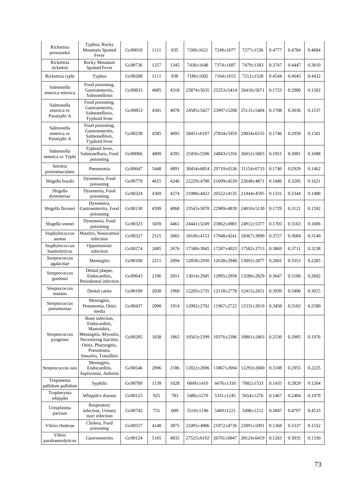| Rickettsia<br>prowazekii                 | Typhus, Rocky<br>Mountain Spotted<br>Fever                                                                                                                          | Gc00018 | 1111 | 835  | $7260 \pm 1621$  | 7249±1677        | $7277 \pm 1536$  | 0.4777 | 0.4784 | 0.4684 |
|------------------------------------------|---------------------------------------------------------------------------------------------------------------------------------------------------------------------|---------|------|------|------------------|------------------|------------------|--------|--------|--------|
| Rickettsia<br>rickettsii                 | Rocky Mountain<br><b>Spotted Fever</b>                                                                                                                              | Gc00736 | 1257 | 1345 | 7436±1648        | 7374±1687        | 7479±1583        | 0.3747 | 0.4447 | 0.3810 |
| Rickettsia typhi                         | Typhus                                                                                                                                                              | Gc00208 | 1111 | 838  | 7186±1602        | 7164±1653        | 7212±1528        | 0.4544 | 0.4645 | 0.4432 |
| Salmonella<br>enterica enterica          | Food poisoning,<br>Gastroenteritis,<br>Salmonellosis                                                                                                                | Gc00833 | 4685 | 4318 | 25874±5635       | $25253 \pm 5414$ | $26418 \pm 5671$ | 0.1723 | 0.2980 | 0.1502 |
| Salmonella<br>enterica sv<br>Paratyphi A | Food poisoning,<br>Gastroenteritis,<br>Salmonellosis,<br>Typhoid fever                                                                                              | Gc00853 | 4581 | 4078 | 24585±5427       | $23997 \pm 5208$ | $25131 \pm 5404$ | 0.1708 | 0.3036 | 0.1537 |
| Salmonella<br>enterica sv<br>Paratyphi A | Food poisoning,<br>Gastroenteritis,<br>Salmonellosis,<br>Typhoid fever                                                                                              | Gc00238 | 4585 | 4093 | 28451±6197       | 27834±5959       | 29034±6155       | 0.1746 | 0.2958 | 0.1501 |
| Salmonella<br>enterica sv Typhi          | Typhoid fever,<br>Salmonellosis, Food<br>poisoning                                                                                                                  | Gc00066 | 4809 | 4395 | 25456±5596       | 24843±5356       | $26012 \pm 5603$ | 0.1951 | 0.3081 | 0.1688 |
| Serratia<br>proteamaculans               | Pneumonia                                                                                                                                                           | Gc00647 | 5448 | 4891 | 30454±6854       | 29710±6536       | 31154±6733       | 0.1740 | 0.2929 | 0.1462 |
| Shigella boydii                          | Dysenteria, Food<br>poisoning                                                                                                                                       | Gc00779 | 4615 | 4246 | 22229±4780       | 21699±4539       | 22648±4871       | 0.1686 | 0.3205 | 0.1621 |
| Shigella<br>dysenteriae                  | Dysenteria, Food<br>poisoning                                                                                                                                       | Gc00324 | 4369 | 4274 | 21088±4422       | 20522±4135       | 21444±4595       | 0.1331 | 0.3344 | 0.1488 |
| Shigella flexneri                        | Dysenteria,<br>Gastroenteritis, Food<br>poisoning                                                                                                                   | Gc00130 | 4599 | 4068 | 23543±5078       | 22989±4839       | $24010\pm5130$   | 0.1729 | 0.3121 | 0.1592 |
| Shigella sonnei                          | Dysenteria, Food<br>poisoning                                                                                                                                       | Gc00323 | 5039 | 4461 | 24441±5249       | 23862±4983       | 24912±5377       | 0.1703 | 0.3163 | 0.1606 |
| Staphylococcus<br>aureus                 | Mastitis, Nosocomial<br>infection                                                                                                                                   | Gc00327 | 2515 | 2665 | 18106±4153       | 17948±4241       | 18367±3890       | 0.3727 | 0.3684 | 0.3140 |
| Staphylococcus<br>haemolyticus           | Opportunistic<br>infection                                                                                                                                          | Gc00274 | 2685 | 2676 | 17340±3945       | 17207±4023       | 17582±3713       | 0.3869 | 0.3711 | 0.3238 |
| Streptococcus<br>agalactiae              | Meningitis                                                                                                                                                          | Gc00100 | 2211 | 2094 | $12858 \pm 2930$ | 12638±2948       | 13092±2877       | 0.2601 | 0.3353 | 0.2285 |
| Streptococcus<br>gordonii                | Dental plaque,<br>Endocarditis,<br>Periodontal infection                                                                                                            | Gc00643 | 2196 | 2051 | $13014 \pm 2945$ | $12895 \pm 2958$ | 13286±2829       | 0.3647 | 0.3106 | 0.2602 |
| Streptococcus<br>mutans                  | Dental caries                                                                                                                                                       | Gc00109 | 2030 | 1960 | 12205±2735       | 12118±2770       | $12415 \pm 2651$ | 0.3939 | 0.3406 | 0.3015 |
| Streptococcus<br>pneumoniae              | Meningitis,<br>Pneumonia, Otitis<br>media                                                                                                                           | Gc00437 | 2000 | 1914 | 12092±2702       | 11967±2722       | 12331±2619       | 0.3458 | 0.3182 | 0.2580 |
| Streptococcus<br>pyogenes                | Bone infection,<br>Endocarditis,<br>Mastoiditis,<br>Meningitis, Myositis,<br>Necrotizing fasciitis,<br>Otitis, Pharyngitis,<br>Pneumonia,<br>Sinusitis, Tonsillitis | Gc00285 | 1838 | 1865 | $10563 \pm 2399$ | 10376±2396       | $10801 \pm 2403$ | 0.2530 | 0.2985 | 0.1976 |
| Streptococcus suis                       | Meningitis,<br>Endocarditis,<br>Septicemia, Arthritis                                                                                                               | Gc00546 | 2096 | 2186 | $12022 \pm 2696$ | $11867 \pm 2694$ | $12293 \pm 2660$ | 0.3108 | 0.2955 | 0.2225 |
| Treponema<br>pallidum pallidum           | Syphilis                                                                                                                                                            | Gc00789 | 1139 | 1028 | 6849±1410        | 6676±1310        | $7002 \pm 1533$  | 0.1435 | 0.2829 | 0.1264 |
| Tropheryma<br>whipplei                   | Whipple's disease                                                                                                                                                   | Gc00123 | 925  | 783  | 5486±1270        | 5331±1245        | 5654±1276        | 0.1467 | 0.2404 | 0.1079 |
| Ureaplasma<br>parvum                     | Respiratory<br>infection, Urinary<br>tract infection                                                                                                                | Gc00742 | 751  | 609  | 5510±1196        | 5469±1221        | 5498±1212        | 0.3847 | 0.4797 | 0.4533 |
| Vibrio cholerae                          | Cholera, Food<br>poisoning                                                                                                                                          | Gc00557 | 4148 | 3875 | 22495±4906       | 21872±4736       | 22891±5091       | 0.1368 | 0.3337 | 0.1552 |
| Vibrio<br>parahaemolyticus               | Gastroenteritis                                                                                                                                                     | Gc00124 | 5165 | 4832 | 27525±6192       | $26701 \pm 6047$ | 28124±6419       | 0.1263 | 0.3035 | 0.1330 |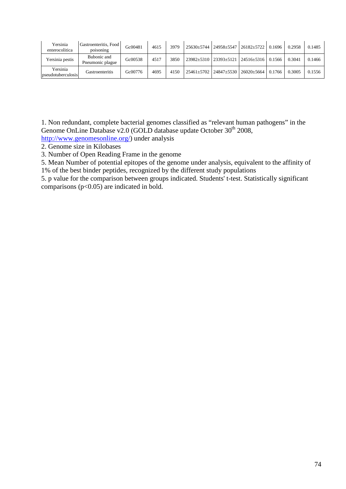| Yersinia<br>enterocolitica     | Gastroenteritis, Food<br>poisoning | Gc00481 | 4615 | 3979 | $25630+5744$   | 24958+5547     | $26182 + 5722$   | 0.1696 | 0.2958 | 0.1485 |
|--------------------------------|------------------------------------|---------|------|------|----------------|----------------|------------------|--------|--------|--------|
| Yersinia pestis                | Bubonic and<br>Pneumonic plague    | Gc00538 | 4517 | 3850 | 23982+5310     | $23393+5121$   | $24516 \pm 5316$ | 0.1566 | 0.3041 | 0.1466 |
| Yersinia<br>pseudotuberculosis | Gastroenteritis                    | Gc00776 | 4695 | 4150 | $25461 + 5702$ | $24847 + 5530$ | $26020+5664$     | 0.1766 | 0.3005 | 0.1556 |

1. Non redundant, complete bacterial genomes classified as "relevant human pathogens" in the Genome OnLine Database v2.0 (GOLD database update October 30<sup>th</sup> 2008, http://www.genomesonline.org/) under analysis

2. Genome size in Kilobases

3. Number of Open Reading Frame in the genome

5. Mean Number of potential epitopes of the genome under analysis, equivalent to the affinity of 1% of the best binder peptides, recognized by the different study populations

5. p value for the comparison between groups indicated. Students' t-test. Statistically significant comparisons  $(p<0.05)$  are indicated in bold.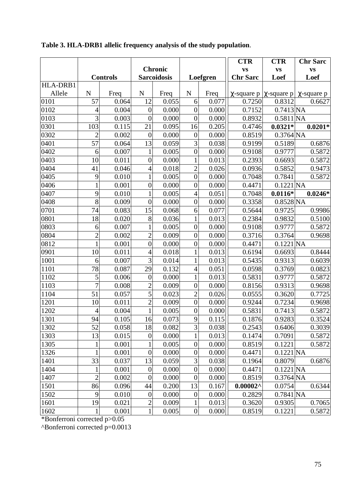|          |                |                 |                  |                    |                  |          | <b>CTR</b>         | <b>CTR</b>    | <b>Chr Sarc</b>                                        |
|----------|----------------|-----------------|------------------|--------------------|------------------|----------|--------------------|---------------|--------------------------------------------------------|
|          |                |                 |                  | <b>Chronic</b>     |                  |          | <b>VS</b>          | $\mathbf{VS}$ | <b>VS</b>                                              |
|          |                | <b>Controls</b> |                  | <b>Sarcoidosis</b> |                  | Loefgren | <b>Chr Sarc</b>    | Loef          | Loef                                                   |
| HLA-DRB1 |                |                 |                  |                    |                  |          |                    |               |                                                        |
| Allele   | ${\bf N}$      | Freq            | ${\bf N}$        | Freq               | $\mathbf N$      | Freq     |                    |               | $\chi$ -square p   $\chi$ -square p   $\chi$ -square p |
| 0101     | 57             | 0.064           | 12               | 0.055              | 6                | 0.077    | 0.7250             | 0.8312        | 0.6627                                                 |
| 0102     | $\overline{4}$ | 0.004           | $\boldsymbol{0}$ | 0.000              | $\boldsymbol{0}$ | 0.000    | 0.7152             | 0.7413 NA     |                                                        |
| 0103     | 3              | 0.003           | $\overline{0}$   | 0.000              | $\overline{0}$   | 0.000    | 0.8932             | 0.5811 NA     |                                                        |
| 0301     | 103            | 0.115           | 21               | 0.095              | 16               | 0.205    | 0.4746             | $0.0321*$     | $0.0201*$                                              |
| 0302     | $\overline{2}$ | 0.002           | $\boldsymbol{0}$ | 0.000              | $\boldsymbol{0}$ | 0.000    | 0.8519             | 0.3764 NA     |                                                        |
| 0401     | 57             | 0.064           | 13               | 0.059              | 3                | 0.038    | 0.9199             | 0.5189        | 0.6876                                                 |
| 0402     | 6              | 0.007           | $\mathbf{1}$     | 0.005              | $\boldsymbol{0}$ | 0.000    | 0.9108             | 0.9777        | 0.5872                                                 |
| 0403     | 10             | 0.011           | $\boldsymbol{0}$ | 0.000              | $\mathbf{1}$     | 0.013    | 0.2393             | 0.6693        | 0.5872                                                 |
| 0404     | 41             | 0.046           | $\overline{4}$   | 0.018              | $\overline{2}$   | 0.026    | 0.0936             | 0.5852        | 0.9473                                                 |
| 0405     | 9              | 0.010           | $\mathbf{1}$     | 0.005              | $\overline{0}$   | 0.000    | 0.7048             | 0.7841        | 0.5872                                                 |
| 0406     | $\mathbf{1}$   | 0.001           | $\overline{0}$   | 0.000              | $\overline{0}$   | 0.000    | 0.4471             | $0.1221$ NA   |                                                        |
| 0407     | 9              | 0.010           | $\mathbf{1}$     | 0.005              | $\overline{4}$   | 0.051    | 0.7048             | $0.0116*$     | $0.0246*$                                              |
| 0408     | 8              | 0.009           | $\overline{0}$   | 0.000              | $\overline{0}$   | 0.000    | 0.3358             | $0.8528$ NA   |                                                        |
| 0701     | 74             | 0.083           | 15               | 0.068              | 6                | 0.077    | 0.5644             | 0.9725        | 0.9986                                                 |
| 0801     | 18             | 0.020           | 8                | 0.036              | $\mathbf{1}$     | 0.013    | 0.2384             | 0.9832        | 0.5100                                                 |
| 0803     | 6              | 0.007           | $\mathbf{1}$     | 0.005              | $\boldsymbol{0}$ | 0.000    | 0.9108             | 0.9777        | 0.5872                                                 |
| 0804     | $\overline{2}$ | 0.002           | $\overline{2}$   | 0.009              | $\boldsymbol{0}$ | 0.000    | 0.3716             | 0.3764        | 0.9698                                                 |
| 0812     | $\mathbf{1}$   | 0.001           | $\boldsymbol{0}$ | 0.000              | $\boldsymbol{0}$ | 0.000    | 0.4471             | $0.1221$ NA   |                                                        |
| 0901     | 10             | 0.011           | $\overline{4}$   | 0.018              | $\mathbf{1}$     | 0.013    | 0.6194             | 0.6693        | 0.8444                                                 |
| 1001     | 6              | 0.007           | 3                | 0.014              | $\mathbf{1}$     | 0.013    | 0.5435             | 0.9313        | 0.6039                                                 |
| 1101     | 78             | 0.087           | 29               | 0.132              | $\overline{4}$   | 0.051    | 0.0598             | 0.3769        | 0.0823                                                 |
| 1102     | 5              | 0.006           | $\boldsymbol{0}$ | 0.000              | $\mathbf{1}$     | 0.013    | 0.5831             | 0.9777        | 0.5872                                                 |
| 1103     | $\overline{7}$ | 0.008           | $\overline{2}$   | 0.009              | $\boldsymbol{0}$ | 0.000    | 0.8156             | 0.9313        | 0.9698                                                 |
| 1104     | 51             | 0.057           | $\overline{5}$   | 0.023              | $\overline{2}$   | 0.026    | 0.0555             | 0.3620        | 0.7725                                                 |
| 1201     | 10             | 0.011           | $\overline{2}$   | 0.009              | $\boldsymbol{0}$ | 0.000    | 0.9244             | 0.7234        | 0.9698                                                 |
| 1202     | $\overline{4}$ | 0.004           | $\mathbf{1}$     | 0.005              | $\overline{0}$   | 0.000    | 0.5831             | 0.7413        | 0.5872                                                 |
| 1301     | 94             | 0.105           | 16               | 0.073              | 9                | 0.115    | 0.1876             | 0.9283        | 0.3524                                                 |
| 1302     | 52             | 0.058           | 18               | 0.082              | 3                | 0.038    | 0.2543             | 0.6406        | 0.3039                                                 |
| 1303     | 13             | 0.015           | $\boldsymbol{0}$ | 0.000              | 1                | 0.013    | 0.1474             | 0.7091        | 0.5872                                                 |
| 1305     | 1              | 0.001           | $\mathbf{1}$     | 0.005              | $\boldsymbol{0}$ | 0.000    | 0.8519             | 0.1221        | 0.5872                                                 |
| 1326     | $\mathbf 1$    | 0.001           | $\boldsymbol{0}$ | 0.000              | $\boldsymbol{0}$ | 0.000    | 0.4471             | $0.1221$ NA   |                                                        |
| 1401     | 33             | 0.037           | 13               | 0.059              | 3                | 0.038    | 0.1964             | 0.8079        | 0.6876                                                 |
| 1404     | 1              | 0.001           | $\boldsymbol{0}$ | 0.000              | $\boldsymbol{0}$ | 0.000    | 0.4471             | $0.1221$ NA   |                                                        |
| 1407     | $\overline{2}$ | 0.002           | $\boldsymbol{0}$ | 0.000              | $\overline{0}$   | 0.000    | 0.8519             | 0.3764 NA     |                                                        |
| 1501     | 86             | 0.096           | 44               | 0.200              | 13               | 0.167    | $0.00002^{\wedge}$ | 0.0754        | 0.6344                                                 |
| 1502     | 9              | 0.010           | $\boldsymbol{0}$ | 0.000              | $\boldsymbol{0}$ | 0.000    | 0.2829             | $0.7841$ NA   |                                                        |
| 1601     | 19             | 0.021           | $\mathbf{2}$     | 0.009              | $\mathbf 1$      | 0.013    | 0.3620             | 0.9305        | 0.7065                                                 |
| 1602     | $\mathbf{1}$   | 0.001           | $\mathbf{1}$     | 0.005              | $\overline{0}$   | 0.000    | 0.8519             | 0.1221        | 0.5872                                                 |

**Table 3. HLA-DRB1 allelic frequency analysis of the study population**.

\*Bonferroni corrected p>0.05

^Bonferroni corrected p=0.0013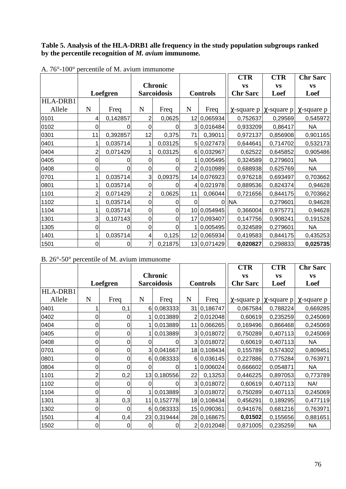## **Table 5. Analysis of the HLA-DRB1 alle frequency in the study population subgroups ranked by the percentile recognition of** *M. avium* **immunome.**

|          |                |          |                    |                |                 |             | <b>CTR</b>       | <b>CTR</b>       | <b>Chr Sarc</b>  |
|----------|----------------|----------|--------------------|----------------|-----------------|-------------|------------------|------------------|------------------|
|          |                |          |                    | <b>Chronic</b> |                 |             | <b>VS</b>        | <b>VS</b>        | <b>VS</b>        |
|          |                | Loefgren | <b>Sarcoidosis</b> |                | <b>Controls</b> |             | <b>Chr Sarc</b>  | Loef             | Loef             |
| HLA-DRB1 |                |          |                    |                |                 |             |                  |                  |                  |
| Allele   | $\mathbf N$    | Freq     | N                  | Freq           | $\mathbf N$     | Freq        | $\chi$ -square p | $\chi$ -square p | $\chi$ -square p |
| 0101     | 4              | 0,142857 | 2                  | 0,0625         | 12              | 0,065934    | 0,752637         | 0,29569          | 0,545972         |
| 0102     | 0              | O        | 0                  | 0              | 3 <sup>1</sup>  | 0,016484    | 0,933209         | 0,86417          | <b>NA</b>        |
| 0301     | 11             | 0,392857 | 12                 | 0,375          | 71              | 0,39011     | 0,972137         | 0,856908         | 0,901165         |
| 0401     |                | 0,035714 | 1                  | 0,03125        | 5 <sup>1</sup>  | 0,027473    | 0,644641         | 0,714702         | 0,532173         |
| 0404     | 2              | 0,071429 |                    | 0,03125        | 61              | 0,032967    | 0,62522          | 0,645852         | 0,905486         |
| 0405     | 0              |          | 0                  | O              |                 | 0,005495    | 0,324589         | 0,279601         | <b>NA</b>        |
| 0408     | 0              | O        | 0                  | 0              |                 | 0,010989    | 0,688938         | 0,625769         | <b>NA</b>        |
| 0701     | 1              | 0,035714 | 3                  | 0,09375        | 14              | 0,076923    | 0,976218         | 0,693497         | 0,703662         |
| 0801     | 1              | 0,035714 | 0                  | 0              |                 | 0,021978    | 0,889536         | 0,824374         | 0,94628          |
| 1101     | $\overline{c}$ | 0,071429 | $\overline{2}$     | 0,0625         | 11              | 0,06044     | 0,721656         | 0,844175         | 0,703662         |
| 1102     |                | 0,035714 | 0                  | 0              | 0               | ΩI          | <b>NA</b>        | 0,279601         | 0,94628          |
| 1104     | 1              | 0,035714 | 0                  | 0              | 10 <sup>1</sup> | 0,054945    | 0,366004         | 0,975771         | 0,94628          |
| 1301     | 3              | 0,107143 | 0                  | 0              | 17              | 0,093407    | 0,147756         | 0,908241         | 0,191528         |
| 1305     | 0              | 0        | $\Omega$           | $\Omega$       |                 | 0,005495    | 0,324589         | 0,279601         | <b>NA</b>        |
| 1401     | 1              | 0,035714 | 4                  | 0,125          | 12 <sub>l</sub> | 0,065934    | 0,419583         | 0,844175         | 0,435253         |
| 1501     | 0              |          | 7                  | 0,21875        |                 | 13 0,071429 | 0,020827         | 0,298833         | 0,025735         |

| A. $76^{\circ}$ -100 $^{\circ}$ percentile of M. avium immunome |  |  |  |
|-----------------------------------------------------------------|--|--|--|
|                                                                 |  |  |  |

## B. 26°-50° percentile of M. avium immunome

|          |                |          |                    |             |                 |             | <b>CTR</b>                          | <b>CTR</b> | <b>Chr Sarc</b>  |
|----------|----------------|----------|--------------------|-------------|-----------------|-------------|-------------------------------------|------------|------------------|
|          |                |          | <b>Chronic</b>     |             |                 |             | <b>VS</b>                           | <b>VS</b>  | <b>VS</b>        |
|          |                | Loefgren | <b>Sarcoidosis</b> |             | <b>Controls</b> |             | <b>Chr Sarc</b>                     | Loef       | Loef             |
| HLA-DRB1 |                |          |                    |             |                 |             |                                     |            |                  |
| Allele   | N              | Freq     | N                  | Freq        | $\mathbf N$     | Freq        | $\chi$ -square p   $\chi$ -square p |            | $\chi$ -square p |
| 0401     |                | 0,1      | 6                  | 0,083333    | 31              | 0,186747    | 0,067584                            | 0,788224   | 0,669285         |
| 0402     | 0              | 0        |                    | 0,013889    |                 | 0,012048    | 0,60619                             | 0,235259   | 0,245069         |
| 0404     | 0              | 0        |                    | 0,013889    | 11              | 0,066265    | 0,169496                            | 0,866468   | 0,245069         |
| 0405     | 0              | 0        |                    | 0,013889    |                 | 3 0,018072  | 0,750289                            | 0,407113   | 0,245069         |
| 0408     | 0              | 0        | 0                  |             | 31              | 0,018072    | 0,60619                             | 0,407113   | NA               |
| 0701     | 0              | 0        | 3 <sup>1</sup>     | 0,041667    | 18              | 0,108434    | 0,155789                            | 0,574302   | 0,809451         |
| 0801     | 0              | 0        | 6 <sup>1</sup>     | 0,083333    | 6               | 0,036145    | 0,227886                            | 0,775284   | 0,763971         |
| 0804     | 0              | 0        | 0                  | 0           |                 | 0,006024    | 0,666602                            | 0,054871   | NА               |
| 1101     | $\overline{c}$ | 0,2      | 131                | 0,180556    | 22              | 0,13253     | 0,446225                            | 0,897053   | 0,773789         |
| 1102     | 0              | 0        | $\Omega$           | 0           | 3               | 0,018072    | 0,60619                             | 0,407113   | NA!              |
| 1104     | 0              | $\Omega$ | 1.                 | 0,013889    |                 | 3 0,018072  | 0,750289                            | 0,407113   | 0,245069         |
| 1301     | 3              | 0,3      |                    | 11 0,152778 |                 | 18 0,108434 | 0,456291                            | 0,189295   | 0,477119         |
| 1302     | 0              | 0        | 6                  | 0,083333    | 15 <sup>2</sup> | 0,090361    | 0,941676                            | 0,681216   | 0,763971         |
| 1501     | 4              | 0,4      | 23                 | 0,319444    |                 | 28 0,168675 | 0,01502                             | 0,155656   | 0,881651         |
| 1502     | 0              | $\Omega$ | 0                  | 0           |                 | 2 0,012048  | 0,871005                            | 0,235259   | <b>NA</b>        |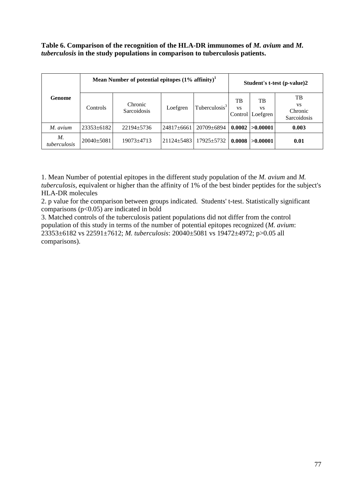**Table 6. Comparison of the recognition of the HLA-DR immunomes of** *M. avium* **and** *M. tuberculosis* **in the study populations in comparison to tuberculosis patients.** 

|                    |                  | Mean Number of potential epitopes $(1\% \text{ affinity})^1$ | Student's t-test (p-value)2 |                           |                     |                             |                                                  |
|--------------------|------------------|--------------------------------------------------------------|-----------------------------|---------------------------|---------------------|-----------------------------|--------------------------------------------------|
| Genome             | Controls         | Chronic<br>Sarcoidosis                                       | Loefgren                    | Tuberculosis <sup>3</sup> | TB<br>VS<br>Control | TB<br><b>VS</b><br>Loefgren | TB<br><b>VS</b><br>Chronic<br><b>Sarcoidosis</b> |
| M. avium           | $23353+6182$     | $22194 \pm 5736$                                             | $24817 \pm 6661$            | 20709±6894                | 0.0002              | >0.00001                    | 0.003                                            |
| М.<br>tuberculosis | $20040 \pm 5081$ | $19073 + 4713$                                               | $21124 + 5483$              | 17925±5732                | 0.0008              | >0.00001                    | 0.01                                             |

1. Mean Number of potential epitopes in the different study population of the *M. avium* and *M. tuberculosis*, equivalent or higher than the affinity of 1% of the best binder peptides for the subject's HLA-DR molecules

2. p value for the comparison between groups indicated. Students' t-test. Statistically significant comparisons (p<0.05) are indicated in bold

3. Matched controls of the tuberculosis patient populations did not differ from the control population of this study in terms of the number of potential epitopes recognized (*M. avium*: 23353±6182 vs 22591±7612; *M. tuberculosis*: 20040±5081 vs 19472±4972; p>0.05 all comparisons).